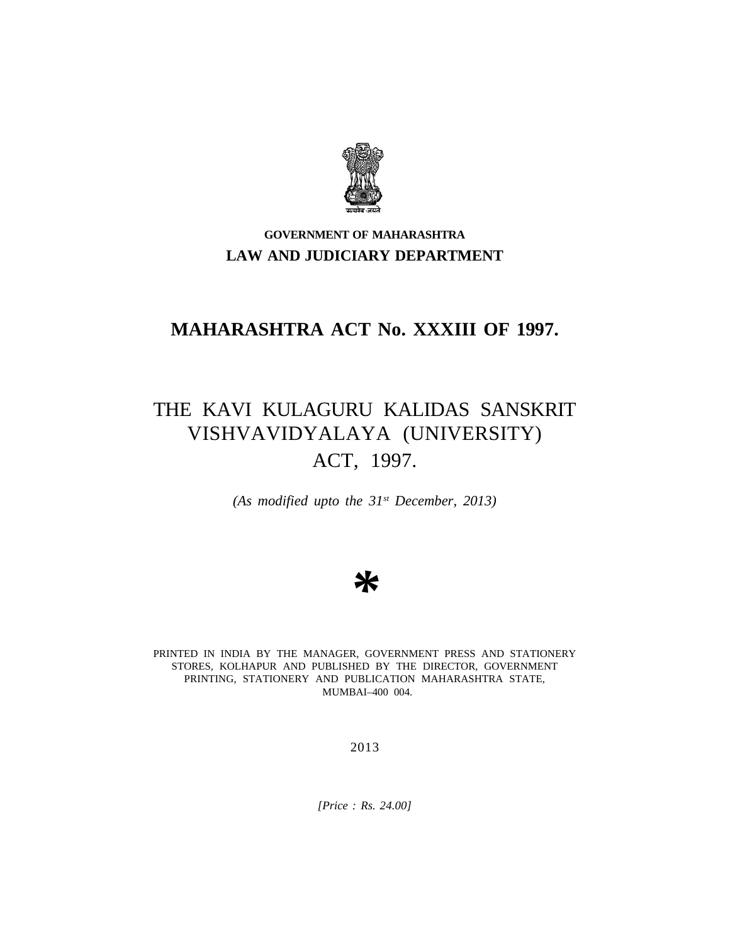

### **GOVERNMENT OF MAHARASHTRA LAW AND JUDICIARY DEPARTMENT**

## **MAHARASHTRA ACT No. XXXIII OF 1997.**

# THE KAVI KULAGURU KALIDAS SANSKRIT VISHVAVIDYALAYA (UNIVERSITY) ACT, 1997.

*(As modified upto the 31st December, 2013)*

*\**

PRINTED IN INDIA BY THE MANAGER, GOVERNMENT PRESS AND STATIONERY STORES, KOLHAPUR AND PUBLISHED BY THE DIRECTOR, GOVERNMENT PRINTING, STATIONERY AND PUBLICATION MAHARASHTRA STATE, MUMBAI–400 004.

2013

*[Price : Rs. 24.00]*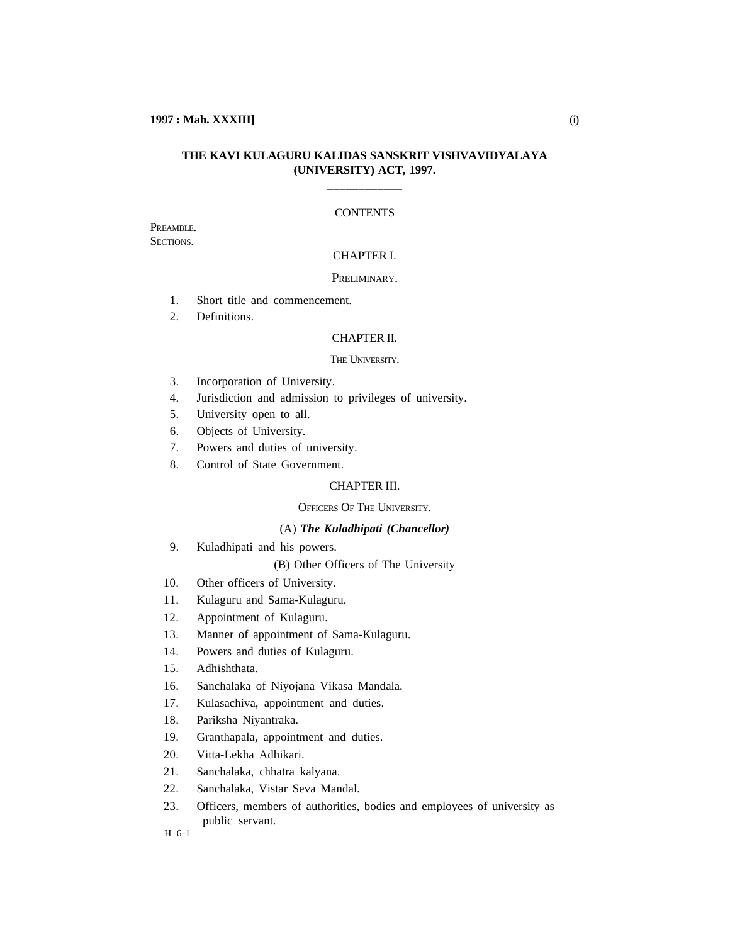#### **THE KAVI KULAGURU KALIDAS SANSKRIT VISHVAVIDYALAYA (UNIVERSITY) ACT, 1997.**

**\_\_\_\_\_\_\_\_\_\_\_\_**

#### **CONTENTS**

PREAMBLE. SECTIONS.

### CHAPTER I.

#### PRELIMINARY.

- 1. Short title and commencement.
- 2. Definitions.

#### CHAPTER II.

#### THE UNIVERSITY.

- 3. Incorporation of University.
- 4. Jurisdiction and admission to privileges of university.
- 5. University open to all.
- 6. Objects of University.
- 7. Powers and duties of university.
- 8. Control of State Government.

### CHAPTER III.

#### OFFICERS OF THE UNIVERSITY.

#### (A) *The Kuladhipati (Chancellor)*

- 9. Kuladhipati and his powers.
	- (B) Other Officers of The University
- 10. Other officers of University.
- 11. Kulaguru and Sama-Kulaguru.
- 12. Appointment of Kulaguru.
- 13. Manner of appointment of Sama-Kulaguru.
- 14. Powers and duties of Kulaguru.
- 15. Adhishthata.
- 16. Sanchalaka of Niyojana Vikasa Mandala.
- 17. Kulasachiva, appointment and duties.
- 18. Pariksha Niyantraka.
- 19. Granthapala, appointment and duties.
- 20. Vitta-Lekha Adhikari.
- 21. Sanchalaka, chhatra kalyana.
- 22. Sanchalaka, Vistar Seva Mandal.
- 23. Officers, members of authorities, bodies and employees of university as public servant.

H 6-1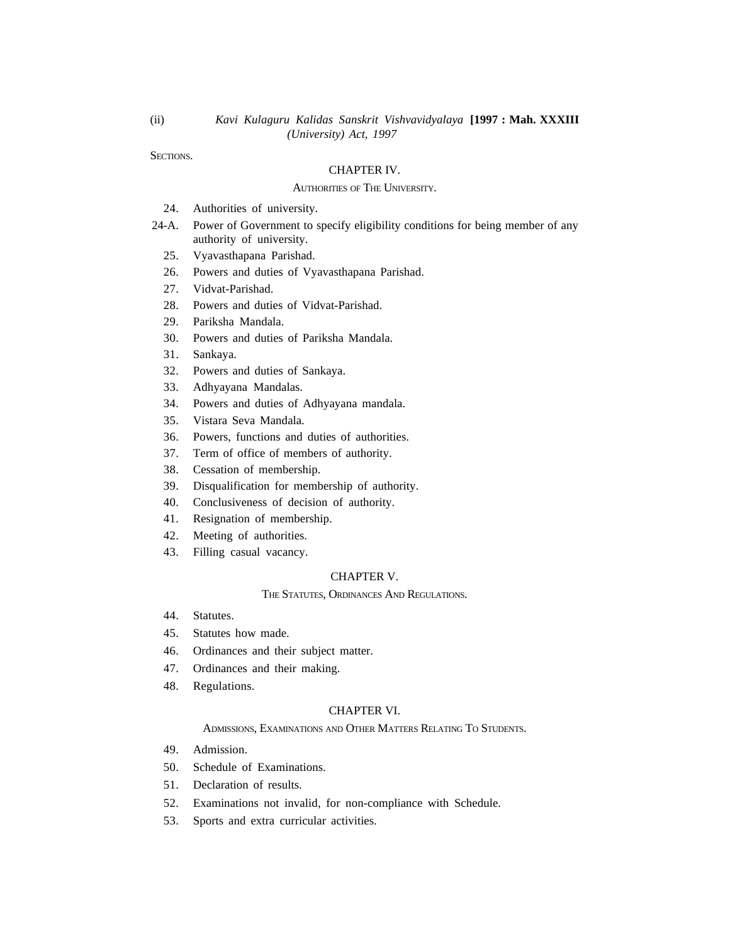SECTIONS.

(ii)

#### CHAPTER IV.

#### AUTHORITIES OF THE UNIVERSITY.

- 24. Authorities of university.
- 24-A. Power of Government to specify eligibility conditions for being member of any authority of university.
	- 25. Vyavasthapana Parishad.
	- 26. Powers and duties of Vyavasthapana Parishad.
	- 27. Vidvat-Parishad.
	- 28. Powers and duties of Vidvat-Parishad.
	- 29. Pariksha Mandala.
	- 30. Powers and duties of Pariksha Mandala.
	- 31. Sankaya.
	- 32. Powers and duties of Sankaya.
	- 33. Adhyayana Mandalas.
	- 34. Powers and duties of Adhyayana mandala.
	- 35. Vistara Seva Mandala.
	- 36. Powers, functions and duties of authorities.
	- 37. Term of office of members of authority.
	- 38. Cessation of membership.
	- 39. Disqualification for membership of authority.
	- 40. Conclusiveness of decision of authority.
	- 41. Resignation of membership.
	- 42. Meeting of authorities.
	- 43. Filling casual vacancy.

#### CHAPTER V.

#### THE STATUTES, ORDINANCES AND REGULATIONS.

- 44. Statutes.
- 45. Statutes how made.
- 46. Ordinances and their subject matter.
- 47. Ordinances and their making.
- 48. Regulations.

#### CHAPTER VI.

ADMISSIONS, EXAMINATIONS AND OTHER MATTERS RELATING TO STUDENTS.

- 49. Admission.
- 50. Schedule of Examinations.
- 51. Declaration of results.
- 52. Examinations not invalid, for non-compliance with Schedule.
- 53. Sports and extra curricular activities.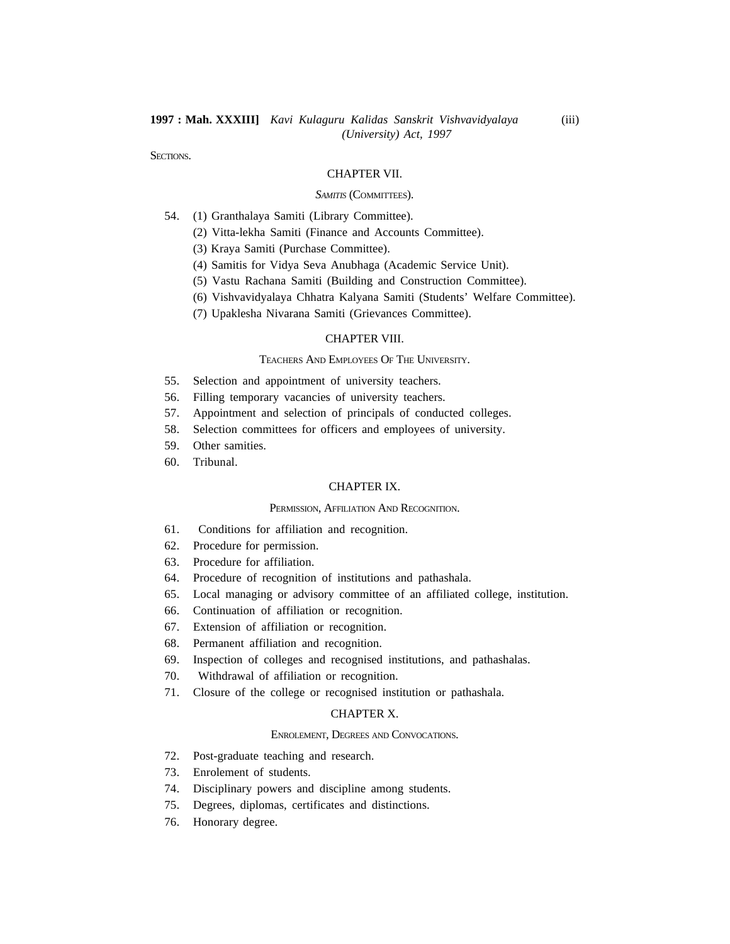SECTIONS.

#### CHAPTER VII.

#### *SAMITIS* (COMMITTEES).

- 54. (1) Granthalaya Samiti (Library Committee).
	- (2) Vitta-lekha Samiti (Finance and Accounts Committee).
	- (3) Kraya Samiti (Purchase Committee).
	- (4) Samitis for Vidya Seva Anubhaga (Academic Service Unit).
	- (5) Vastu Rachana Samiti (Building and Construction Committee).
	- (6) Vishvavidyalaya Chhatra Kalyana Samiti (Students' Welfare Committee).
	- (7) Upaklesha Nivarana Samiti (Grievances Committee).

#### CHAPTER VIII.

#### TEACHERS AND EMPLOYEES OF THE UNIVERSITY.

- 55. Selection and appointment of university teachers.
- 56. Filling temporary vacancies of university teachers.
- 57. Appointment and selection of principals of conducted colleges.
- 58. Selection committees for officers and employees of university.
- 59. Other samities.
- 60. Tribunal.

#### CHAPTER IX.

#### PERMISSION, AFFILIATION AND RECOGNITION.

#### 61. Conditions for affiliation and recognition.

- 62. Procedure for permission.
- 63. Procedure for affiliation.
- 64. Procedure of recognition of institutions and pathashala.
- 65. Local managing or advisory committee of an affiliated college, institution.
- 66. Continuation of affiliation or recognition.
- 67. Extension of affiliation or recognition.
- 68. Permanent affiliation and recognition.
- 69. Inspection of colleges and recognised institutions, and pathashalas.
- 70. Withdrawal of affiliation or recognition.
- 71. Closure of the college or recognised institution or pathashala.

#### CHAPTER X.

### ENROLEMENT, DEGREES AND CONVOCATIONS.

- 72. Post-graduate teaching and research.
- 73. Enrolement of students.
- 74. Disciplinary powers and discipline among students.
- 75. Degrees, diplomas, certificates and distinctions.
- 76. Honorary degree.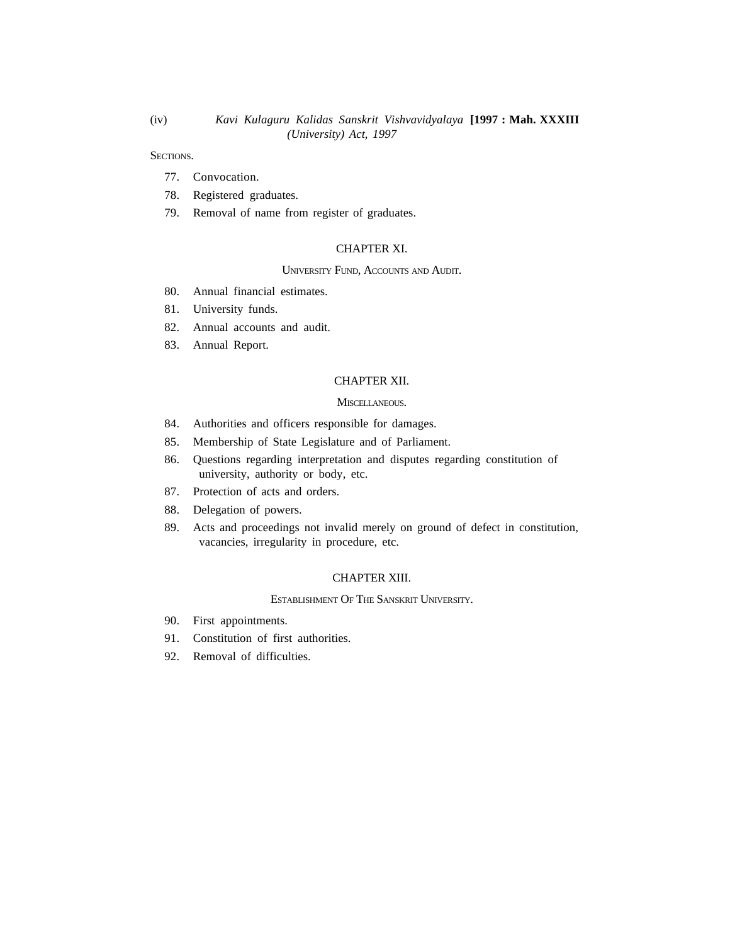SECTIONS.

- 77. Convocation.
- 78. Registered graduates.
- 79. Removal of name from register of graduates.

### CHAPTER XI.

#### UNIVERSITY FUND, ACCOUNTS AND AUDIT.

- 80. Annual financial estimates.
- 81. University funds.
- 82. Annual accounts and audit.
- 83. Annual Report.

#### CHAPTER XII.

#### MISCELLANEOUS.

- 84. Authorities and officers responsible for damages.
- 85. Membership of State Legislature and of Parliament.
- 86. Questions regarding interpretation and disputes regarding constitution of university, authority or body, etc.
- 87. Protection of acts and orders.
- 88. Delegation of powers.
- 89. Acts and proceedings not invalid merely on ground of defect in constitution, vacancies, irregularity in procedure, etc.

#### CHAPTER XIII.

ESTABLISHMENT OF THE SANSKRIT UNIVERSITY.

- 90. First appointments.
- 91. Constitution of first authorities.
- 92. Removal of difficulties.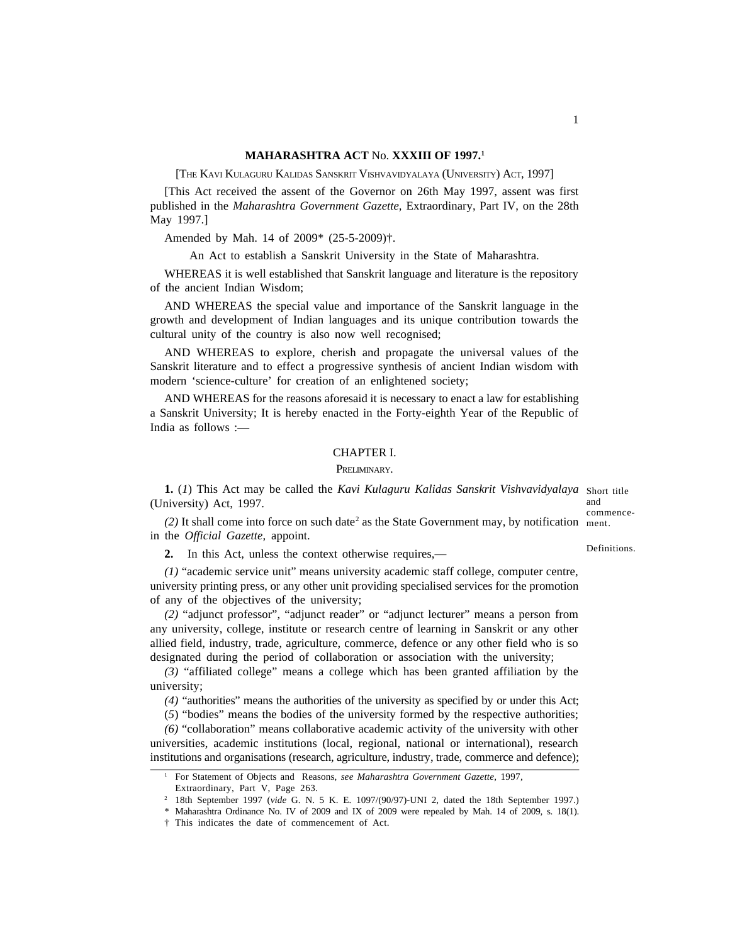#### **MAHARASHTRA ACT** No. **XXXIII OF 1997.<sup>1</sup>**

[THE KAVI KULAGURU KALIDAS SANSKRIT VISHVAVIDYALAYA (UNIVERSITY) ACT, 1997]

[This Act received the assent of the Governor on 26th May 1997, assent was first published in the *Maharashtra Government Gazette,* Extraordinary, Part IV, on the 28th May 1997.]

Amended by Mah. 14 of 2009\* (25-5-2009)†.

An Act to establish a Sanskrit University in the State of Maharashtra.

WHEREAS it is well established that Sanskrit language and literature is the repository of the ancient Indian Wisdom;

AND WHEREAS the special value and importance of the Sanskrit language in the growth and development of Indian languages and its unique contribution towards the cultural unity of the country is also now well recognised;

AND WHEREAS to explore, cherish and propagate the universal values of the Sanskrit literature and to effect a progressive synthesis of ancient Indian wisdom with modern 'science-culture' for creation of an enlightened society;

AND WHEREAS for the reasons aforesaid it is necessary to enact a law for establishing a Sanskrit University; It is hereby enacted in the Forty-eighth Year of the Republic of India as follows :—

#### CHAPTER I.

#### PRELIMINARY.

**1.** (*1*) This Act may be called the *Kavi Kulaguru Kalidas Sanskrit Vishvavidyalaya* Short title (University) Act, 1997. and

(2) It shall come into force on such date<sup>2</sup> as the State Government may, by notification ment. in the *Official Gazette,* appoint. commence-

Definitions.

**2.** In this Act, unless the context otherwise requires,—

*(1)* "academic service unit" means university academic staff college, computer centre, university printing press, or any other unit providing specialised services for the promotion of any of the objectives of the university;

*(2)* "adjunct professor", "adjunct reader" or "adjunct lecturer" means a person from any university, college, institute or research centre of learning in Sanskrit or any other allied field, industry, trade, agriculture, commerce, defence or any other field who is so designated during the period of collaboration or association with the university;

*(3)* "affiliated college" means a college which has been granted affiliation by the university;

*(4)* "authorities" means the authorities of the university as specified by or under this Act;

(*5*) "bodies" means the bodies of the university formed by the respective authorities;

*(6)* "collaboration" means collaborative academic activity of the university with other universities, academic institutions (local, regional, national or international), research institutions and organisations (research, agriculture, industry, trade, commerce and defence);

<sup>1</sup> For Statement of Objects and Reasons, *see Maharashtra Government Gazette,* 1997,

Extraordinary, Part V, Page 263.

<sup>2</sup> 18th September 1997 (*vide* G. N. 5 K. E. 1097/(90/97)-UNI 2, dated the 18th September 1997.)

<sup>\*</sup> Maharashtra Ordinance No. IV of 2009 and IX of 2009 were repealed by Mah. 14 of 2009, s. 18(1).

<sup>†</sup> This indicates the date of commencement of Act.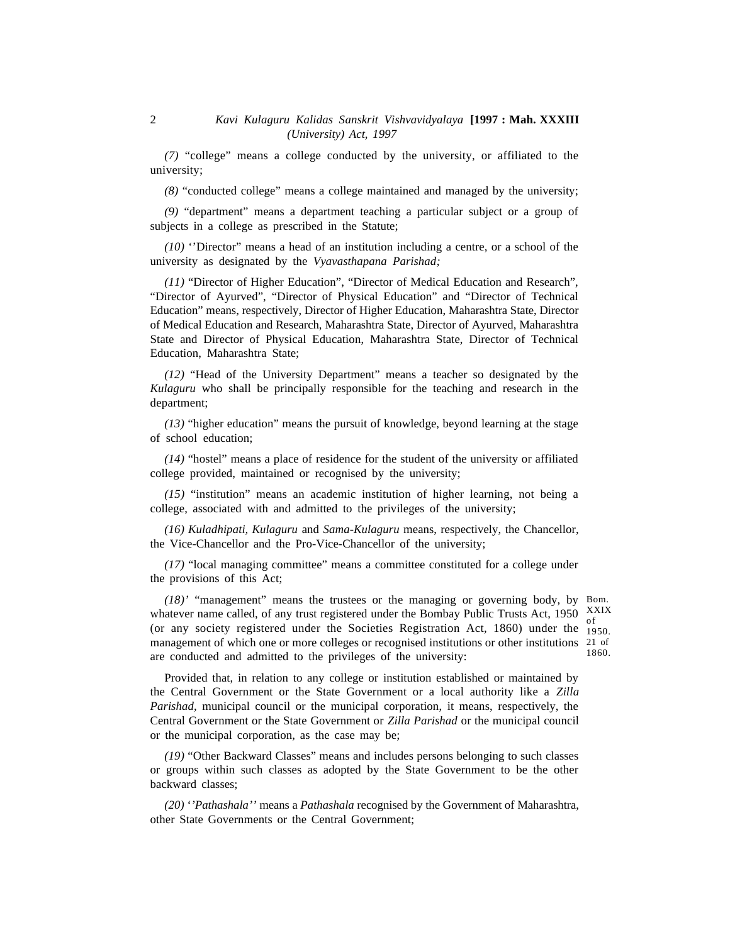*(7)* "college" means a college conducted by the university, or affiliated to the university;

*(8)* "conducted college" means a college maintained and managed by the university;

*(9)* "department" means a department teaching a particular subject or a group of subjects in a college as prescribed in the Statute;

*(10)* ''Director" means a head of an institution including a centre, or a school of the university as designated by the *Vyavasthapana Parishad;*

*(11)* "Director of Higher Education", "Director of Medical Education and Research", "Director of Ayurved", "Director of Physical Education" and "Director of Technical Education" means, respectively, Director of Higher Education, Maharashtra State, Director of Medical Education and Research, Maharashtra State, Director of Ayurved, Maharashtra State and Director of Physical Education, Maharashtra State, Director of Technical Education, Maharashtra State;

*(12)* "Head of the University Department" means a teacher so designated by the *Kulaguru* who shall be principally responsible for the teaching and research in the department;

*(13)* "higher education" means the pursuit of knowledge, beyond learning at the stage of school education;

*(14)* "hostel" means a place of residence for the student of the university or affiliated college provided, maintained or recognised by the university;

*(15)* "institution" means an academic institution of higher learning, not being a college, associated with and admitted to the privileges of the university;

*(16) Kuladhipati, Kulaguru* and *Sama-Kulaguru* means, respectively, the Chancellor, the Vice-Chancellor and the Pro-Vice-Chancellor of the university;

*(17)* "local managing committee" means a committee constituted for a college under the provisions of this Act;

*(18)'* "management" means the trustees or the managing or governing body, by Bom. whatever name called, of any trust registered under the Bombay Public Trusts Act, 1950 XXIX (or any society registered under the Societies Registration Act, 1860) under the 1950. management of which one or more colleges or recognised institutions or other institutions 21 of are conducted and admitted to the privileges of the university: 1860.

1950.

Provided that, in relation to any college or institution established or maintained by the Central Government or the State Government or a local authority like a *Zilla Parishad,* municipal council or the municipal corporation, it means, respectively, the Central Government or the State Government or *Zilla Parishad* orthe municipal council or the municipal corporation, as the case may be;

*(19)* "Other Backward Classes" means and includes persons belonging to such classes or groups within such classes as adopted by the State Government to be the other backward classes;

*(20)* '*'Pathashala''* means a *Pathashala* recognised by the Government of Maharashtra, other State Governments or the Central Government;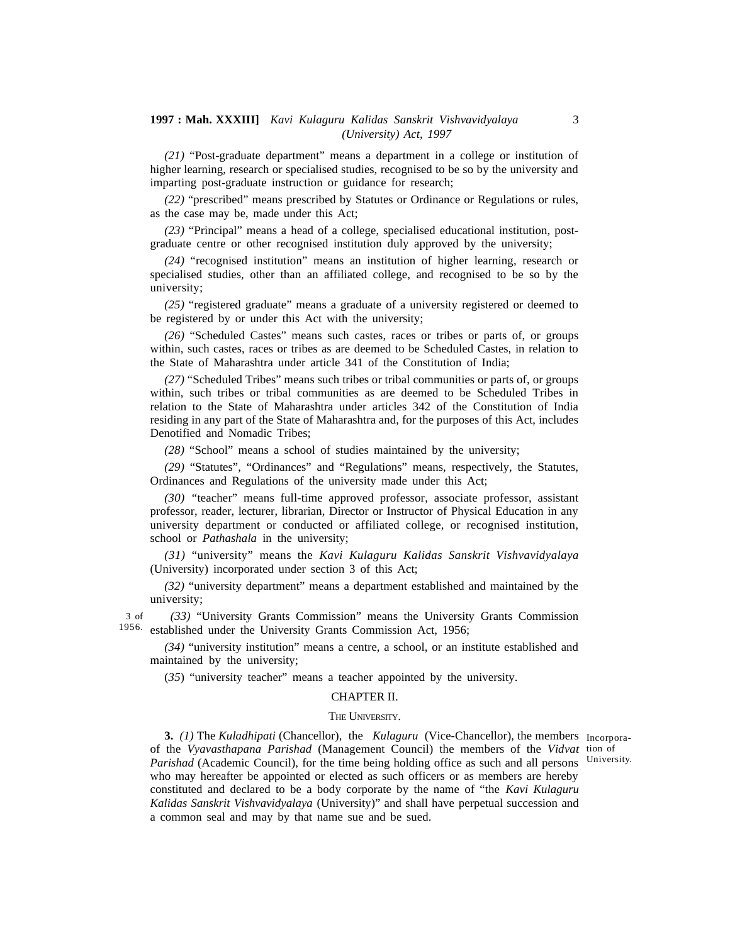*(21)* "Post-graduate department" means a department in a college or institution of higher learning, research or specialised studies, recognised to be so by the university and imparting post-graduate instruction or guidance for research;

*(22)* "prescribed" means prescribed by Statutes or Ordinance or Regulations or rules, as the case may be, made under this Act;

*(23)* "Principal" means a head of a college, specialised educational institution, postgraduate centre or other recognised institution duly approved by the university;

*(24)* "recognised institution" means an institution of higher learning, research or specialised studies, other than an affiliated college, and recognised to be so by the university;

*(25)* "registered graduate" means a graduate of a university registered or deemed to be registered by or under this Act with the university;

*(26)* "Scheduled Castes" means such castes, races or tribes or parts of, or groups within, such castes, races or tribes as are deemed to be Scheduled Castes, in relation to the State of Maharashtra under article 341 of the Constitution of India;

*(27)* "Scheduled Tribes" means such tribes or tribal communities or parts of, or groups within, such tribes or tribal communities as are deemed to be Scheduled Tribes in relation to the State of Maharashtra under articles 342 of the Constitution of India residing in any part of the State of Maharashtra and, for the purposes of this Act, includes Denotified and Nomadic Tribes;

*(28)* "School" means a school of studies maintained by the university;

*(29)* "Statutes", "Ordinances" and "Regulations" means, respectively, the Statutes, Ordinances and Regulations of the university made under this Act;

*(30) "*teacher" means full-time approved professor, associate professor, assistant professor, reader, lecturer, librarian, Director or Instructor of Physical Education in any university department or conducted or affiliated college, or recognised institution, school or *Pathashala* in the university;

*(31)* "university" means the *Kavi Kulaguru Kalidas Sanskrit Vishvavidyalaya* (University) incorporated under section 3 of this Act;

*(32)* "university department" means a department established and maintained by the university;

*(33)* "University Grants Commission" means the University Grants Commission 1956. established under the University Grants Commission Act, 1956; 3 of

*(34)* "university institution" means a centre, a school, or an institute established and maintained by the university;

(*35*) "university teacher" means a teacher appointed by the university.

#### CHAPTER II.

#### THE UNIVERSITY.

**3.** *(1)* The *Kuladhipati* (Chancellor), the *Kulaguru* (Vice-Chancellor), the members Incorporaof the *Vyavasthapana Parishad* (Management Council) the members of the *Vidvat* tion of Parishad (Academic Council), for the time being holding office as such and all persons University. who may hereafter be appointed or elected as such officers or as members are hereby constituted and declared to be a body corporate by the name of "the *Kavi Kulaguru Kalidas Sanskrit Vishvavidyalaya* (University)" and shall have perpetual succession and a common seal and may by that name sue and be sued.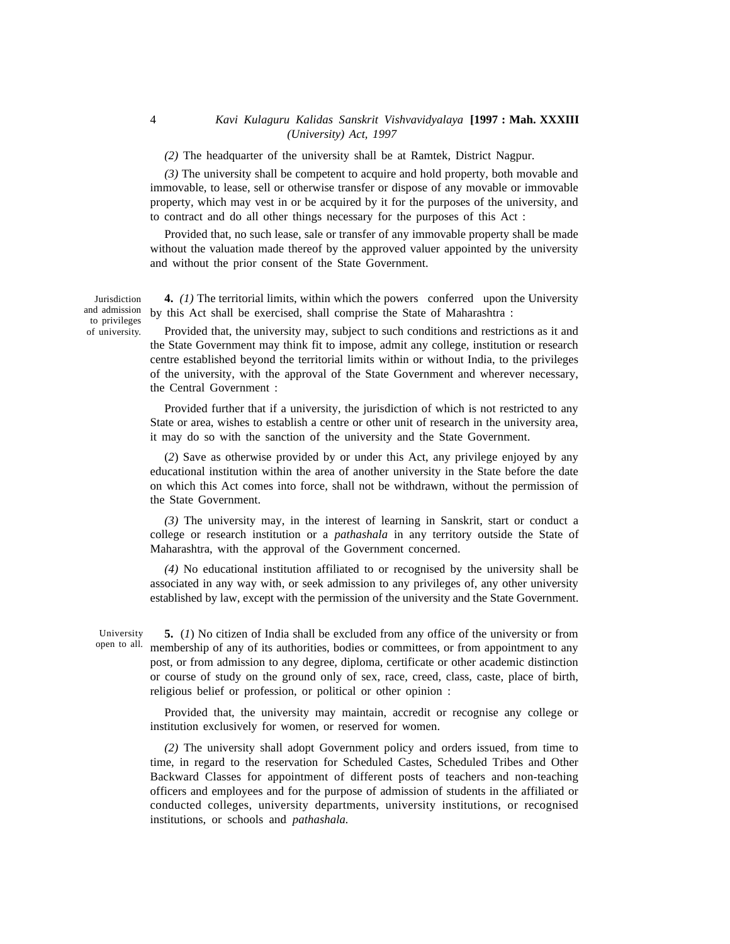*(2)* The headquarter of the university shall be at Ramtek, District Nagpur.

*(3)* The university shall be competent to acquire and hold property, both movable and immovable, to lease, sell or otherwise transfer or dispose of any movable or immovable property, which may vest in or be acquired by it for the purposes of the university, and to contract and do all other things necessary for the purposes of this Act :

Provided that, no such lease, sale or transfer of any immovable property shall be made without the valuation made thereof by the approved valuer appointed by the university and without the prior consent of the State Government.

Jurisdiction and admission to privileges of university.

**4.** *(1)* The territorial limits, within which the powers conferred upon the University by this Act shall be exercised, shall comprise the State of Maharashtra :

Provided that, the university may, subject to such conditions and restrictions as it and the State Government may think fit to impose, admit any college, institution or research centre established beyond the territorial limits within or without India, to the privileges of the university, with the approval of the State Government and wherever necessary, the Central Government :

Provided further that if a university, the jurisdiction of which is not restricted to any State or area, wishes to establish a centre or other unit of research in the university area, it may do so with the sanction of the university and the State Government.

(*2*) Save as otherwise provided by or under this Act, any privilege enjoyed by any educational institution within the area of another university in the State before the date on which this Act comes into force, shall not be withdrawn, without the permission of the State Government.

*(3)* The university may, in the interest of learning in Sanskrit, start or conduct a college or research institution or a *pathashala* in any territory outside the State of Maharashtra, with the approval of the Government concerned.

*(4)* No educational institution affiliated to or recognised by the university shall be associated in any way with, or seek admission to any privileges of, any other university established by law, except with the permission of the university and the State Government.

**5.** (*1*) No citizen of India shall be excluded from any office of the university or from membership of any of its authorities, bodies or committees, or from appointment to any post, or from admission to any degree, diploma, certificate or other academic distinction or course of study on the ground only of sex, race, creed, class, caste, place of birth, religious belief or profession, or political or other opinion : University open to all.

> Provided that, the university may maintain, accredit or recognise any college or institution exclusively for women, or reserved for women.

> *(2)* The university shall adopt Government policy and orders issued, from time to time, in regard to the reservation for Scheduled Castes, Scheduled Tribes and Other Backward Classes for appointment of different posts of teachers and non-teaching officers and employees and for the purpose of admission of students in the affiliated or conducted colleges, university departments, university institutions, or recognised institutions, or schools and *pathashala.*

4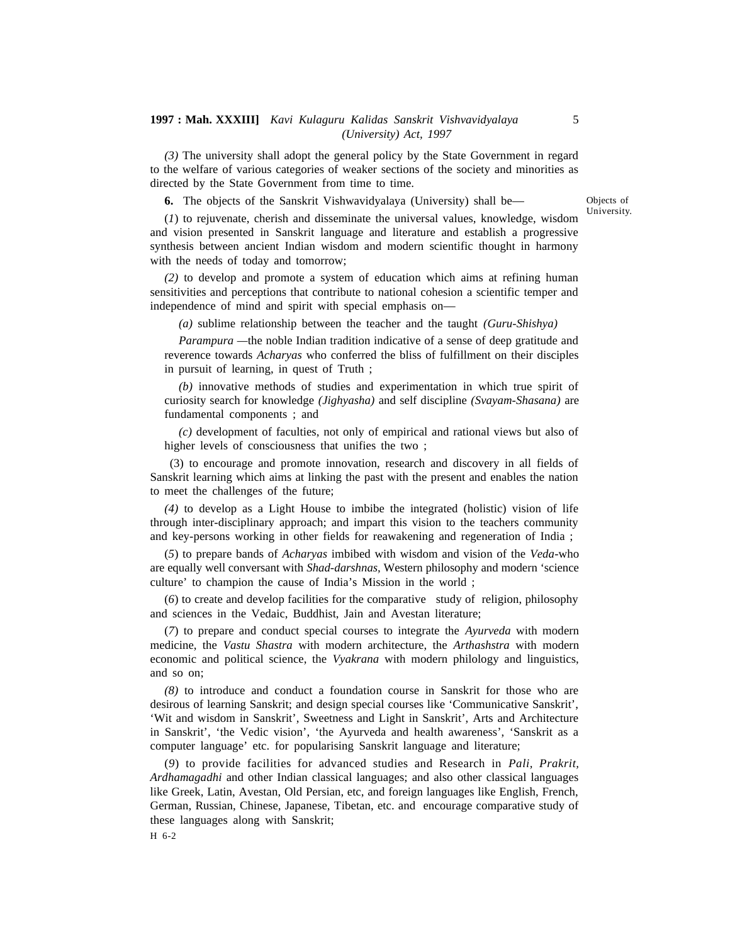*(3)* The university shall adopt the general policy by the State Government in regard to the welfare of various categories of weaker sections of the society and minorities as directed by the State Government from time to time.

**6.** The objects of the Sanskrit Vishwavidyalaya (University) shall be—

Objects of University.

(*1*) to rejuvenate, cherish and disseminate the universal values, knowledge, wisdom and vision presented in Sanskrit language and literature and establish a progressive synthesis between ancient Indian wisdom and modern scientific thought in harmony with the needs of today and tomorrow;

*(2)* to develop and promote a system of education which aims at refining human sensitivities and perceptions that contribute to national cohesion a scientific temper and independence of mind and spirit with special emphasis on—

*(a)* sublime relationship between the teacher and the taught *(Guru-Shishya)*

*Parampura —*the noble Indian tradition indicative of a sense of deep gratitude and reverence towards *Acharyas* who conferred the bliss of fulfillment on their disciples in pursuit of learning, in quest of Truth ;

*(b)* innovative methods of studies and experimentation in which true spirit of curiosity search for knowledge *(Jighyasha)* and self discipline *(Svayam-Shasana)* are fundamental components ; and

*(c)* development of faculties, not only of empirical and rational views but also of higher levels of consciousness that unifies the two ;

 (3) to encourage and promote innovation, research and discovery in all fields of Sanskrit learning which aims at linking the past with the present and enables the nation to meet the challenges of the future;

*(4)* to develop as a Light House to imbibe the integrated (holistic) vision of life through inter-disciplinary approach; and impart this vision to the teachers community and key-persons working in other fields for reawakening and regeneration of India ;

(*5*) to prepare bands of *Acharyas* imbibed with wisdom and vision of the *Veda-*who are equally well conversant with *Shad-darshnas,* Western philosophy and modern 'science culture' to champion the cause of India's Mission in the world ;

(*6*) to create and develop facilities for the comparative study of religion, philosophy and sciences in the Vedaic, Buddhist, Jain and Avestan literature;

(*7*) to prepare and conduct special courses to integrate the *Ayurveda* with modern medicine, the *Vastu Shastra* with modern architecture, the *Arthashstra* with modern economic and political science, the *Vyakrana* with modern philology and linguistics, and so on;

*(8)* to introduce and conduct a foundation course in Sanskrit for those who are desirous of learning Sanskrit; and design special courses like 'Communicative Sanskrit', 'Wit and wisdom in Sanskrit', Sweetness and Light in Sanskrit', Arts and Architecture in Sanskrit', 'the Vedic vision', 'the Ayurveda and health awareness', 'Sanskrit as a computer language' etc. for popularising Sanskrit language and literature;

(*9*) to provide facilities for advanced studies and Research in *Pali, Prakrit, Ardhamagadhi* and other Indian classical languages; and also other classical languages like Greek, Latin, Avestan, Old Persian, etc, and foreign languages like English, French, German, Russian, Chinese, Japanese, Tibetan, etc. and encourage comparative study of these languages along with Sanskrit;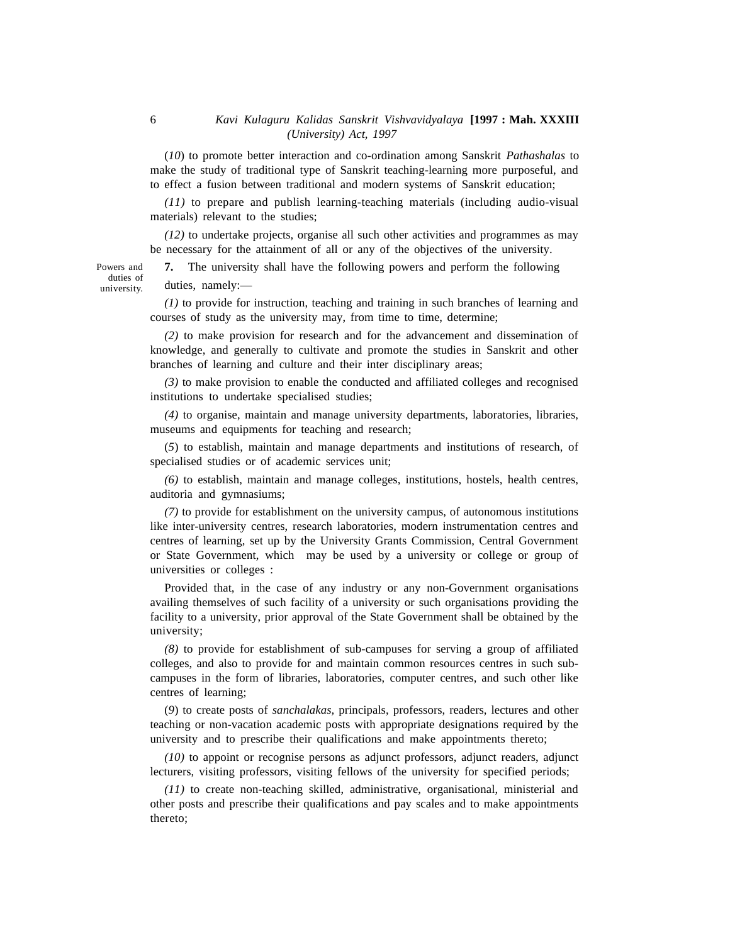(*10*) to promote better interaction and co-ordination among Sanskrit *Pathashalas* to make the study of traditional type of Sanskrit teaching-learning more purposeful, and to effect a fusion between traditional and modern systems of Sanskrit education;

*(11)* to prepare and publish learning-teaching materials (including audio-visual materials) relevant to the studies;

*(12)* to undertake projects, organise all such other activities and programmes as may be necessary for the attainment of all or any of the objectives of the university.

**7.** The university shall have the following powers and perform the following duties, namely:—

*(1)* to provide for instruction, teaching and training in such branches of learning and courses of study as the university may, from time to time, determine;

*(2)* to make provision for research and for the advancement and dissemination of knowledge, and generally to cultivate and promote the studies in Sanskrit and other branches of learning and culture and their inter disciplinary areas;

*(3)* to make provision to enable the conducted and affiliated colleges and recognised institutions to undertake specialised studies;

*(4)* to organise, maintain and manage university departments, laboratories, libraries, museums and equipments for teaching and research;

(*5*) to establish, maintain and manage departments and institutions of research, of specialised studies or of academic services unit;

*(6)* to establish, maintain and manage colleges, institutions, hostels, health centres, auditoria and gymnasiums;

*(7)* to provide for establishment on the university campus, of autonomous institutions like inter-university centres, research laboratories, modern instrumentation centres and centres of learning, set up by the University Grants Commission, Central Government or State Government, which may be used by a university or college or group of universities or colleges :

Provided that, in the case of any industry or any non-Government organisations availing themselves of such facility of a university or such organisations providing the facility to a university, prior approval of the State Government shall be obtained by the university;

*(8)* to provide for establishment of sub-campuses for serving a group of affiliated colleges, and also to provide for and maintain common resources centres in such subcampuses in the form of libraries, laboratories, computer centres, and such other like centres of learning;

(*9*) to create posts of *sanchalakas,* principals, professors, readers, lectures and other teaching or non-vacation academic posts with appropriate designations required by the university and to prescribe their qualifications and make appointments thereto;

*(10)* to appoint or recognise persons as adjunct professors, adjunct readers, adjunct lecturers, visiting professors, visiting fellows of the university for specified periods;

*(11)* to create non-teaching skilled, administrative, organisational, ministerial and other posts and prescribe their qualifications and pay scales and to make appointments thereto;

Powers and duties of university.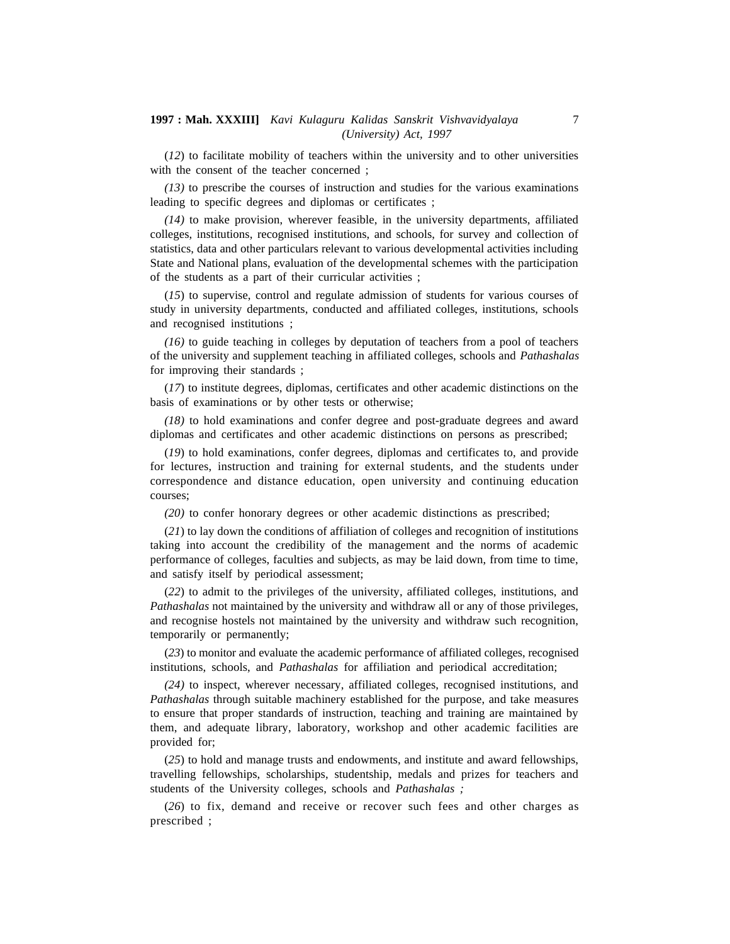(*12*) to facilitate mobility of teachers within the university and to other universities with the consent of the teacher concerned;

*(13)* to prescribe the courses of instruction and studies for the various examinations leading to specific degrees and diplomas or certificates ;

*(14)* to make provision, wherever feasible, in the university departments, affiliated colleges, institutions, recognised institutions, and schools, for survey and collection of statistics, data and other particulars relevant to various developmental activities including State and National plans, evaluation of the developmental schemes with the participation of the students as a part of their curricular activities ;

(*15*) to supervise, control and regulate admission of students for various courses of study in university departments, conducted and affiliated colleges, institutions, schools and recognised institutions ;

*(16)* to guide teaching in colleges by deputation of teachers from a pool of teachers of the university and supplement teaching in affiliated colleges, schools and *Pathashalas* for improving their standards ;

(*17*) to institute degrees, diplomas, certificates and other academic distinctions on the basis of examinations or by other tests or otherwise;

*(18)* to hold examinations and confer degree and post-graduate degrees and award diplomas and certificates and other academic distinctions on persons as prescribed;

(*19*) to hold examinations, confer degrees, diplomas and certificates to, and provide for lectures, instruction and training for external students, and the students under correspondence and distance education, open university and continuing education courses;

*(20)* to confer honorary degrees or other academic distinctions as prescribed;

(*21*) to lay down the conditions of affiliation of colleges and recognition of institutions taking into account the credibility of the management and the norms of academic performance of colleges, faculties and subjects, as may be laid down, from time to time, and satisfy itself by periodical assessment;

(*22*) to admit to the privileges of the university, affiliated colleges, institutions, and *Pathashalas* not maintained by the university and withdraw all or any of those privileges, and recognise hostels not maintained by the university and withdraw such recognition, temporarily or permanently;

(*23*) to monitor and evaluate the academic performance of affiliated colleges, recognised institutions, schools, and *Pathashalas* for affiliation and periodical accreditation;

*(24)* to inspect, wherever necessary, affiliated colleges, recognised institutions, and *Pathashalas* through suitable machinery established for the purpose, and take measures to ensure that proper standards of instruction, teaching and training are maintained by them, and adequate library, laboratory, workshop and other academic facilities are provided for;

(*25*) to hold and manage trusts and endowments, and institute and award fellowships, travelling fellowships, scholarships, studentship, medals and prizes for teachers and students of the University colleges, schools and *Pathashalas ;*

(*26*) to fix, demand and receive or recover such fees and other charges as prescribed ;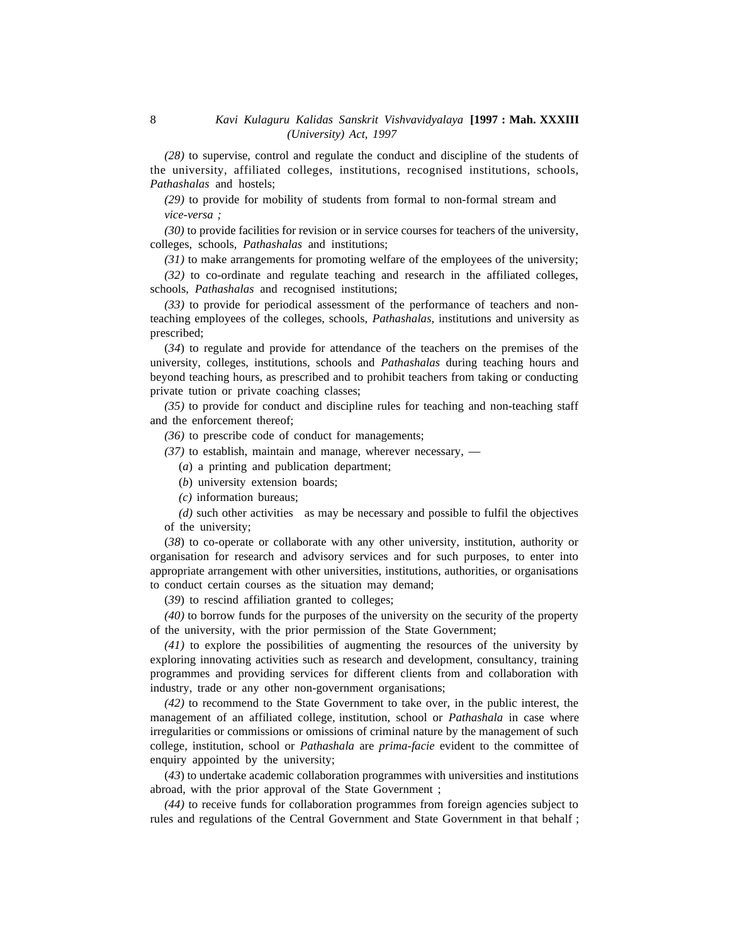*(28)* to supervise, control and regulate the conduct and discipline of the students of the university, affiliated colleges, institutions, recognised institutions, schools, *Pathashalas* and hostels;

*(29)* to provide for mobility of students from formal to non-formal stream and *vice-versa ;*

*(30)* to provide facilities for revision or in service courses for teachers of the university, colleges, schools, *Pathashalas* and institutions;

*(31)* to make arrangements for promoting welfare of the employees of the university;

*(32)* to co-ordinate and regulate teaching and research in the affiliated colleges, schools, *Pathashalas* and recognised institutions;

*(33)* to provide for periodical assessment of the performance of teachers and nonteaching employees of the colleges, schools, *Pathashalas,* institutions and university as prescribed;

(*34*) to regulate and provide for attendance of the teachers on the premises of the university, colleges, institutions, schools and *Pathashalas* during teaching hours and beyond teaching hours, as prescribed and to prohibit teachers from taking or conducting private tution or private coaching classes;

*(35)* to provide for conduct and discipline rules for teaching and non-teaching staff and the enforcement thereof;

*(36)* to prescribe code of conduct for managements;

*(37)* to establish, maintain and manage, wherever necessary, —

(*a*) a printing and publication department;

(*b*) university extension boards;

*(c)* information bureaus;

*(d)* such other activities as may be necessary and possible to fulfil the objectives of the university;

(*38*) to co-operate or collaborate with any other university, institution, authority or organisation for research and advisory services and for such purposes, to enter into appropriate arrangement with other universities, institutions, authorities, or organisations to conduct certain courses as the situation may demand;

(*39*) to rescind affiliation granted to colleges;

*(40)* to borrow funds for the purposes of the university on the security of the property of the university, with the prior permission of the State Government;

*(41)* to explore the possibilities of augmenting the resources of the university by exploring innovating activities such as research and development, consultancy, training programmes and providing services for different clients from and collaboration with industry, trade or any other non-government organisations;

*(42)* to recommend to the State Government to take over, in the public interest, the management of an affiliated college, institution, school or *Pathashala* in case where irregularities or commissions or omissions of criminal nature by the management of such college, institution, school or *Pathashala* are *prima-facie* evident to the committee of enquiry appointed by the university;

(*43*) to undertake academic collaboration programmes with universities and institutions abroad, with the prior approval of the State Government ;

*(44)* to receive funds for collaboration programmes from foreign agencies subject to rules and regulations of the Central Government and State Government in that behalf ;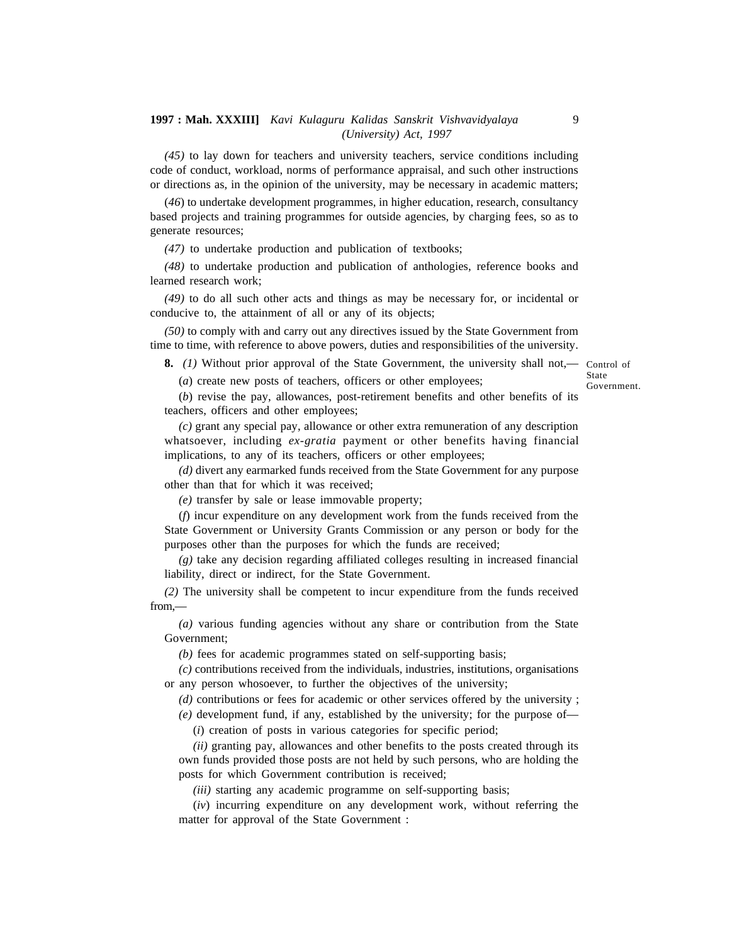*(45)* to lay down for teachers and university teachers, service conditions including code of conduct, workload, norms of performance appraisal, and such other instructions or directions as, in the opinion of the university, may be necessary in academic matters;

(*46*) to undertake development programmes, in higher education, research, consultancy based projects and training programmes for outside agencies, by charging fees, so as to generate resources;

*(47)* to undertake production and publication of textbooks;

*(48)* to undertake production and publication of anthologies, reference books and learned research work;

*(49)* to do all such other acts and things as may be necessary for, or incidental or conducive to, the attainment of all or any of its objects;

*(50)* to comply with and carry out any directives issued by the State Government from time to time, with reference to above powers, duties and responsibilities of the university.

**8.** *(1)* Without prior approval of the State Government, the university shall not,— Control of

State Government.

(*a*) create new posts of teachers, officers or other employees;

(*b*) revise the pay, allowances, post-retirement benefits and other benefits of its teachers, officers and other employees;

*(c)* grant any special pay, allowance or other extra remuneration of any description whatsoever, including *ex-gratia* payment or other benefits having financial implications, to any of its teachers, officers or other employees;

*(d)* divert any earmarked funds received from the State Government for any purpose other than that for which it was received;

*(e)* transfer by sale or lease immovable property;

(*f*) incur expenditure on any development work from the funds received from the State Government or University Grants Commission or any person or body for the purposes other than the purposes for which the funds are received;

*(g)* take any decision regarding affiliated colleges resulting in increased financial liability, direct or indirect, for the State Government.

*(2)* The university shall be competent to incur expenditure from the funds received from,—

*(a)* various funding agencies without any share or contribution from the State Government;

*(b)* fees for academic programmes stated on self-supporting basis;

*(c)* contributions received from the individuals, industries, institutions, organisations or any person whosoever, to further the objectives of the university;

*(d)* contributions or fees for academic or other services offered by the university ;

*(e)* development fund, if any, established by the university; for the purpose of—

(*i*) creation of posts in various categories for specific period;

*(ii)* granting pay, allowances and other benefits to the posts created through its own funds provided those posts are not held by such persons, who are holding the posts for which Government contribution is received;

*(iii)* starting any academic programme on self-supporting basis;

(*iv*) incurring expenditure on any development work, without referring the matter for approval of the State Government :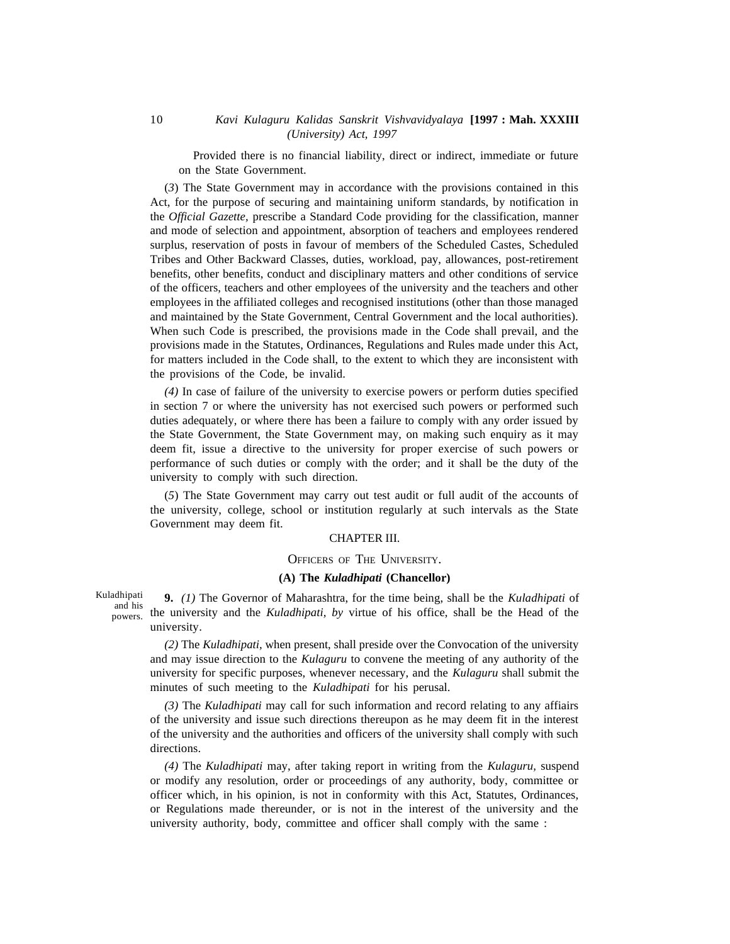Provided there is no financial liability, direct or indirect, immediate or future on the State Government.

(*3*) The State Government may in accordance with the provisions contained in this Act, for the purpose of securing and maintaining uniform standards, by notification in the *Official Gazette,* prescribe a Standard Code providing for the classification, manner and mode of selection and appointment, absorption of teachers and employees rendered surplus, reservation of posts in favour of members of the Scheduled Castes, Scheduled Tribes and Other Backward Classes, duties, workload, pay, allowances, post-retirement benefits, other benefits, conduct and disciplinary matters and other conditions of service of the officers, teachers and other employees of the university and the teachers and other employees in the affiliated colleges and recognised institutions (other than those managed and maintained by the State Government, Central Government and the local authorities). When such Code is prescribed, the provisions made in the Code shall prevail, and the provisions made in the Statutes, Ordinances, Regulations and Rules made under this Act, for matters included in the Code shall, to the extent to which they are inconsistent with the provisions of the Code, be invalid.

*(4)* In case of failure of the university to exercise powers or perform duties specified in section 7 or where the university has not exercised such powers or performed such duties adequately, or where there has been a failure to comply with any order issued by the State Government, the State Government may, on making such enquiry as it may deem fit, issue a directive to the university for proper exercise of such powers or performance of such duties or comply with the order; and it shall be the duty of the university to comply with such direction.

(*5*) The State Government may carry out test audit or full audit of the accounts of the university, college, school or institution regularly at such intervals as the State Government may deem fit.

#### CHAPTER III.

#### OFFICERS OF THE UNIVERSITY.

#### **(A) The** *Kuladhipati* **(Chancellor)**

Kuladhipati and his powers.

**9.** *(1)* The Governor of Maharashtra, for the time being, shall be the *Kuladhipati* of the university and the *Kuladhipati, by* virtue of his office, shall be the Head of the university.

*(2)* The *Kuladhipati,* when present, shall preside over the Convocation of the university and may issue direction to the *Kulaguru* to convene the meeting of any authority of the university for specific purposes, whenever necessary, and the *Kulaguru* shall submit the minutes of such meeting to the *Kuladhipati* for his perusal.

*(3)* The *Kuladhipati* may call for such information and record relating to any affiairs of the university and issue such directions thereupon as he may deem fit in the interest of the university and the authorities and officers of the university shall comply with such directions.

*(4)* The *Kuladhipati* may, after taking report in writing from the *Kulaguru,* suspend or modify any resolution, order or proceedings of any authority, body, committee or officer which, in his opinion, is not in conformity with this Act, Statutes, Ordinances, or Regulations made thereunder, or is not in the interest of the university and the university authority, body, committee and officer shall comply with the same :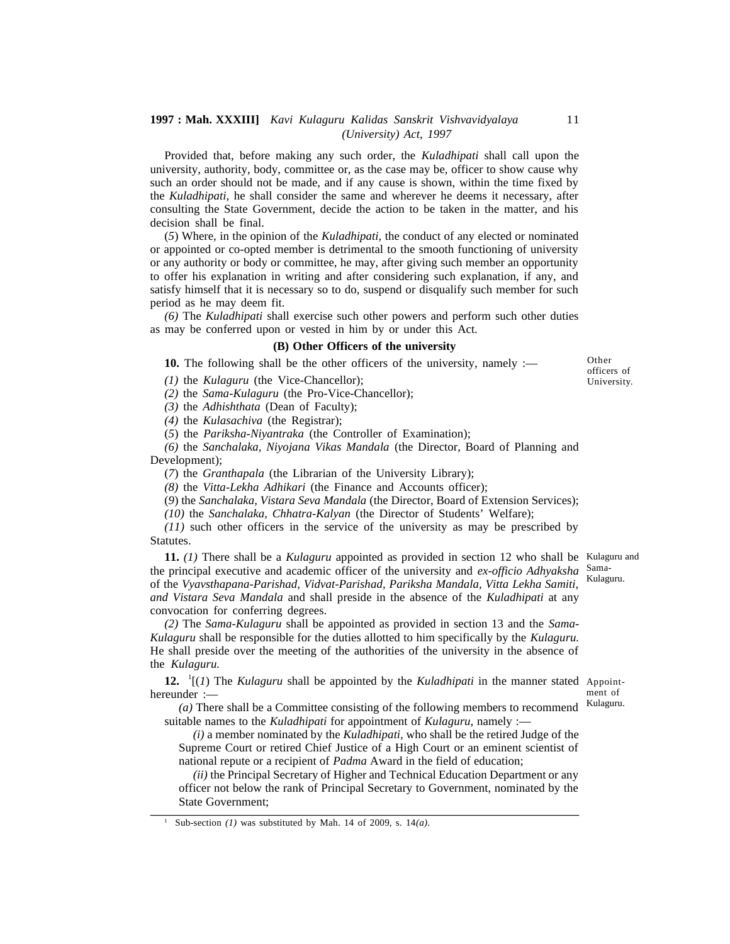Provided that, before making any such order, the *Kuladhipati* shall call upon the university, authority, body, committee or, as the case may be, officer to show cause why such an order should not be made, and if any cause is shown, within the time fixed by the *Kuladhipati,* he shall consider the same and wherever he deems it necessary, after consulting the State Government, decide the action to be taken in the matter, and his decision shall be final.

(*5*) Where, in the opinion of the *Kuladhipati,* the conduct of any elected or nominated or appointed or co-opted member is detrimental to the smooth functioning of university or any authority or body or committee, he may, after giving such member an opportunity to offer his explanation in writing and after considering such explanation, if any, and satisfy himself that it is necessary so to do, suspend or disqualify such member for such period as he may deem fit.

*(6)* The *Kuladhipati* shall exercise such other powers and perform such other duties as may be conferred upon or vested in him by or under this Act.

#### **(B) Other Officers of the university**

**10.** The following shall be the other officers of the university, namely :—

*(1)* the *Kulaguru* (the Vice-Chancellor);

*(2)* the *Sama-Kulaguru* (the Pro-Vice-Chancellor);

*(3)* the *Adhishthata* (Dean of Faculty);

*(4)* the *Kulasachiva* (the Registrar);

(*5*) the *Pariksha-Niyantraka* (the Controller of Examination);

*(6)* the *Sanchalaka, Niyojana Vikas Mandala* (the Director, Board of Planning and Development);

(*7*) the *Granthapala* (the Librarian of the University Library);

*(8)* the *Vitta-Lekha Adhikari* (the Finance and Accounts officer);

(*9*) the *Sanchalaka, Vistara Seva Mandala* (the Director, Board of Extension Services);

*(10)* the *Sanchalaka, Chhatra-Kalyan* (the Director of Students' Welfare);

*(11)* such other officers in the service of the university as may be prescribed by Statutes.

**11.** *(1)* There shall be a *Kulaguru* appointed as provided in section 12 who shall be Kulaguru and the principal executive and academic officer of the university and *ex-officio Adhyaksha* Samaof the *Vyavsthapana-Parishad, Vidvat-Parishad, Pariksha Mandala, Vitta Lekha Samiti, and Vistara Seva Mandala* and shall preside in the absence of the *Kuladhipati* at any convocation for conferring degrees. Kulaguru.

*(2)* The *Sama-Kulaguru* shall be appointed as provided in section 13 and the *Sama-Kulaguru* shall be responsible for the duties allotted to him specifically by the *Kulaguru.* He shall preside over the meeting of the authorities of the university in the absence of the *Kulaguru.*

**12.** <sup>1</sup>[(*1*) The *Kulaguru* shall be appointed by the *Kuladhipati* in the manner stated Appointhereunder :—

*(a)* There shall be a Committee consisting of the following members to recommend suitable names to the *Kuladhipati* for appointment of *Kulaguru,* namely :—

*(i)* a member nominated by the *Kuladhipati,* who shall be the retired Judge of the Supreme Court or retired Chief Justice of a High Court or an eminent scientist of national repute or a recipient of *Padma* Award in the field of education;

*(ii)* the Principal Secretary of Higher and Technical Education Department or any officer not below the rank of Principal Secretary to Government, nominated by the State Government;

<sup>1</sup> Sub-section *(1)* was substituted by Mah. 14 of 2009, s. 14*(a)*.

ment of Kulaguru.

Other officers of University.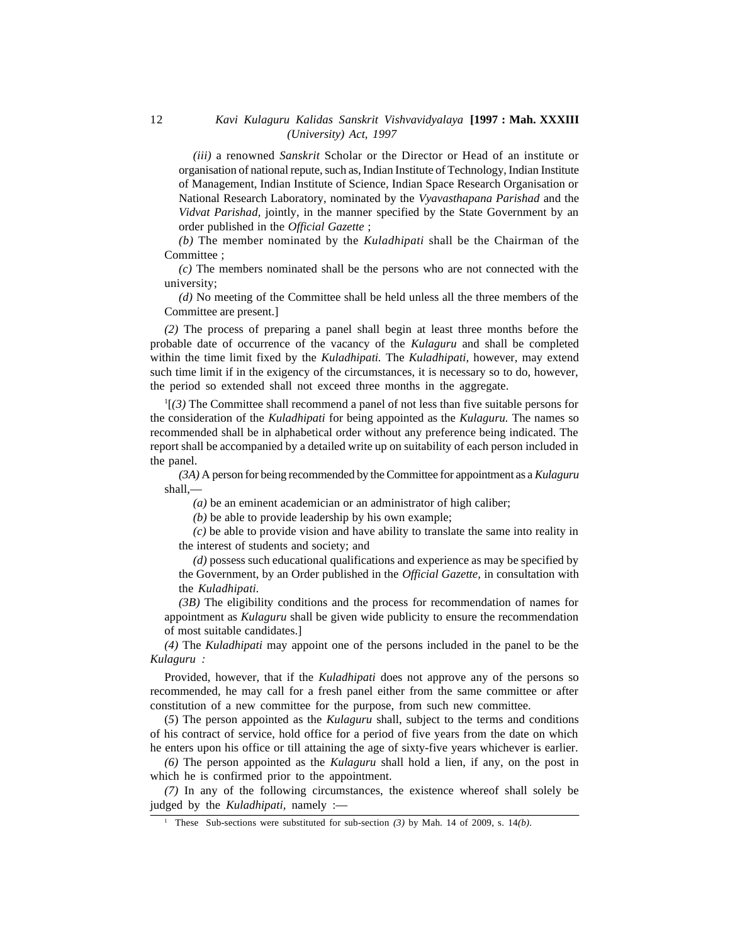*(iii)* a renowned *Sanskrit* Scholar or the Director or Head of an institute or organisation of national repute, such as, Indian Institute of Technology, Indian Institute of Management, Indian Institute of Science, Indian Space Research Organisation or National Research Laboratory, nominated by the *Vyavasthapana Parishad* and the *Vidvat Parishad,* jointly, in the manner specified by the State Government by an order published in the *Official Gazette* ;

*(b)* The member nominated by the *Kuladhipati* shall be the Chairman of the Committee ;

*(c)* The members nominated shall be the persons who are not connected with the university;

*(d)* No meeting of the Committee shall be held unless all the three members of the Committee are present.]

*(2)* The process of preparing a panel shall begin at least three months before the probable date of occurrence of the vacancy of the *Kulaguru* and shall be completed within the time limit fixed by the *Kuladhipati.* The *Kuladhipati,* however, may extend such time limit if in the exigency of the circumstances, it is necessary so to do, however, the period so extended shall not exceed three months in the aggregate.

<sup>1</sup>[*(3)* The Committee shall recommend a panel of not less than five suitable persons for the consideration of the *Kuladhipati* for being appointed as the *Kulaguru.* The names so recommended shall be in alphabetical order without any preference being indicated. The report shall be accompanied by a detailed write up on suitability of each person included in the panel.

*(3A)* A person for being recommended by the Committee for appointment as a *Kulaguru* shall,—

*(a)* be an eminent academician or an administrator of high caliber;

*(b)* be able to provide leadership by his own example;

*(c)* be able to provide vision and have ability to translate the same into reality in the interest of students and society; and

*(d)* possess such educational qualifications and experience as may be specified by the Government, by an Order published in the *Official Gazette,* in consultation with the *Kuladhipati.*

*(3B)* The eligibility conditions and the process for recommendation of names for appointment as *Kulaguru* shall be given wide publicity to ensure the recommendation of most suitable candidates.]

*(4)* The *Kuladhipati* may appoint one of the persons included in the panel to be the *Kulaguru :*

Provided, however, that if the *Kuladhipati* does not approve any of the persons so recommended, he may call for a fresh panel either from the same committee or after constitution of a new committee for the purpose, from such new committee.

(*5*) The person appointed as the *Kulaguru* shall, subject to the terms and conditions of his contract of service, hold office for a period of five years from the date on which he enters upon his office or till attaining the age of sixty-five years whichever is earlier.

*(6)* The person appointed as the *Kulaguru* shall hold a lien, if any, on the post in which he is confirmed prior to the appointment.

*(7)* In any of the following circumstances, the existence whereof shall solely be judged by the *Kuladhipati,* namely :—

<sup>1</sup> These Sub-sections were substituted for sub-section *(3)* by Mah. 14 of 2009, s. 14*(b)*.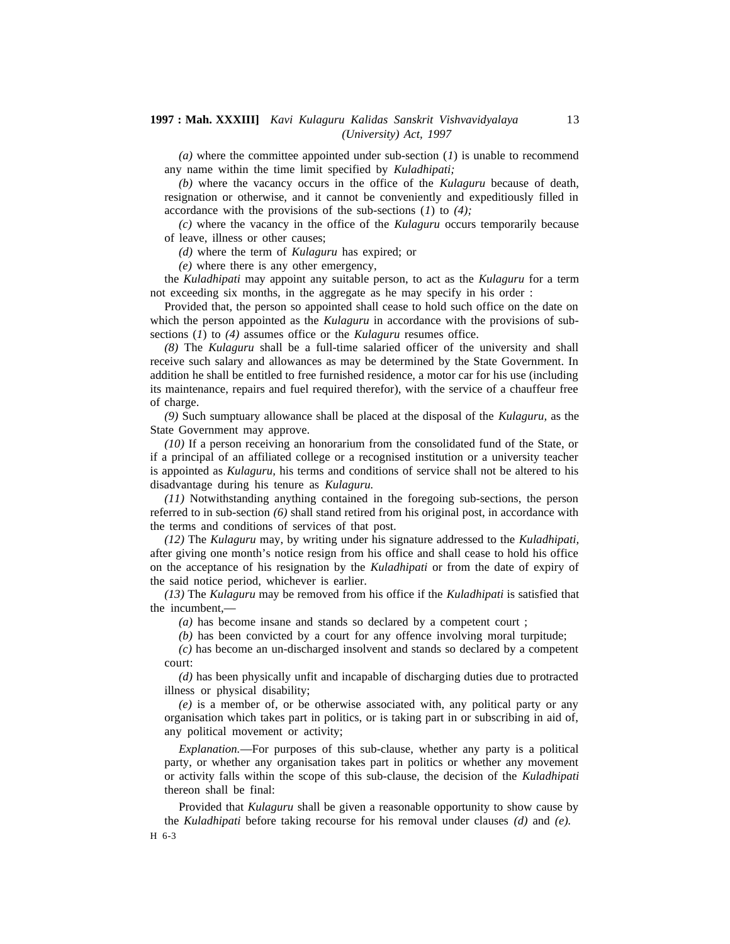*(a)* where the committee appointed under sub-section (*1*) is unable to recommend any name within the time limit specified by *Kuladhipati;*

*(b)* where the vacancy occurs in the office of the *Kulaguru* because of death, resignation or otherwise, and it cannot be conveniently and expeditiously filled in accordance with the provisions of the sub-sections (*1*) to *(4);*

*(c)* where the vacancy in the office of the *Kulaguru* occurs temporarily because of leave, illness or other causes;

*(d)* where the term of *Kulaguru* has expired; or

*(e)* where there is any other emergency,

the *Kuladhipati* may appoint any suitable person, to act as the *Kulaguru* for a term not exceeding six months, in the aggregate as he may specify in his order :

Provided that, the person so appointed shall cease to hold such office on the date on which the person appointed as the *Kulaguru* in accordance with the provisions of subsections (*1*) to *(4)* assumes office or the *Kulaguru* resumes office.

*(8)* The *Kulaguru* shall be a full-time salaried officer of the university and shall receive such salary and allowances as may be determined by the State Government. In addition he shall be entitled to free furnished residence, a motor car for his use (including its maintenance, repairs and fuel required therefor), with the service of a chauffeur free of charge.

*(9)* Such sumptuary allowance shall be placed at the disposal of the *Kulaguru,* as the State Government may approve.

*(10)* If a person receiving an honorarium from the consolidated fund of the State, or if a principal of an affiliated college or a recognised institution or a university teacher is appointed as *Kulaguru,* his terms and conditions of service shall not be altered to his disadvantage during his tenure as *Kulaguru.*

*(11)* Notwithstanding anything contained in the foregoing sub-sections, the person referred to in sub-section *(6)* shall stand retired from his original post, in accordance with the terms and conditions of services of that post.

*(12)* The *Kulaguru* may, by writing under his signature addressed to the *Kuladhipati,* after giving one month's notice resign from his office and shall cease to hold his office on the acceptance of his resignation by the *Kuladhipati* or from the date of expiry of the said notice period, whichever is earlier.

*(13)* The *Kulaguru* may be removed from his office if the *Kuladhipati* is satisfied that the incumbent,—

*(a)* has become insane and stands so declared by a competent court ;

*(b)* has been convicted by a court for any offence involving moral turpitude;

*(c)* has become an un-discharged insolvent and stands so declared by a competent court:

*(d)* has been physically unfit and incapable of discharging duties due to protracted illness or physical disability;

*(e)* is a member of, or be otherwise associated with, any political party or any organisation which takes part in politics, or is taking part in or subscribing in aid of, any political movement or activity;

*Explanation.*—For purposes of this sub-clause, whether any party is a political party, or whether any organisation takes part in politics or whether any movement or activity falls within the scope of this sub-clause, the decision of the *Kuladhipati* thereon shall be final:

Provided that *Kulaguru* shall be given a reasonable opportunity to show cause by the *Kuladhipati* before taking recourse for his removal under clauses *(d)* and *(e).* H 6-3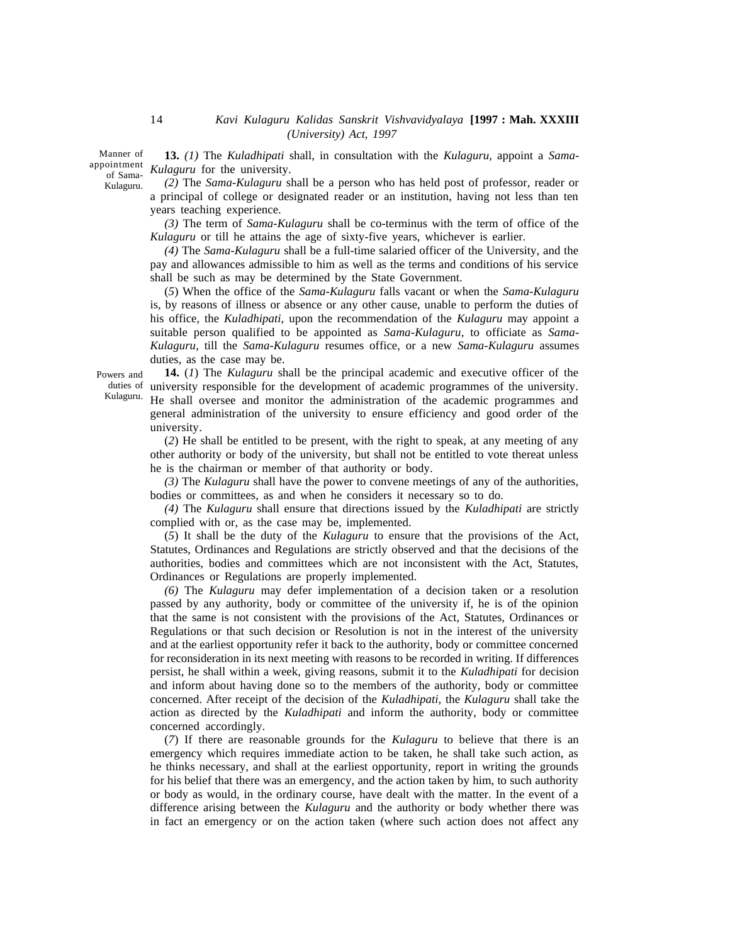Manner of of Sama-Kulaguru.

**13.** *(1)* The *Kuladhipati* shall, in consultation with the *Kulaguru,* appoint a *Sama*appointment Kulaguru for the university.

> *(2)* The *Sama-Kulaguru* shall be a person who has held post of professor, reader or a principal of college or designated reader or an institution, having not less than ten years teaching experience.

> *(3)* The term of *Sama-Kulaguru* shall be co-terminus with the term of office of the *Kulaguru* or till he attains the age of sixty-five years, whichever is earlier.

> *(4)* The *Sama-Kulaguru* shall be a full-time salaried officer of the University, and the pay and allowances admissible to him as well as the terms and conditions of his service shall be such as may be determined by the State Government.

> (*5*) When the office of the *Sama-Kulaguru* falls vacant or when the *Sama-Kulaguru* is, by reasons of illness or absence or any other cause, unable to perform the duties of his office, the *Kuladhipati,* upon the recommendation of the *Kulaguru* may appoint a suitable person qualified to be appointed as *Sama-Kulaguru,* to officiate as *Sama-Kulaguru,* till the *Sama-Kulaguru* resumes office, or a new *Sama-Kulaguru* assumes duties, as the case may be.

Powers and Kulaguru.

**14.** (*1*) The *Kulaguru* shall be the principal academic and executive officer of the duties of university responsible for the development of academic programmes of the university. He shall oversee and monitor the administration of the academic programmes and general administration of the university to ensure efficiency and good order of the university.

(*2*) He shall be entitled to be present, with the right to speak, at any meeting of any other authority or body of the university, but shall not be entitled to vote thereat unless he is the chairman or member of that authority or body.

*(3)* The *Kulaguru* shall have the power to convene meetings of any of the authorities, bodies or committees, as and when he considers it necessary so to do.

*(4)* The *Kulaguru* shall ensure that directions issued by the *Kuladhipati* are strictly complied with or, as the case may be, implemented.

(*5*) It shall be the duty of the *Kulaguru* to ensure that the provisions of the Act, Statutes, Ordinances and Regulations are strictly observed and that the decisions of the authorities, bodies and committees which are not inconsistent with the Act, Statutes, Ordinances or Regulations are properly implemented.

*(6)* The *Kulaguru* may defer implementation of a decision taken or a resolution passed by any authority, body or committee of the university if, he is of the opinion that the same is not consistent with the provisions of the Act, Statutes, Ordinances or Regulations or that such decision or Resolution is not in the interest of the university and at the earliest opportunity refer it back to the authority, body or committee concerned for reconsideration in its next meeting with reasons to be recorded in writing. If differences persist, he shall within a week, giving reasons, submit it to the *Kuladhipati* for decision and inform about having done so to the members of the authority, body or committee concerned. After receipt of the decision of the *Kuladhipati,* the *Kulaguru* shall take the action as directed by the *Kuladhipati* and inform the authority, body or committee concerned accordingly.

(*7*) If there are reasonable grounds for the *Kulaguru* to believe that there is an emergency which requires immediate action to be taken, he shall take such action, as he thinks necessary, and shall at the earliest opportunity, report in writing the grounds for his belief that there was an emergency, and the action taken by him, to such authority or body as would, in the ordinary course, have dealt with the matter. In the event of a difference arising between the *Kulaguru* and the authority or body whether there was in fact an emergency or on the action taken (where such action does not affect any

14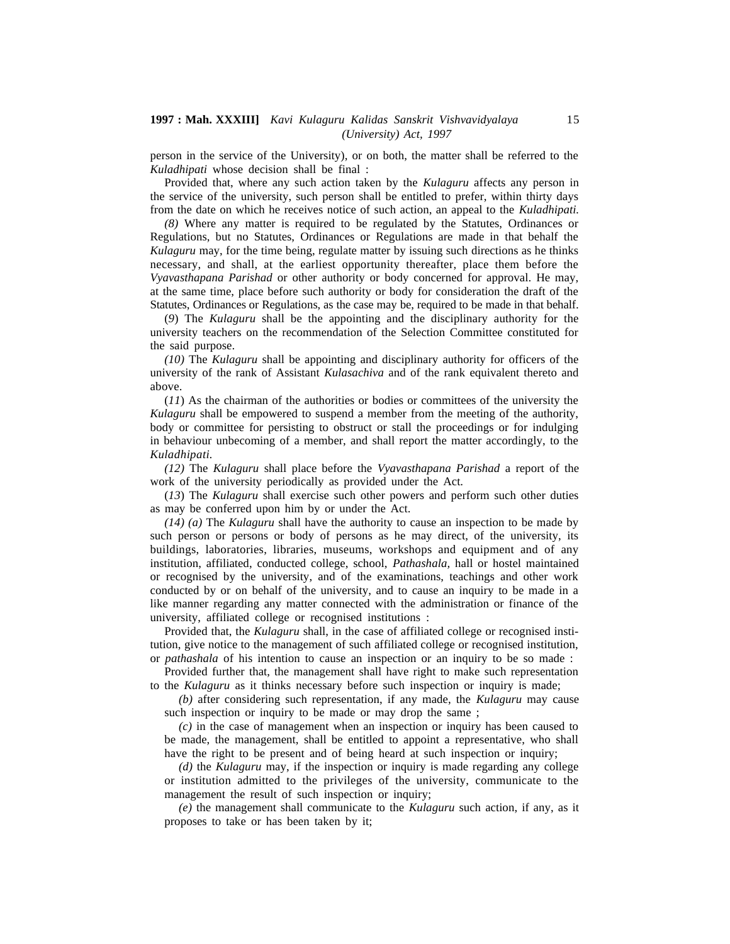person in the service of the University), or on both, the matter shall be referred to the *Kuladhipati* whose decision shall be final :

Provided that, where any such action taken by the *Kulaguru* affects any person in the service of the university, such person shall be entitled to prefer, within thirty days from the date on which he receives notice of such action, an appeal to the *Kuladhipati.*

*(8)* Where any matter is required to be regulated by the Statutes, Ordinances or Regulations, but no Statutes, Ordinances or Regulations are made in that behalf the *Kulaguru* may, for the time being, regulate matter by issuing such directions as he thinks necessary, and shall, at the earliest opportunity thereafter, place them before the *Vyavasthapana Parishad* or other authority or body concerned for approval. He may, at the same time, place before such authority or body for consideration the draft of the Statutes, Ordinances or Regulations, as the case may be, required to be made in that behalf.

(*9*) The *Kulaguru* shall be the appointing and the disciplinary authority for the university teachers on the recommendation of the Selection Committee constituted for the said purpose.

*(10)* The *Kulaguru* shall be appointing and disciplinary authority for officers of the university of the rank of Assistant *Kulasachiva* and of the rank equivalent thereto and above.

(*11*) As the chairman of the authorities or bodies or committees of the university the *Kulaguru* shall be empowered to suspend a member from the meeting of the authority, body or committee for persisting to obstruct or stall the proceedings or for indulging in behaviour unbecoming of a member, and shall report the matter accordingly, to the *Kuladhipati.*

*(12)* The *Kulaguru* shall place before the *Vyavasthapana Parishad* a report of the work of the university periodically as provided under the Act.

(*13*) The *Kulaguru* shall exercise such other powers and perform such other duties as may be conferred upon him by or under the Act.

*(14) (a)* The *Kulaguru* shall have the authority to cause an inspection to be made by such person or persons or body of persons as he may direct, of the university, its buildings, laboratories, libraries, museums, workshops and equipment and of any institution, affiliated, conducted college, school, *Pathashala,* hall or hostel maintained or recognised by the university, and of the examinations, teachings and other work conducted by or on behalf of the university, and to cause an inquiry to be made in a like manner regarding any matter connected with the administration or finance of the university, affiliated college or recognised institutions :

Provided that, the *Kulaguru* shall, in the case of affiliated college or recognised institution, give notice to the management of such affiliated college or recognised institution, or *pathashala* of his intention to cause an inspection or an inquiry to be so made :

Provided further that, the management shall have right to make such representation to the *Kulaguru* as it thinks necessary before such inspection or inquiry is made;

*(b)* after considering such representation, if any made, the *Kulaguru* may cause such inspection or inquiry to be made or may drop the same ;

*(c)* in the case of management when an inspection or inquiry has been caused to be made, the management, shall be entitled to appoint a representative, who shall have the right to be present and of being heard at such inspection or inquiry;

*(d)* the *Kulaguru* may, if the inspection or inquiry is made regarding any college or institution admitted to the privileges of the university, communicate to the management the result of such inspection or inquiry;

*(e)* the management shall communicate to the *Kulaguru* such action, if any, as it proposes to take or has been taken by it;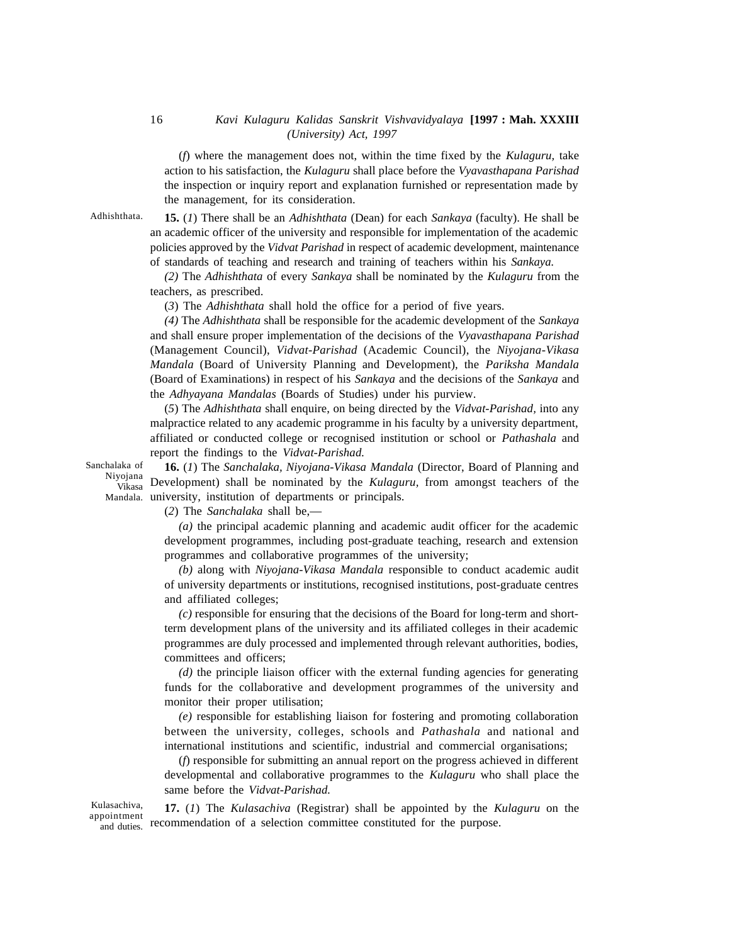(*f*) where the management does not, within the time fixed by the *Kulaguru,* take action to his satisfaction, the *Kulaguru* shall place before the *Vyavasthapana Parishad* the inspection or inquiry report and explanation furnished or representation made by the management, for its consideration.

Adhishthata.

**15.** (*1*) There shall be an *Adhishthata* (Dean) for each *Sankaya* (faculty). He shall be an academic officer of the university and responsible for implementation of the academic policies approved by the *Vidvat Parishad* in respect of academic development, maintenance of standards of teaching and research and training of teachers within his *Sankaya.*

*(2)* The *Adhishthata* of every *Sankaya* shall be nominated by the *Kulaguru* from the teachers, as prescribed.

(*3*) The *Adhishthata* shall hold the office for a period of five years.

*(4)* The *Adhishthata* shall be responsible for the academic development of the *Sankaya* and shall ensure proper implementation of the decisions of the *Vyavasthapana Parishad* (Management Council), *Vidvat-Parishad* (Academic Council), the *Niyojana-Vikasa Mandala* (Board of University Planning and Development), the *Pariksha Mandala* (Board of Examinations) in respect of his *Sankaya* and the decisions of the *Sankaya* and the *Adhyayana Mandalas* (Boards of Studies) under his purview.

(*5*) The *Adhishthata* shall enquire, on being directed by the *Vidvat-Parishad,* into any malpractice related to any academic programme in his faculty by a university department, affiliated or conducted college or recognised institution or school or *Pathashala* and report the findings to the *Vidvat-Parishad.*

Sanchalaka of Niyojana Vikasa

**16.** (*1*) The *Sanchalaka, Niyojana-Vikasa Mandala* (Director, Board of Planning and Development) shall be nominated by the *Kulaguru,* from amongst teachers of the Mandala. university, institution of departments or principals.

(*2*) The *Sanchalaka* shall be,—

*(a)* the principal academic planning and academic audit officer for the academic development programmes, including post-graduate teaching, research and extension programmes and collaborative programmes of the university;

*(b)* along with *Niyojana-Vikasa Mandala* responsible to conduct academic audit of university departments or institutions, recognised institutions, post-graduate centres and affiliated colleges;

*(c)* responsible for ensuring that the decisions of the Board for long-term and shortterm development plans of the university and its affiliated colleges in their academic programmes are duly processed and implemented through relevant authorities, bodies, committees and officers;

*(d)* the principle liaison officer with the external funding agencies for generating funds for the collaborative and development programmes of the university and monitor their proper utilisation;

*(e)* responsible for establishing liaison for fostering and promoting collaboration between the university, colleges, schools and *Pathashala* and national and international institutions and scientific, industrial and commercial organisations;

(*f*) responsible for submitting an annual report on the progress achieved in different developmental and collaborative programmes to the *Kulaguru* who shall place the same before the *Vidvat-Parishad.*

Kulasachiva,

**17.** (*1*) The *Kulasachiva* (Registrar) shall be appointed by the *Kulaguru* on the appointment<br>and duties recommendation of a selection committee constituted for the purpose. and duties.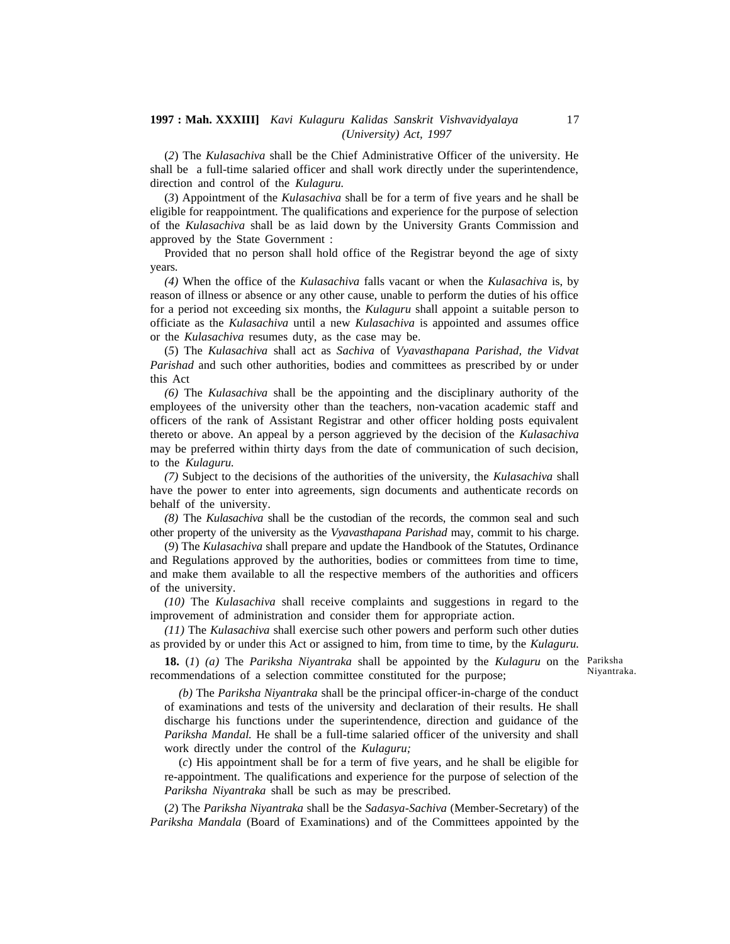(*2*) The *Kulasachiva* shall be the Chief Administrative Officer of the university. He shall be a full-time salaried officer and shall work directly under the superintendence, direction and control of the *Kulaguru.*

(*3*) Appointment of the *Kulasachiva* shall be for a term of five years and he shall be eligible for reappointment. The qualifications and experience for the purpose of selection of the *Kulasachiva* shall be as laid down by the University Grants Commission and approved by the State Government :

Provided that no person shall hold office of the Registrar beyond the age of sixty years.

*(4)* When the office of the *Kulasachiva* falls vacant or when the *Kulasachiva* is, by reason of illness or absence or any other cause, unable to perform the duties of his office for a period not exceeding six months, the *Kulaguru* shall appoint a suitable person to officiate as the *Kulasachiva* until a new *Kulasachiva* is appointed and assumes office or the *Kulasachiva* resumes duty, as the case may be.

(*5*) The *Kulasachiva* shall act as *Sachiva* of *Vyavasthapana Parishad, the Vidvat Parishad* and such other authorities, bodies and committees as prescribed by or under this Act

*(6)* The *Kulasachiva* shall be the appointing and the disciplinary authority of the employees of the university other than the teachers, non-vacation academic staff and officers of the rank of Assistant Registrar and other officer holding posts equivalent thereto or above. An appeal by a person aggrieved by the decision of the *Kulasachiva* may be preferred within thirty days from the date of communication of such decision, to the *Kulaguru.*

*(7)* Subject to the decisions of the authorities of the university, the *Kulasachiva* shall have the power to enter into agreements, sign documents and authenticate records on behalf of the university.

*(8)* The *Kulasachiva* shall be the custodian of the records, the common seal and such other property of the university as the *Vyavasthapana Parishad* may, commit to his charge.

(*9*) The *Kulasachiva* shall prepare and update the Handbook of the Statutes, Ordinance and Regulations approved by the authorities, bodies or committees from time to time, and make them available to all the respective members of the authorities and officers of the university.

*(10)* The *Kulasachiva* shall receive complaints and suggestions in regard to the improvement of administration and consider them for appropriate action.

*(11)* The *Kulasachiva* shall exercise such other powers and perform such other duties as provided by or under this Act or assigned to him, from time to time, by the *Kulaguru.*

**18.** (*1*) *(a)* The *Pariksha Niyantraka* shall be appointed by the *Kulaguru* on the Pariksha recommendations of a selection committee constituted for the purpose;

Niyantraka.

*(b)* The *Pariksha Niyantraka* shall be the principal officer-in-charge of the conduct of examinations and tests of the university and declaration of their results. He shall discharge his functions under the superintendence, direction and guidance of the *Pariksha Mandal.* He shall be a full-time salaried officer of the university and shall work directly under the control of the *Kulaguru;*

(*c*) His appointment shall be for a term of five years, and he shall be eligible for re-appointment. The qualifications and experience for the purpose of selection of the *Pariksha Niyantraka* shall be such as may be prescribed.

(*2*) The *Pariksha Niyantraka* shall be the *Sadasya-Sachiva* (Member-Secretary) of the *Pariksha Mandala* (Board of Examinations) and of the Committees appointed by the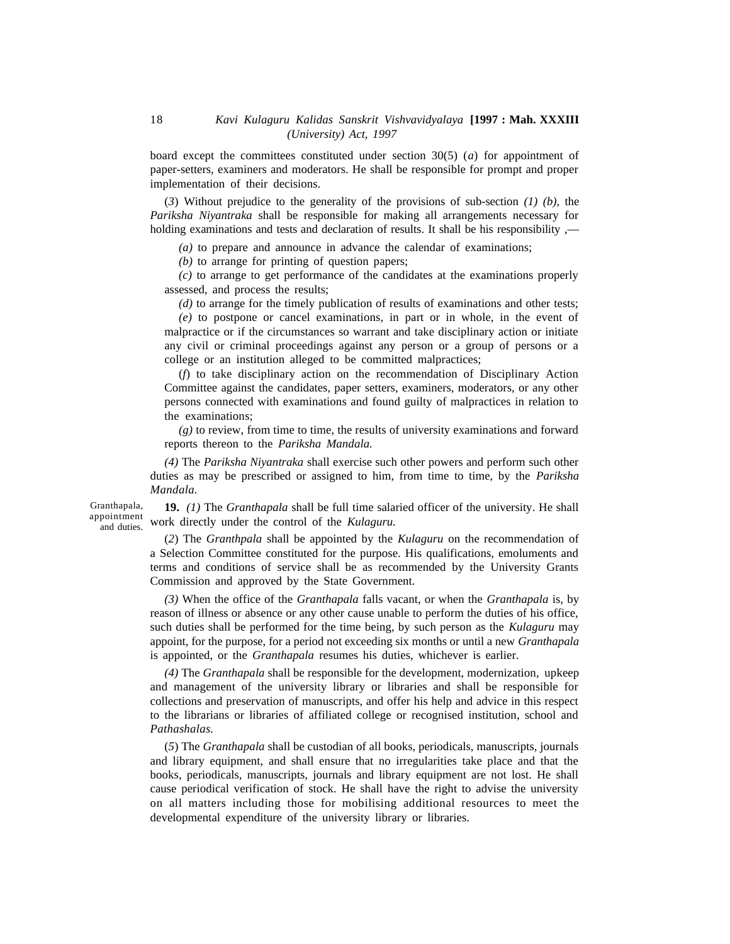board except the committees constituted under section 30(5) (*a*) for appointment of paper-setters, examiners and moderators. He shall be responsible for prompt and proper implementation of their decisions.

(*3*) Without prejudice to the generality of the provisions of sub-section *(1) (b),* the *Pariksha Niyantraka* shall be responsible for making all arrangements necessary for holding examinations and tests and declaration of results. It shall be his responsibility  $\rightarrow$ 

*(a)* to prepare and announce in advance the calendar of examinations;

*(b)* to arrange for printing of question papers;

*(c)* to arrange to get performance of the candidates at the examinations properly assessed, and process the results;

*(d)* to arrange for the timely publication of results of examinations and other tests;

*(e)* to postpone or cancel examinations, in part or in whole, in the event of malpractice or if the circumstances so warrant and take disciplinary action or initiate any civil or criminal proceedings against any person or a group of persons or a college or an institution alleged to be committed malpractices;

(*f*) to take disciplinary action on the recommendation of Disciplinary Action Committee against the candidates, paper setters, examiners, moderators, or any other persons connected with examinations and found guilty of malpractices in relation to the examinations;

*(g)* to review, from time to time, the results of university examinations and forward reports thereon to the *Pariksha Mandala.*

*(4)* The *Pariksha Niyantraka* shall exercise such other powers and perform such other duties as may be prescribed or assigned to him, from time to time, by the *Pariksha Mandala.*

Granthapala, appointment and duties.

**19.** *(1)* The *Granthapala* shall be full time salaried officer of the university. He shall work directly under the control of the *Kulaguru.*

(*2*) The *Granthpala* shall be appointed by the *Kulaguru* on the recommendation of a Selection Committee constituted for the purpose. His qualifications, emoluments and terms and conditions of service shall be as recommended by the University Grants Commission and approved by the State Government.

*(3)* When the office of the *Granthapala* falls vacant, or when the *Granthapala* is, by reason of illness or absence or any other cause unable to perform the duties of his office, such duties shall be performed for the time being, by such person as the *Kulaguru* may appoint, for the purpose, for a period not exceeding six months or until a new *Granthapala* is appointed, or the *Granthapala* resumes his duties, whichever is earlier.

*(4)* The *Granthapala* shall be responsible for the development, modernization, upkeep and management of the university library or libraries and shall be responsible for collections and preservation of manuscripts, and offer his help and advice in this respect to the librarians or libraries of affiliated college or recognised institution, school and *Pathashalas.*

(*5*) The *Granthapala* shall be custodian of all books, periodicals, manuscripts, journals and library equipment, and shall ensure that no irregularities take place and that the books, periodicals, manuscripts, journals and library equipment are not lost. He shall cause periodical verification of stock. He shall have the right to advise the university on all matters including those for mobilising additional resources to meet the developmental expenditure of the university library or libraries.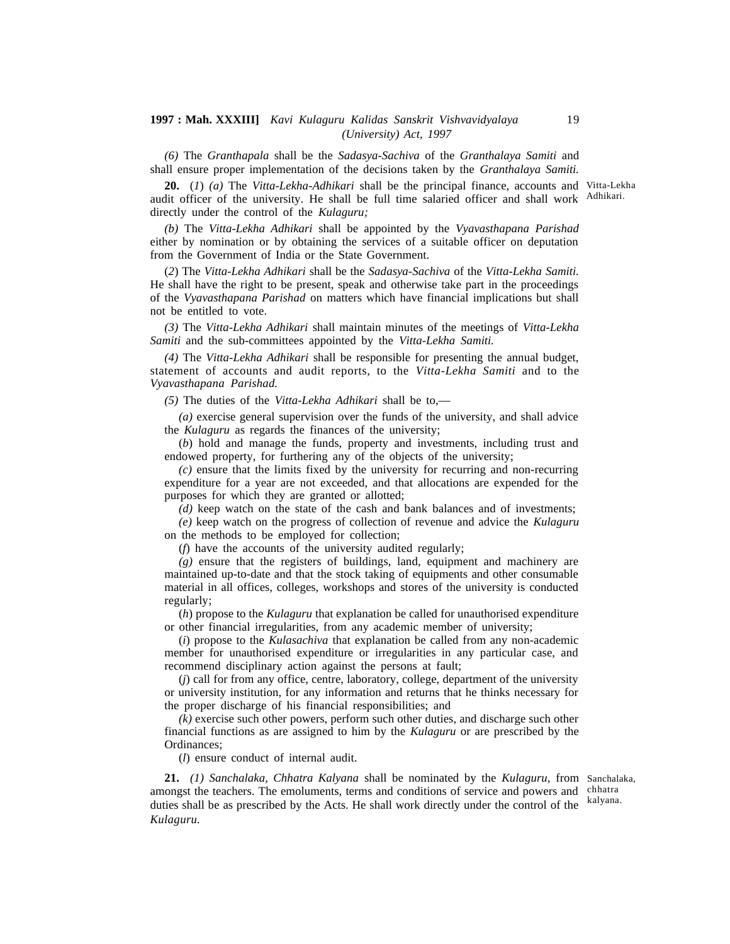*(6)* The *Granthapala* shall be the *Sadasya-Sachiva* of the *Granthalaya Samiti* and shall ensure proper implementation of the decisions taken by the *Granthalaya Samiti.*

**20.** (*1*) *(a)* The *Vitta-Lekha-Adhikari* shall be the principal finance, accounts and Vitta-Lekha audit officer of the university. He shall be full time salaried officer and shall work Adhikari. directly under the control of the *Kulaguru;*

*(b)* The *Vitta-Lekha Adhikari* shall be appointed by the *Vyavasthapana Parishad* either by nomination or by obtaining the services of a suitable officer on deputation from the Government of India or the State Government.

(*2*) The *Vitta-Lekha Adhikari* shall be the *Sadasya-Sachiva* of the *Vitta-Lekha Samiti.* He shall have the right to be present, speak and otherwise take part in the proceedings of the *Vyavasthapana Parishad* on matters which have financial implications but shall not be entitled to vote.

*(3)* The *Vitta-Lekha Adhikari* shall maintain minutes of the meetings of *Vitta-Lekha Samiti* and the sub-committees appointed by the *Vitta-Lekha Samiti.*

*(4)* The *Vitta-Lekha Adhikari* shall be responsible for presenting the annual budget, statement of accounts and audit reports, to the *Vitta-Lekha Samiti* and to the *Vyavasthapana Parishad.*

*(5)* The duties of the *Vitta-Lekha Adhikari* shall be to,—

*(a)* exercise general supervision over the funds of the university, and shall advice the *Kulaguru* as regards the finances of the university;

(*b*) hold and manage the funds, property and investments, including trust and endowed property, for furthering any of the objects of the university;

*(c)* ensure that the limits fixed by the university for recurring and non-recurring expenditure for a year are not exceeded, and that allocations are expended for the purposes for which they are granted or allotted;

*(d)* keep watch on the state of the cash and bank balances and of investments;

*(e)* keep watch on the progress of collection of revenue and advice the *Kulaguru* on the methods to be employed for collection;

(*f*) have the accounts of the university audited regularly;

*(g)* ensure that the registers of buildings, land, equipment and machinery are maintained up-to-date and that the stock taking of equipments and other consumable material in all offices, colleges, workshops and stores of the university is conducted regularly;

(*h*) propose to the *Kulaguru* that explanation be called for unauthorised expenditure or other financial irregularities, from any academic member of university;

(*i*) propose to the *Kulasachiva* that explanation be called from any non-academic member for unauthorised expenditure or irregularities in any particular case, and recommend disciplinary action against the persons at fault;

(*j*) call for from any office, centre, laboratory, college, department of the university or university institution, for any information and returns that he thinks necessary for the proper discharge of his financial responsibilities; and

*(k)* exercise such other powers, perform such other duties, and discharge such other financial functions as are assigned to him by the *Kulaguru* or are prescribed by the Ordinances;

(*l*) ensure conduct of internal audit.

**21.** *(1) Sanchalaka, Chhatra Kalyana* shall be nominated by the *Kulaguru,* from Sanchalaka, amongst the teachers. The emoluments, terms and conditions of service and powers and chhatra duties shall be as prescribed by the Acts. He shall work directly under the control of the kalyana. *Kulaguru.*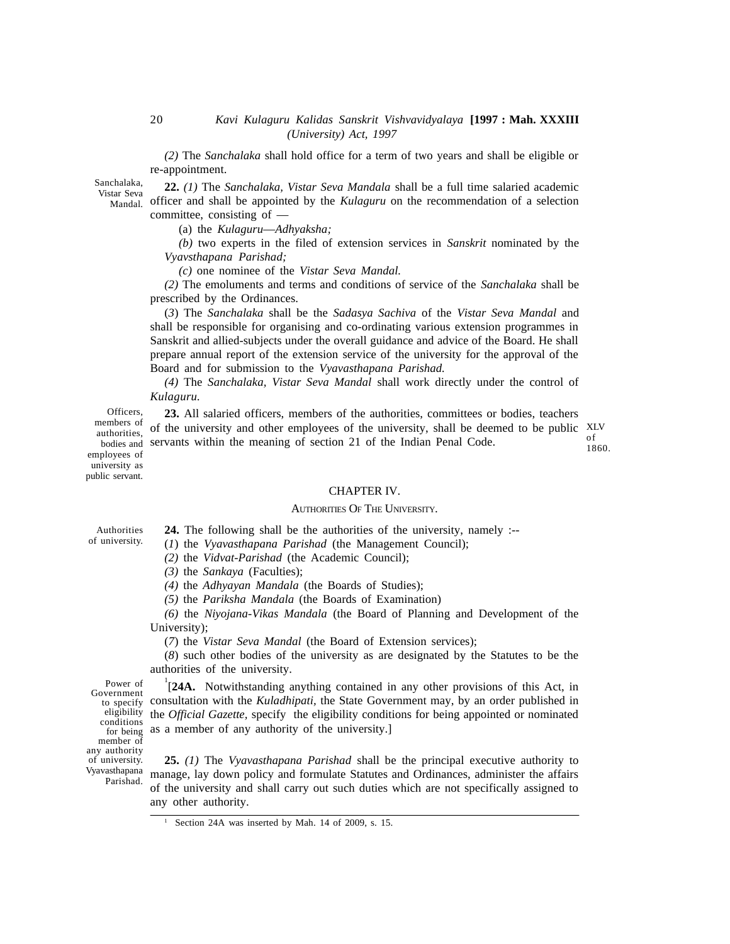*(2)* The *Sanchalaka* shall hold office for a term of two years and shall be eligible or re-appointment.

Sanchalaka, Vistar Seva

Mandal.

**22.** *(1)* The *Sanchalaka, Vistar Seva Mandala* shall be a full time salaried academic officer and shall be appointed by the *Kulaguru* on the recommendation of a selection committee, consisting of —

(a) the *Kulaguru*—*Adhyaksha;*

*(b)* two experts in the filed of extension services in *Sanskrit* nominated by the *Vyavsthapana Parishad;*

*(c)* one nominee of the *Vistar Seva Mandal.*

*(2)* The emoluments and terms and conditions of service of the *Sanchalaka* shall be prescribed by the Ordinances.

(*3*) The *Sanchalaka* shall be the *Sadasya Sachiva* of the *Vistar Seva Mandal* and shall be responsible for organising and co-ordinating various extension programmes in Sanskrit and allied-subjects under the overall guidance and advice of the Board. He shall prepare annual report of the extension service of the university for the approval of the Board and for submission to the *Vyavasthapana Parishad.*

*(4)* The *Sanchalaka, Vistar Seva Mandal* shall work directly under the control of *Kulaguru.*

**23.** All salaried officers, members of the authorities, committees or bodies, teachers of the university and other employees of the university, shall be deemed to be public XLV bodies and servants within the meaning of section 21 of the Indian Penal Code. Officers, members of authorities, employees of university as of 1860.

#### CHAPTER IV.

#### AUTHORITIES OF THE UNIVERSITY.

Authorities of university.

public servant.

**24.** The following shall be the authorities of the university, namely :--

(*1*) the *Vyavasthapana Parishad* (the Management Council);

*(2)* the *Vidvat-Parishad* (the Academic Council);

*(3)* the *Sankaya* (Faculties);

*(4)* the *Adhyayan Mandala* (the Boards of Studies);

*(5)* the *Pariksha Mandala* (the Boards of Examination)

*(6)* the *Niyojana-Vikas Mandala* (the Board of Planning and Development of the University);

(*7*) the *Vistar Seva Mandal* (the Board of Extension services);

(*8*) such other bodies of the university as are designated by the Statutes to be the authorities of the university.

Vyavasthapana Parishad. Power of Government to specify eligibility conditions for being member of any authority of university.

<sup>1</sup>[**24A.** Notwithstanding anything contained in any other provisions of this Act, in consultation with the *Kuladhipati,* the State Government may, by an order published in the *Official Gazette,* specify the eligibility conditions for being appointed or nominated as a member of any authority of the university.]

**25.** *(1)* The *Vyavasthapana Parishad* shall be the principal executive authority to manage, lay down policy and formulate Statutes and Ordinances, administer the affairs of the university and shall carry out such duties which are not specifically assigned to any other authority.

Section 24A was inserted by Mah. 14 of 2009, s. 15.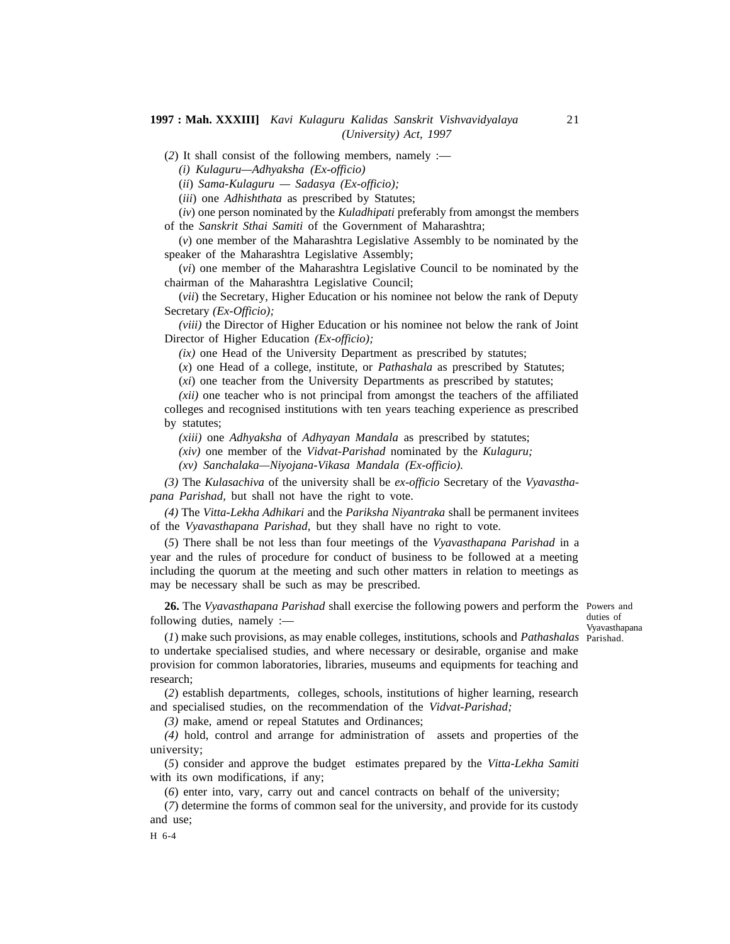(*2*) It shall consist of the following members, namely :—

*(i) Kulaguru—Adhyaksha (Ex-officio)*

(*ii*) *Sama-Kulaguru — Sadasya (Ex-officio);*

(*iii*) one *Adhishthata* as prescribed by Statutes;

(*iv*) one person nominated by the *Kuladhipati* preferably from amongst the members of the *Sanskrit Sthai Samiti* of the Government of Maharashtra;

(*v*) one member of the Maharashtra Legislative Assembly to be nominated by the speaker of the Maharashtra Legislative Assembly;

(*vi*) one member of the Maharashtra Legislative Council to be nominated by the chairman of the Maharashtra Legislative Council;

(*vii*) the Secretary, Higher Education or his nominee not below the rank of Deputy Secretary *(Ex-Officio);*

*(viii)* the Director of Higher Education or his nominee not below the rank of Joint Director of Higher Education *(Ex-officio);*

*(ix)* one Head of the University Department as prescribed by statutes;

(*x*) one Head of a college, institute, or *Pathashala* as prescribed by Statutes;

(*xi*) one teacher from the University Departments as prescribed by statutes;

*(xii)* one teacher who is not principal from amongst the teachers of the affiliated colleges and recognised institutions with ten years teaching experience as prescribed by statutes;

*(xiii)* one *Adhyaksha* of *Adhyayan Mandala* as prescribed by statutes;

*(xiv)* one member of the *Vidvat-Parishad* nominated by the *Kulaguru;*

*(xv) Sanchalaka—Niyojana-Vikasa Mandala (Ex-officio).*

*(3)* The *Kulasachiva* of the university shall be *ex-officio* Secretary of the *Vyavasthapana Parishad,* but shall not have the right to vote.

*(4)* The *Vitta-Lekha Adhikari* and the *Pariksha Niyantraka* shall be permanent invitees of the *Vyavasthapana Parishad,* but they shall have no right to vote.

(*5*) There shall be not less than four meetings of the *Vyavasthapana Parishad* in a year and the rules of procedure for conduct of business to be followed at a meeting including the quorum at the meeting and such other matters in relation to meetings as may be necessary shall be such as may be prescribed.

**26.** The *Vyavasthapana Parishad* shall exercise the following powers and perform the Powers and following duties, namely :—

duties of Vyavasthapana

(*1*) make such provisions, as may enable colleges, institutions, schools and *Pathashalas* Parishad. to undertake specialised studies, and where necessary or desirable, organise and make provision for common laboratories, libraries, museums and equipments for teaching and research;

(*2*) establish departments, colleges, schools, institutions of higher learning, research and specialised studies, on the recommendation of the *Vidvat-Parishad;*

*(3)* make, amend or repeal Statutes and Ordinances;

*(4)* hold, control and arrange for administration of assets and properties of the university;

(*5*) consider and approve the budget estimates prepared by the *Vitta-Lekha Samiti* with its own modifications, if any;

(*6*) enter into, vary, carry out and cancel contracts on behalf of the university;

(*7*) determine the forms of common seal for the university, and provide for its custody and use;

H 6-4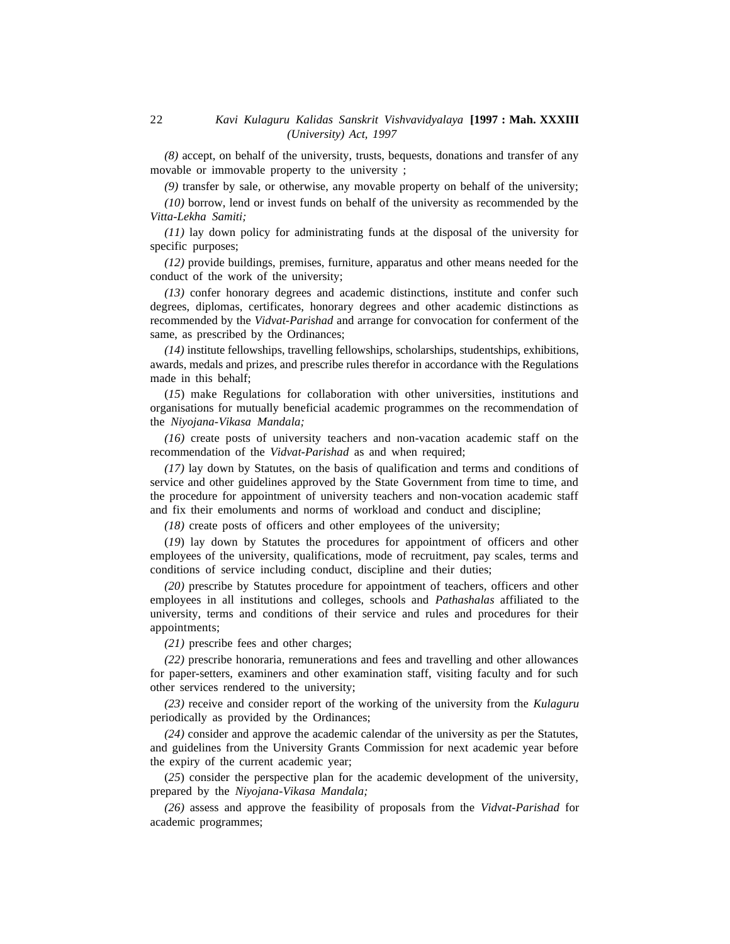*(8)* accept, on behalf of the university, trusts, bequests, donations and transfer of any movable or immovable property to the university ;

*(9)* transfer by sale, or otherwise, any movable property on behalf of the university;

*(10)* borrow, lend or invest funds on behalf of the university as recommended by the *Vitta-Lekha Samiti;*

*(11)* lay down policy for administrating funds at the disposal of the university for specific purposes;

*(12)* provide buildings, premises, furniture, apparatus and other means needed for the conduct of the work of the university;

*(13)* confer honorary degrees and academic distinctions, institute and confer such degrees, diplomas, certificates, honorary degrees and other academic distinctions as recommended by the *Vidvat-Parishad* and arrange for convocation for conferment of the same, as prescribed by the Ordinances;

*(14)* institute fellowships, travelling fellowships, scholarships, studentships, exhibitions, awards, medals and prizes, and prescribe rules therefor in accordance with the Regulations made in this behalf;

(*15*) make Regulations for collaboration with other universities, institutions and organisations for mutually beneficial academic programmes on the recommendation of the *Niyojana-Vikasa Mandala;*

*(16)* create posts of university teachers and non-vacation academic staff on the recommendation of the *Vidvat-Parishad* as and when required;

*(17)* lay down by Statutes, on the basis of qualification and terms and conditions of service and other guidelines approved by the State Government from time to time, and the procedure for appointment of university teachers and non-vocation academic staff and fix their emoluments and norms of workload and conduct and discipline;

*(18)* create posts of officers and other employees of the university;

(*19*) lay down by Statutes the procedures for appointment of officers and other employees of the university, qualifications, mode of recruitment, pay scales, terms and conditions of service including conduct, discipline and their duties;

*(20)* prescribe by Statutes procedure for appointment of teachers, officers and other employees in all institutions and colleges, schools and *Pathashalas* affiliated to the university, terms and conditions of their service and rules and procedures for their appointments;

*(21)* prescribe fees and other charges;

*(22)* prescribe honoraria, remunerations and fees and travelling and other allowances for paper-setters, examiners and other examination staff, visiting faculty and for such other services rendered to the university;

*(23)* receive and consider report of the working of the university from the *Kulaguru* periodically as provided by the Ordinances;

*(24)* consider and approve the academic calendar of the university as per the Statutes, and guidelines from the University Grants Commission for next academic year before the expiry of the current academic year;

(*25*) consider the perspective plan for the academic development of the university, prepared by the *Niyojana-Vikasa Mandala;*

*(26)* assess and approve the feasibility of proposals from the *Vidvat-Parishad* for academic programmes;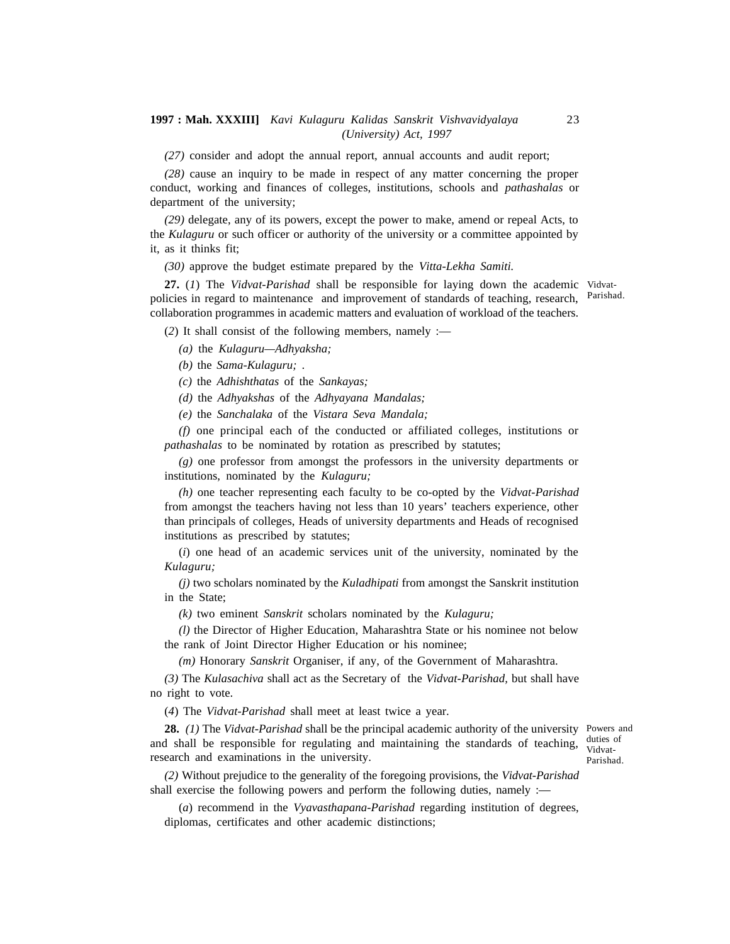*(27)* consider and adopt the annual report, annual accounts and audit report;

*(28)* cause an inquiry to be made in respect of any matter concerning the proper conduct, working and finances of colleges, institutions, schools and *pathashalas* or department of the university;

*(29)* delegate, any of its powers, except the power to make, amend or repeal Acts, to the *Kulaguru* or such officer or authority of the university or a committee appointed by it, as it thinks fit;

*(30)* approve the budget estimate prepared by the *Vitta-Lekha Samiti.*

**27.** (*1*) The *Vidvat-Parishad* shall be responsible for laying down the academic Vidvatpolicies in regard to maintenance and improvement of standards of teaching, research, Parishad. collaboration programmes in academic matters and evaluation of workload of the teachers.

(*2*) It shall consist of the following members, namely :—

*(a)* the *Kulaguru—Adhyaksha;*

*(b)* the *Sama-Kulaguru;* .

*(c)* the *Adhishthatas* of the *Sankayas;*

*(d)* the *Adhyakshas* of the *Adhyayana Mandalas;*

*(e)* the *Sanchalaka* of the *Vistara Seva Mandala;*

*(f)* one principal each of the conducted or affiliated colleges, institutions or *pathashalas* to be nominated by rotation as prescribed by statutes;

*(g)* one professor from amongst the professors in the university departments or institutions, nominated by the *Kulaguru;*

*(h)* one teacher representing each faculty to be co-opted by the *Vidvat-Parishad* from amongst the teachers having not less than 10 years' teachers experience, other than principals of colleges, Heads of university departments and Heads of recognised institutions as prescribed by statutes;

(*i*) one head of an academic services unit of the university, nominated by the *Kulaguru;*

*(j)* two scholars nominated by the *Kuladhipati* from amongst the Sanskrit institution in the State;

*(k)* two eminent *Sanskrit* scholars nominated by the *Kulaguru;*

*(l)* the Director of Higher Education, Maharashtra State or his nominee not below the rank of Joint Director Higher Education or his nominee;

*(m)* Honorary *Sanskrit* Organiser, if any, of the Government of Maharashtra.

*(3)* The *Kulasachiva* shall act as the Secretary of the *Vidvat-Parishad,* but shall have no right to vote.

(*4*) The *Vidvat-Parishad* shall meet at least twice a year.

**28.** *(1)* The *Vidvat-Parishad* shall be the principal academic authority of the university Powers and and shall be responsible for regulating and maintaining the standards of teaching, research and examinations in the university.

duties of Vidvat-Parishad.

*(2)* Without prejudice to the generality of the foregoing provisions, the *Vidvat-Parishad* shall exercise the following powers and perform the following duties, namely :—

(*a*) recommend in the *Vyavasthapana-Parishad* regarding institution of degrees, diplomas, certificates and other academic distinctions;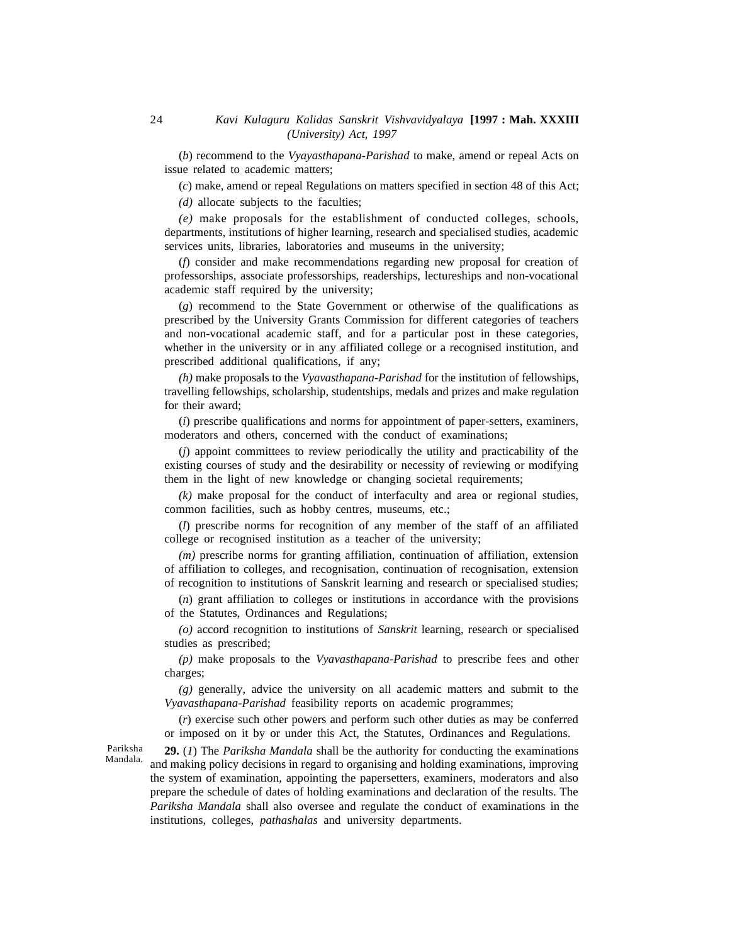(*b*) recommend to the *Vyayasthapana-Parishad* to make, amend or repeal Acts on issue related to academic matters;

(*c*) make, amend or repeal Regulations on matters specified in section 48 of this Act;

*(d)* allocate subjects to the faculties;

*(e)* make proposals for the establishment of conducted colleges, schools, departments, institutions of higher learning, research and specialised studies, academic services units, libraries, laboratories and museums in the university;

(*f*) consider and make recommendations regarding new proposal for creation of professorships, associate professorships, readerships, lectureships and non-vocational academic staff required by the university;

(*g*) recommend to the State Government or otherwise of the qualifications as prescribed by the University Grants Commission for different categories of teachers and non-vocational academic staff, and for a particular post in these categories, whether in the university or in any affiliated college or a recognised institution, and prescribed additional qualifications, if any;

*(h)* make proposals to the *Vyavasthapana-Parishad* for the institution of fellowships, travelling fellowships, scholarship, studentships, medals and prizes and make regulation for their award;

(*i*) prescribe qualifications and norms for appointment of paper-setters, examiners, moderators and others, concerned with the conduct of examinations;

(*j*) appoint committees to review periodically the utility and practicability of the existing courses of study and the desirability or necessity of reviewing or modifying them in the light of new knowledge or changing societal requirements;

*(k)* make proposal for the conduct of interfaculty and area or regional studies, common facilities, such as hobby centres, museums, etc.;

(*l*) prescribe norms for recognition of any member of the staff of an affiliated college or recognised institution as a teacher of the university;

*(m)* prescribe norms for granting affiliation, continuation of affiliation, extension of affiliation to colleges, and recognisation, continuation of recognisation, extension of recognition to institutions of Sanskrit learning and research or specialised studies;

(*n*) grant affiliation to colleges or institutions in accordance with the provisions of the Statutes, Ordinances and Regulations;

*(o)* accord recognition to institutions of *Sanskrit* learning, research or specialised studies as prescribed;

*(p)* make proposals to the *Vyavasthapana-Parishad* to prescribe fees and other charges;

*(g)* generally, advice the university on all academic matters and submit to the *Vyavasthapana-Parishad* feasibility reports on academic programmes;

(*r*) exercise such other powers and perform such other duties as may be conferred or imposed on it by or under this Act, the Statutes, Ordinances and Regulations.

Pariksha Mandala.

**29.** (*1*) The *Pariksha Mandala* shall be the authority for conducting the examinations and making policy decisions in regard to organising and holding examinations, improving the system of examination, appointing the papersetters, examiners, moderators and also prepare the schedule of dates of holding examinations and declaration of the results. The *Pariksha Mandala* shall also oversee and regulate the conduct of examinations in the institutions, colleges, *pathashalas* and university departments.

24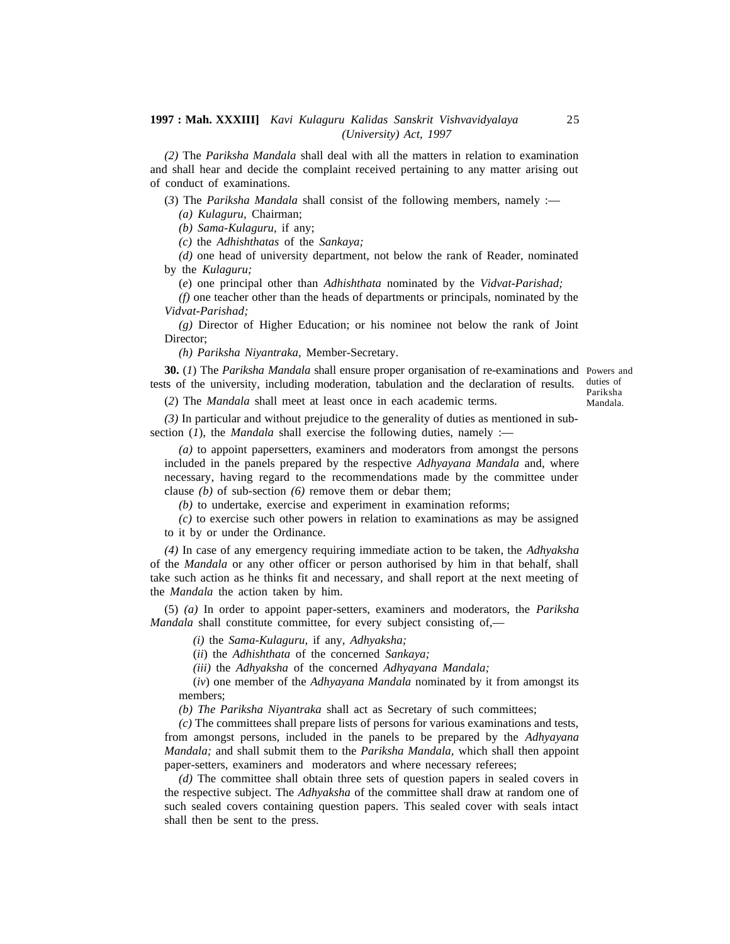*(2)* The *Pariksha Mandala* shall deal with all the matters in relation to examination and shall hear and decide the complaint received pertaining to any matter arising out of conduct of examinations.

(*3*) The *Pariksha Mandala* shall consist of the following members, namely :—

*(a) Kulaguru,* Chairman;

*(b) Sama-Kulaguru,* if any;

*(c)* the *Adhishthatas* of the *Sankaya;*

*(d)* one head of university department, not below the rank of Reader, nominated by the *Kulaguru;*

(*e*) one principal other than *Adhishthata* nominated by the *Vidvat-Parishad;*

*(f)* one teacher other than the heads of departments or principals, nominated by the *Vidvat-Parishad;*

*(g)* Director of Higher Education; or his nominee not below the rank of Joint Director;

*(h) Pariksha Niyantraka,* Member-Secretary.

**30.** (*1*) The *Pariksha Mandala* shall ensure proper organisation of re-examinations and Powers and tests of the university, including moderation, tabulation and the declaration of results. duties of Pariksha

(*2*) The *Mandala* shall meet at least once in each academic terms.

*(3)* In particular and without prejudice to the generality of duties as mentioned in subsection (*1*), the *Mandala* shall exercise the following duties, namely :—

*(a)* to appoint papersetters, examiners and moderators from amongst the persons included in the panels prepared by the respective *Adhyayana Mandala* and, where necessary, having regard to the recommendations made by the committee under clause *(b)* of sub-section *(6)* remove them or debar them;

*(b)* to undertake, exercise and experiment in examination reforms;

*(c)* to exercise such other powers in relation to examinations as may be assigned to it by or under the Ordinance.

*(4)* In case of any emergency requiring immediate action to be taken, the *Adhyaksha* of the *Mandala* or any other officer or person authorised by him in that behalf, shall take such action as he thinks fit and necessary, and shall report at the next meeting of the *Mandala* the action taken by him.

(5) *(a)* In order to appoint paper-setters, examiners and moderators, the *Pariksha Mandala* shall constitute committee, for every subject consisting of,—

*(i)* the *Sama-Kulaguru,* if any, *Adhyaksha;*

(*ii*) the *Adhishthata* of the concerned *Sankaya;*

*(iii)* the *Adhyaksha* of the concerned *Adhyayana Mandala;*

(*iv*) one member of the *Adhyayana Mandala* nominated by it from amongst its members;

*(b) The Pariksha Niyantraka* shall act as Secretary of such committees;

*(c)* The committees shall prepare lists of persons for various examinations and tests, from amongst persons, included in the panels to be prepared by the *Adhyayana Mandala;* and shall submit them to the *Pariksha Mandala,* which shall then appoint paper-setters, examiners and moderators and where necessary referees;

*(d)* The committee shall obtain three sets of question papers in sealed covers in the respective subject. The *Adhyaksha* of the committee shall draw at random one of such sealed covers containing question papers. This sealed cover with seals intact shall then be sent to the press.

Mandala.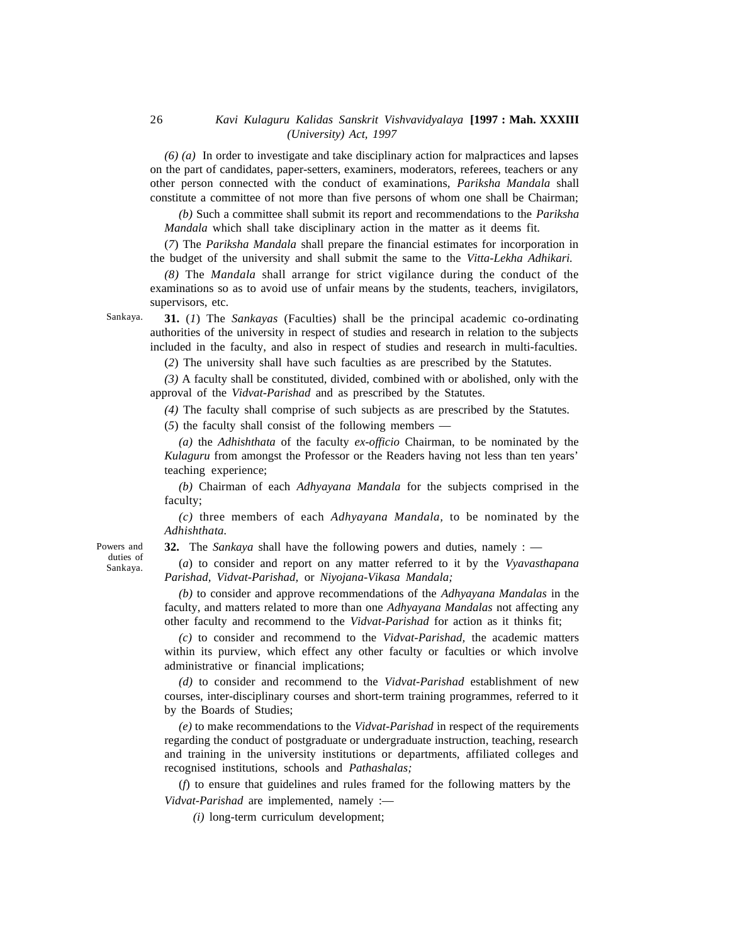*(6) (a)* In order to investigate and take disciplinary action for malpractices and lapses on the part of candidates, paper-setters, examiners, moderators, referees, teachers or any other person connected with the conduct of examinations, *Pariksha Mandala* shall constitute a committee of not more than five persons of whom one shall be Chairman;

*(b)* Such a committee shall submit its report and recommendations to the *Pariksha Mandala* which shall take disciplinary action in the matter as it deems fit.

(*7*) The *Pariksha Mandala* shall prepare the financial estimates for incorporation in the budget of the university and shall submit the same to the *Vitta-Lekha Adhikari.*

*(8)* The *Mandala* shall arrange for strict vigilance during the conduct of the examinations so as to avoid use of unfair means by the students, teachers, invigilators, supervisors, etc.

Sankaya.

**31.** (*1*) The *Sankayas* (Faculties) shall be the principal academic co-ordinating authorities of the university in respect of studies and research in relation to the subjects included in the faculty, and also in respect of studies and research in multi-faculties.

(*2*) The university shall have such faculties as are prescribed by the Statutes.

*(3)* A faculty shall be constituted, divided, combined with or abolished, only with the approval of the *Vidvat-Parishad* and as prescribed by the Statutes.

*(4)* The faculty shall comprise of such subjects as are prescribed by the Statutes.

(*5*) the faculty shall consist of the following members —

*(a)* the *Adhishthata* of the faculty *ex-officio* Chairman, to be nominated by the *Kulaguru* from amongst the Professor or the Readers having not less than ten years' teaching experience;

*(b)* Chairman of each *Adhyayana Mandala* for the subjects comprised in the faculty;

*(c)* three members of each *Adhyayana Mandala,* to be nominated by the *Adhishthata.*

**32.** The *Sankaya* shall have the following powers and duties, namely : —

(*a*) to consider and report on any matter referred to it by the *Vyavasthapana Parishad, Vidvat-Parishad,* or *Niyojana-Vikasa Mandala;*

*(b)* to consider and approve recommendations of the *Adhyayana Mandalas* in the faculty, and matters related to more than one *Adhyayana Mandalas* not affecting any other faculty and recommend to the *Vidvat-Parishad* for action as it thinks fit;

*(c)* to consider and recommend to the *Vidvat-Parishad,* the academic matters within its purview, which effect any other faculty or faculties or which involve administrative or financial implications;

*(d)* to consider and recommend to the *Vidvat-Parishad* establishment of new courses, inter-disciplinary courses and short-term training programmes, referred to it by the Boards of Studies;

*(e)* to make recommendations to the *Vidvat-Parishad* in respect of the requirements regarding the conduct of postgraduate or undergraduate instruction, teaching, research and training in the university institutions or departments, affiliated colleges and recognised institutions, schools and *Pathashalas;*

(*f*) to ensure that guidelines and rules framed for the following matters by the *Vidvat-Parishad* are implemented, namely :—

*(i)* long-term curriculum development;

Powers and duties of Sankaya.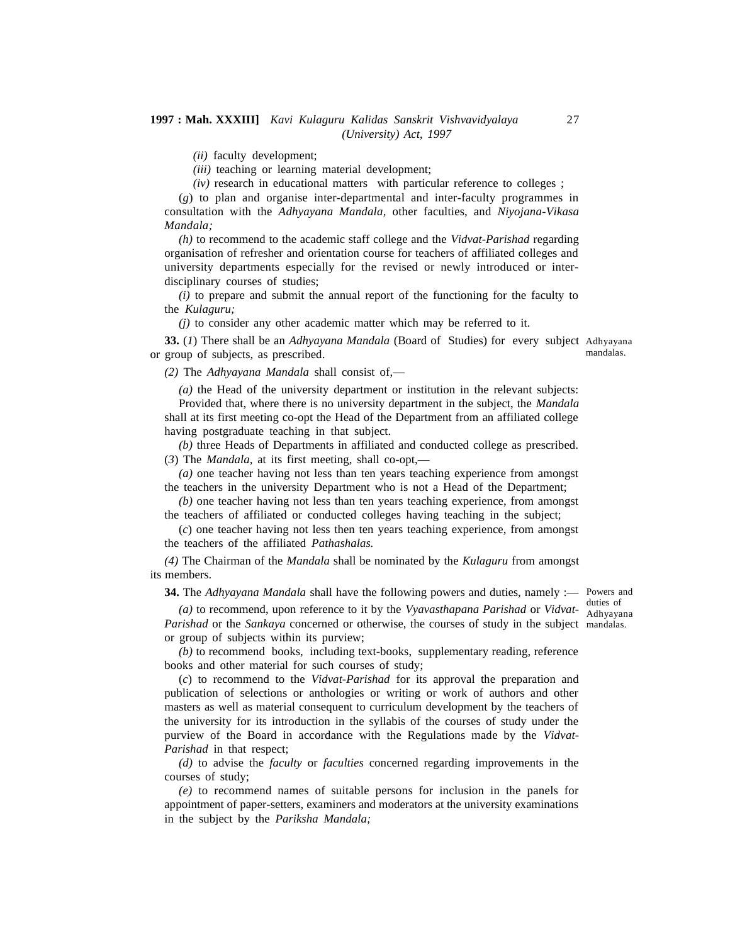*(ii)* faculty development;

*(iii)* teaching or learning material development;

*(iv)* research in educational matters with particular reference to colleges ;

(*g*) to plan and organise inter-departmental and inter-faculty programmes in consultation with the *Adhyayana Mandala,* other faculties, and *Niyojana-Vikasa Mandala;*

*(h)* to recommend to the academic staff college and the *Vidvat-Parishad* regarding organisation of refresher and orientation course for teachers of affiliated colleges and university departments especially for the revised or newly introduced or interdisciplinary courses of studies;

*(i)* to prepare and submit the annual report of the functioning for the faculty to the *Kulaguru;*

*(j)* to consider any other academic matter which may be referred to it.

**33.** (*1*) There shall be an *Adhyayana Mandala* (Board of Studies) for every subject Adhyayana or group of subjects, as prescribed. mandalas.

*(2)* The *Adhyayana Mandala* shall consist of,—

*Parishad* in that respect;

*(a)* the Head of the university department or institution in the relevant subjects: Provided that, where there is no university department in the subject, the *Mandala* shall at its first meeting co-opt the Head of the Department from an affiliated college having postgraduate teaching in that subject.

*(b)* three Heads of Departments in affiliated and conducted college as prescribed. (*3*) The *Mandala,* at its first meeting, shall co-opt,—

*(a)* one teacher having not less than ten years teaching experience from amongst the teachers in the university Department who is not a Head of the Department;

*(b)* one teacher having not less than ten years teaching experience, from amongst the teachers of affiliated or conducted colleges having teaching in the subject;

(*c*) one teacher having not less then ten years teaching experience, from amongst the teachers of the affiliated *Pathashalas.*

*(4)* The Chairman of the *Mandala* shall be nominated by the *Kulaguru* from amongst its members.

**34.** The *Adhyayana Mandala* shall have the following powers and duties, namely :— Powers and

(a) to recommend, upon reference to it by the Vyavasthapana Parishad or Vidvat- duties of *Parishad* or the *Sankaya* concerned or otherwise, the courses of study in the subject mandalas.or group of subjects within its purview; Adhyayana

*(b)* to recommend books, including text-books, supplementary reading, reference books and other material for such courses of study;

(*c*) to recommend to the *Vidvat-Parishad* for its approval the preparation and publication of selections or anthologies or writing or work of authors and other masters as well as material consequent to curriculum development by the teachers of the university for its introduction in the syllabis of the courses of study under the

*(d)* to advise the *faculty* or *faculties* concerned regarding improvements in the courses of study;

purview of the Board in accordance with the Regulations made by the *Vidvat-*

*(e)* to recommend names of suitable persons for inclusion in the panels for appointment of paper-setters, examiners and moderators at the university examinations in the subject by the *Pariksha Mandala;*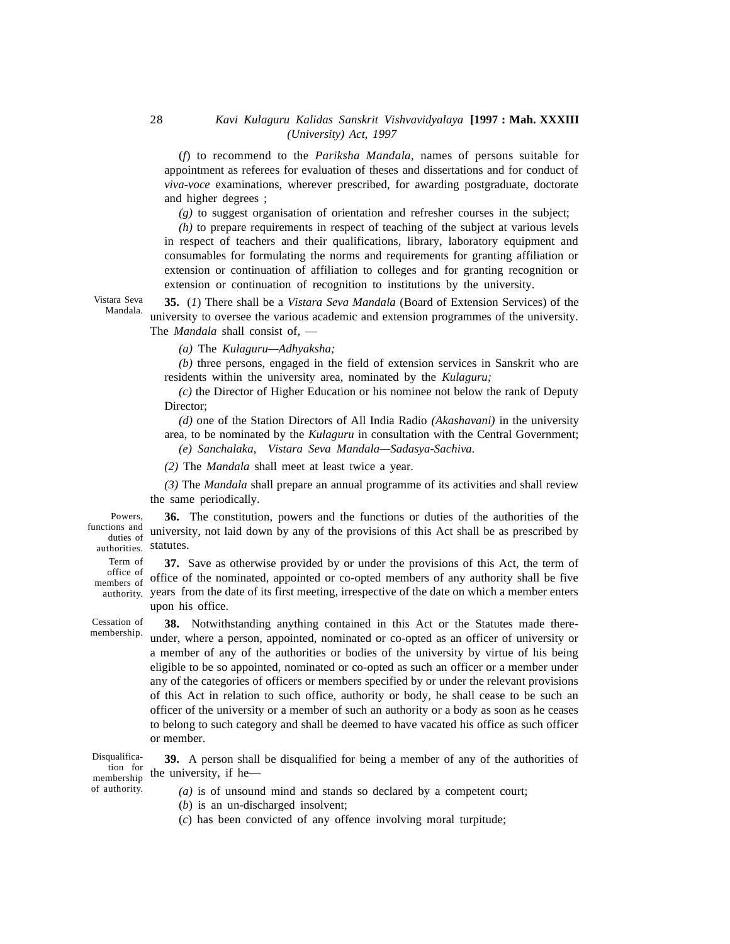(*f*) to recommend to the *Pariksha Mandala,* names of persons suitable for appointment as referees for evaluation of theses and dissertations and for conduct of *viva-voce* examinations, wherever prescribed, for awarding postgraduate, doctorate and higher degrees ;

*(g)* to suggest organisation of orientation and refresher courses in the subject;

*(h)* to prepare requirements in respect of teaching of the subject at various levels in respect of teachers and their qualifications, library, laboratory equipment and consumables for formulating the norms and requirements for granting affiliation or extension or continuation of affiliation to colleges and for granting recognition or extension or continuation of recognition to institutions by the university.

Vistara Seva Mandala.

**35.** (*1*) There shall be a *Vistara Seva Mandala* (Board of Extension Services) of the university to oversee the various academic and extension programmes of the university. The *Mandala* shall consist of, —

*(a)* The *Kulaguru—Adhyaksha;*

*(b)* three persons, engaged in the field of extension services in Sanskrit who are residents within the university area, nominated by the *Kulaguru;*

*(c)* the Director of Higher Education or his nominee not below the rank of Deputy Director;

*(d)* one of the Station Directors of All India Radio *(Akashavani)* in the university area, to be nominated by the *Kulaguru* in consultation with the Central Government; *(e) Sanchalaka, Vistara Seva Mandala—Sadasya-Sachiva.*

*(2)* The *Mandala* shall meet at least twice a year.

*(3)* The *Mandala* shall prepare an annual programme of its activities and shall review the same periodically.

**36.** The constitution, powers and the functions or duties of the authorities of the university, not laid down by any of the provisions of this Act shall be as prescribed by authorities. Statutes. Powers, functions and duties of

**37.** Save as otherwise provided by or under the provisions of this Act, the term of office of the nominated, appointed or co-opted members of any authority shall be five  $_{\rm authority.}$  years from the date of its first meeting, irrespective of the date on which a member enters upon his office. Term of office of members of

Cessation of membership.

**38.** Notwithstanding anything contained in this Act or the Statutes made thereunder, where a person, appointed, nominated or co-opted as an officer of university or a member of any of the authorities or bodies of the university by virtue of his being eligible to be so appointed, nominated or co-opted as such an officer or a member under any of the categories of officers or members specified by or under the relevant provisions of this Act in relation to such office, authority or body, he shall cease to be such an officer of the university or a member of such an authority or a body as soon as he ceases to belong to such category and shall be deemed to have vacated his office as such officer or member.

Disqualification for membership of authority.

**39.** A person shall be disqualified for being a member of any of the authorities of the university, if he—

*(a)* is of unsound mind and stands so declared by a competent court;

(*b*) is an un-discharged insolvent;

(*c*) has been convicted of any offence involving moral turpitude;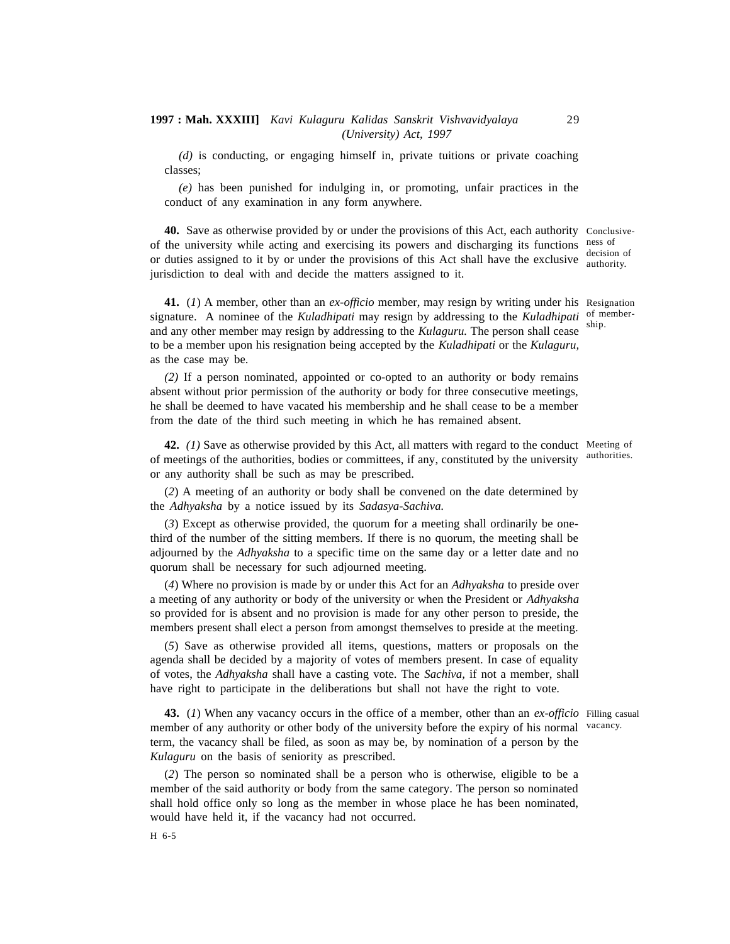*(d)* is conducting, or engaging himself in, private tuitions or private coaching classes;

*(e)* has been punished for indulging in, or promoting, unfair practices in the conduct of any examination in any form anywhere.

**40.** Save as otherwise provided by or under the provisions of this Act, each authority Conclusiveof the university while acting and exercising its powers and discharging its functions ness of or duties assigned to it by or under the provisions of this Act shall have the exclusive  $\frac{d}{partial}$  authority. jurisdiction to deal with and decide the matters assigned to it. decision of

**41.** (*1*) A member, other than an *ex-officio* member, may resign by writing under his Resignation signature. A nominee of the *Kuladhipati* may resign by addressing to the *Kuladhipati* of memberand any other member may resign by addressing to the *Kulaguru.* The person shall cease to be a member upon his resignation being accepted by the *Kuladhipati* or the *Kulaguru,* as the case may be. ship.

*(2)* If a person nominated, appointed or co-opted to an authority or body remains absent without prior permission of the authority or body for three consecutive meetings, he shall be deemed to have vacated his membership and he shall cease to be a member from the date of the third such meeting in which he has remained absent.

**42.** *(1)* Save as otherwise provided by this Act, all matters with regard to the conduct Meeting of of meetings of the authorities, bodies or committees, if any, constituted by the university or any authority shall be such as may be prescribed.

(*2*) A meeting of an authority or body shall be convened on the date determined by the *Adhyaksha* by a notice issued by its *Sadasya-Sachiva.*

(*3*) Except as otherwise provided, the quorum for a meeting shall ordinarily be onethird of the number of the sitting members. If there is no quorum, the meeting shall be adjourned by the *Adhyaksha* to a specific time on the same day or a letter date and no quorum shall be necessary for such adjourned meeting.

(*4*) Where no provision is made by or under this Act for an *Adhyaksha* to preside over a meeting of any authority or body of the university or when the President or *Adhyaksha* so provided for is absent and no provision is made for any other person to preside, the members present shall elect a person from amongst themselves to preside at the meeting.

(*5*) Save as otherwise provided all items, questions, matters or proposals on the agenda shall be decided by a majority of votes of members present. In case of equality of votes, the *Adhyaksha* shall have a casting vote. The *Sachiva,* if not a member, shall have right to participate in the deliberations but shall not have the right to vote.

**43.** (*1*) When any vacancy occurs in the office of a member, other than an *ex-officio* Filling casual member of any authority or other body of the university before the expiry of his normal vacancy. term, the vacancy shall be filed, as soon as may be, by nomination of a person by the *Kulaguru* on the basis of seniority as prescribed.

(*2*) The person so nominated shall be a person who is otherwise, eligible to be a member of the said authority or body from the same category. The person so nominated shall hold office only so long as the member in whose place he has been nominated, would have held it, if the vacancy had not occurred.

authorities.

29

H 6-5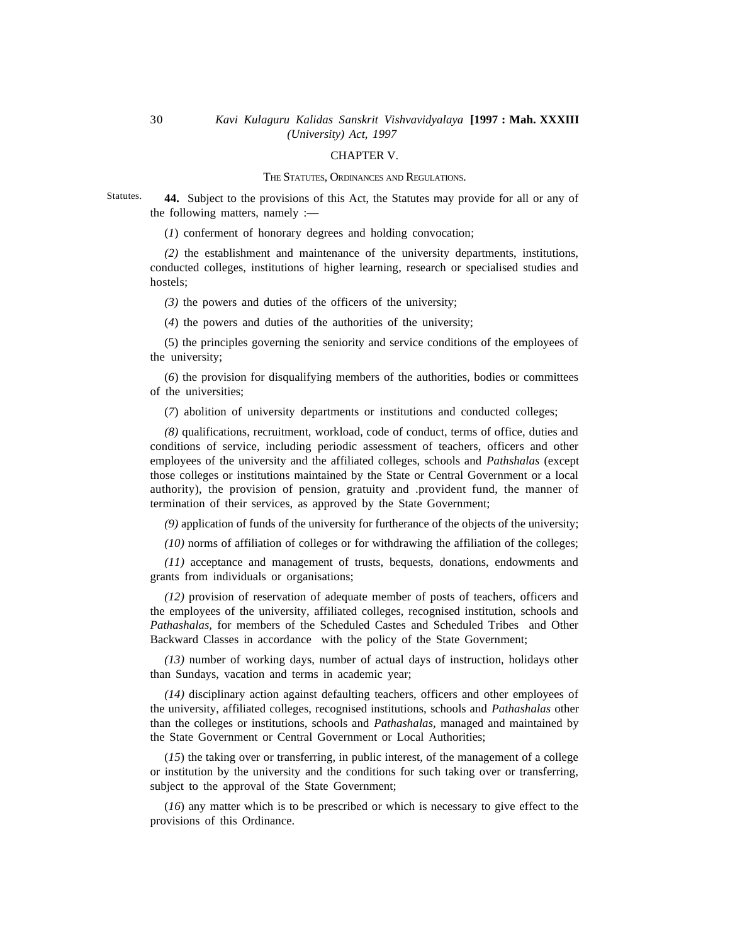#### CHAPTER V.

#### THE STATUTES, ORDINANCES AND REGULATIONS.

**44.** Subject to the provisions of this Act, the Statutes may provide for all or any of the following matters, namely :— Statutes.

(*1*) conferment of honorary degrees and holding convocation;

*(2)* the establishment and maintenance of the university departments, institutions, conducted colleges, institutions of higher learning, research or specialised studies and hostels;

*(3)* the powers and duties of the officers of the university;

(*4*) the powers and duties of the authorities of the university;

(5) the principles governing the seniority and service conditions of the employees of the university;

(*6*) the provision for disqualifying members of the authorities, bodies or committees of the universities;

(*7*) abolition of university departments or institutions and conducted colleges;

*(8)* qualifications, recruitment, workload, code of conduct, terms of office, duties and conditions of service, including periodic assessment of teachers, officers and other employees of the university and the affiliated colleges, schools and *Pathshalas* (except those colleges or institutions maintained by the State or Central Government or a local authority), the provision of pension, gratuity and .provident fund, the manner of termination of their services, as approved by the State Government;

*(9)* application of funds of the university for furtherance of the objects of the university;

*(10)* norms of affiliation of colleges or for withdrawing the affiliation of the colleges;

*(11)* acceptance and management of trusts, bequests, donations, endowments and grants from individuals or organisations;

*(12)* provision of reservation of adequate member of posts of teachers, officers and the employees of the university, affiliated colleges, recognised institution, schools and *Pathashalas,* for members of the Scheduled Castes and Scheduled Tribes and Other Backward Classes in accordance with the policy of the State Government;

*(13)* number of working days, number of actual days of instruction, holidays other than Sundays, vacation and terms in academic year;

*(14)* disciplinary action against defaulting teachers, officers and other employees of the university, affiliated colleges, recognised institutions, schools and *Pathashalas* other than the colleges or institutions, schools and *Pathashalas,* managed and maintained by the State Government or Central Government or Local Authorities;

(*15*) the taking over or transferring, in public interest, of the management of a college or institution by the university and the conditions for such taking over or transferring, subject to the approval of the State Government;

(*16*) any matter which is to be prescribed or which is necessary to give effect to the provisions of this Ordinance.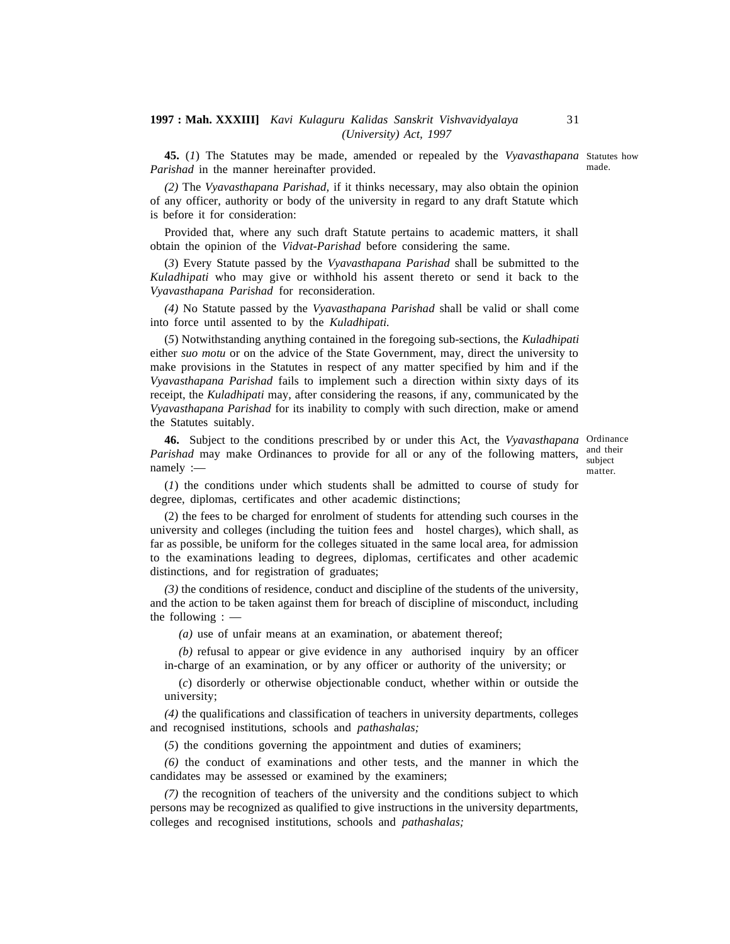**45.** (*1*) The Statutes may be made, amended or repealed by the *Vyavasthapana* Statutes how *Parishad* in the manner hereinafter provided.

*(2)* The *Vyavasthapana Parishad,* if it thinks necessary, may also obtain the opinion of any officer, authority or body of the university in regard to any draft Statute which is before it for consideration:

Provided that, where any such draft Statute pertains to academic matters, it shall obtain the opinion of the *Vidvat-Parishad* before considering the same.

(*3*) Every Statute passed by the *Vyavasthapana Parishad* shall be submitted to the *Kuladhipati* who may give or withhold his assent thereto or send it back to the *Vyavasthapana Parishad* for reconsideration.

*(4)* No Statute passed by the *Vyavasthapana Parishad* shall be valid or shall come into force until assented to by the *Kuladhipati.*

(*5*) Notwithstanding anything contained in the foregoing sub-sections, the *Kuladhipati* either *suo motu* or on the advice of the State Government, may, direct the university to make provisions in the Statutes in respect of any matter specified by him and if the *Vyavasthapana Parishad* fails to implement such a direction within sixty days of its receipt, the *Kuladhipati* may, after considering the reasons, if any, communicated by the *Vyavasthapana Parishad* for its inability to comply with such direction, make or amend the Statutes suitably.

**46.** Subject to the conditions prescribed by or under this Act, the *Vyavasthapana* Ordinance Parishad may make Ordinances to provide for all or any of the following matters, and their namely :—

subject matter.

(*1*) the conditions under which students shall be admitted to course of study for degree, diplomas, certificates and other academic distinctions;

(2) the fees to be charged for enrolment of students for attending such courses in the university and colleges (including the tuition fees and hostel charges), which shall, as far as possible, be uniform for the colleges situated in the same local area, for admission to the examinations leading to degrees, diplomas, certificates and other academic distinctions, and for registration of graduates;

*(3)* the conditions of residence, conduct and discipline of the students of the university, and the action to be taken against them for breach of discipline of misconduct, including the following : —

*(a)* use of unfair means at an examination, or abatement thereof;

*(b)* refusal to appear or give evidence in any authorised inquiry by an officer in-charge of an examination, or by any officer or authority of the university; or

(*c*) disorderly or otherwise objectionable conduct, whether within or outside the university;

*(4)* the qualifications and classification of teachers in university departments, colleges and recognised institutions, schools and *pathashalas;*

(*5*) the conditions governing the appointment and duties of examiners;

*(6)* the conduct of examinations and other tests, and the manner in which the candidates may be assessed or examined by the examiners;

*(7)* the recognition of teachers of the university and the conditions subject to which persons may be recognized as qualified to give instructions in the university departments, colleges and recognised institutions, schools and *pathashalas;*

made.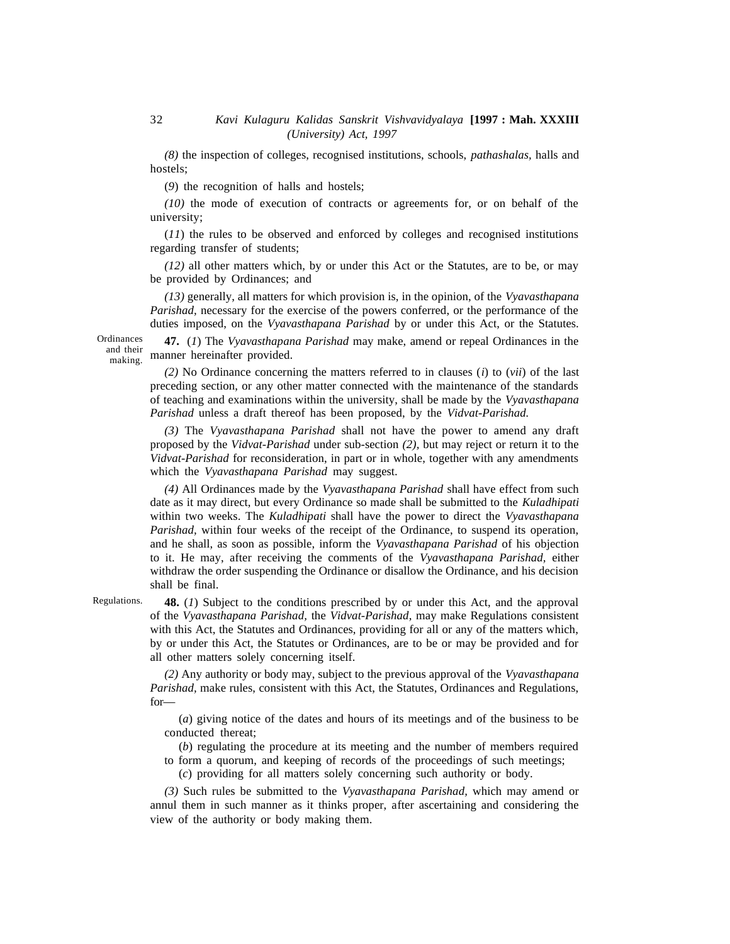*(8)* the inspection of colleges, recognised institutions, schools, *pathashalas,* halls and hostels;

(*9*) the recognition of halls and hostels;

*(10)* the mode of execution of contracts or agreements for, or on behalf of the university;

(*11*) the rules to be observed and enforced by colleges and recognised institutions regarding transfer of students;

*(12)* all other matters which, by or under this Act or the Statutes, are to be, or may be provided by Ordinances; and

*(13)* generally, all matters for which provision is, in the opinion, of the *Vyavasthapana Parishad,* necessary for the exercise of the powers conferred, or the performance of the duties imposed, on the *Vyavasthapana Parishad* by or under this Act, or the Statutes.

Ordinances and their making.

**47.** (*1*) The *Vyavasthapana Parishad* may make, amend or repeal Ordinances in the manner hereinafter provided.

*(2)* No Ordinance concerning the matters referred to in clauses (*i*) to (*vii*) of the last preceding section, or any other matter connected with the maintenance of the standards of teaching and examinations within the university, shall be made by the *Vyavasthapana Parishad* unless a draft thereof has been proposed, by the *Vidvat-Parishad.*

*(3)* The *Vyavasthapana Parishad* shall not have the power to amend any draft proposed by the *Vidvat-Parishad* under sub-section *(2),* but may reject or return it to the *Vidvat-Parishad* for reconsideration, in part or in whole, together with any amendments which the *Vyavasthapana Parishad* may suggest.

*(4)* All Ordinances made by the *Vyavasthapana Parishad* shall have effect from such date as it may direct, but every Ordinance so made shall be submitted to the *Kuladhipati* within two weeks. The *Kuladhipati* shall have the power to direct the *Vyavasthapana Parishad,* within four weeks of the receipt of the Ordinance, to suspend its operation, and he shall, as soon as possible, inform the *Vyavasthapana Parishad* ofhis objection to it. He may, after receiving the comments of the *Vyavasthapana Parishad,* either withdraw the order suspending the Ordinance or disallow the Ordinance, and his decision shall be final.

Regulations.

**48.** (*1*) Subject to the conditions prescribed by or under this Act, and the approval of the *Vyavasthapana Parishad,* the *Vidvat-Parishad,* may make Regulations consistent with this Act, the Statutes and Ordinances, providing for all or any of the matters which, by or under this Act, the Statutes or Ordinances, are to be or may be provided and for all other matters solely concerning itself.

*(2)* Any authority or body may, subject to the previous approval of the *Vyavasthapana Parishad,* make rules, consistent with this Act, the Statutes, Ordinances and Regulations, for—

(*a*) giving notice of the dates and hours of its meetings and of the business to be conducted thereat;

(*b*) regulating the procedure at its meeting and the number of members required to form a quorum, and keeping of records of the proceedings of such meetings;

(*c*) providing for all matters solely concerning such authority or body.

*(3)* Such rules be submitted to the *Vyavasthapana Parishad,* which may amend or annul them in such manner as it thinks proper, after ascertaining and considering the view of the authority or body making them.

32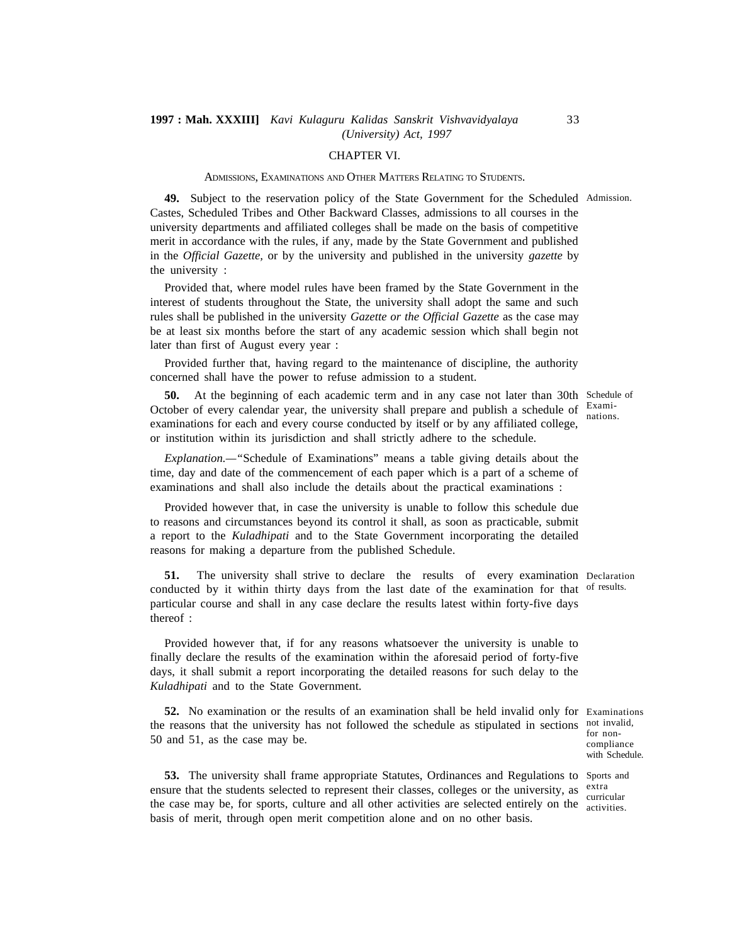#### CHAPTER VI.

#### ADMISSIONS, EXAMINATIONS AND OTHER MATTERS RELATING TO STUDENTS.

**49.** Subject to the reservation policy of the State Government for the Scheduled Admission. Castes, Scheduled Tribes and Other Backward Classes, admissions to all courses in the university departments and affiliated colleges shall be made on the basis of competitive merit in accordance with the rules, if any, made by the State Government and published in the *Official Gazette,* or by the university and published in the university *gazette* by the university :

Provided that, where model rules have been framed by the State Government in the interest of students throughout the State, the university shall adopt the same and such rules shall be published in the university *Gazette or the Official Gazette* as the case may be at least six months before the start of any academic session which shall begin not later than first of August every year :

Provided further that, having regard to the maintenance of discipline, the authority concerned shall have the power to refuse admission to a student.

**50.** At the beginning of each academic term and in any case not later than 30th Schedule of October of every calendar year, the university shall prepare and publish a schedule of Examiexaminations for each and every course conducted by itself or by any affiliated college, or institution within its jurisdiction and shall strictly adhere to the schedule.

*Explanation.—"*Schedule of Examinations" means a table giving details about the time, day and date of the commencement of each paper which is a part of a scheme of examinations and shall also include the details about the practical examinations :

Provided however that, in case the university is unable to follow this schedule due to reasons and circumstances beyond its control it shall, as soon as practicable, submit a report to the *Kuladhipati* and to the State Government incorporating the detailed reasons for making a departure from the published Schedule.

**51.** The university shall strive to declare the results of every examination Declaration conducted by it within thirty days from the last date of the examination for that of results. particular course and shall in any case declare the results latest within forty-five days thereof :

Provided however that, if for any reasons whatsoever the university is unable to finally declare the results of the examination within the aforesaid period of forty-five days, it shall submit a report incorporating the detailed reasons for such delay to the *Kuladhipati* and to the State Government.

**52.** No examination or the results of an examination shall be held invalid only for Examinations the reasons that the university has not followed the schedule as stipulated in sections not invalid, 50 and 51, as the case may be.

curricular

**53.** The university shall frame appropriate Statutes, Ordinances and Regulations to Sports and ensure that the students selected to represent their classes, colleges or the university, as extra the case may be, for sports, culture and all other activities are selected entirely on the activities. basis of merit, through open merit competition alone and on no other basis.

nations.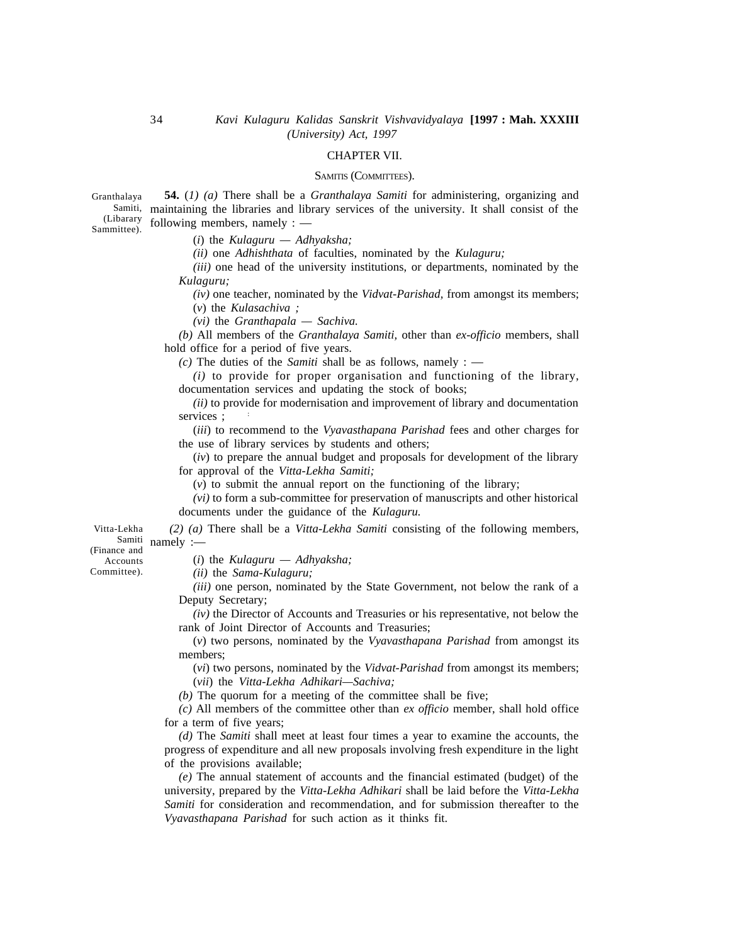#### CHAPTER VII.

#### SAMITIS (COMMITTEES).

**54.** (*1) (a)* There shall be a *Granthalaya Samiti* for administering, organizing and <sup>Samiti,</sup> maintaining the libraries and library services of the university. It shall consist of the following members, namely : — Granthalaya (Libarary Sammittee).

(*i*) the *Kulaguru — Adhyaksha;*

*(ii)* one *Adhishthata* of faculties, nominated by the *Kulaguru;*

*(iii)* one head of the university institutions, or departments, nominated by the *Kulaguru;*

*(iv)* one teacher, nominated by the *Vidvat-Parishad,* from amongst its members;

(*v*) the *Kulasachiva ;*

*(vi)* the *Granthapala — Sachiva.*

*(b)* All members of the *Granthalaya Samiti,* other than *ex-officio* members, shall hold office for a period of five years.

*(c)* The duties of the *Samiti* shall be as follows, namely : —

*(i)* to provide for proper organisation and functioning of the library, documentation services and updating the stock of books;

*(ii)* to provide for modernisation and improvement of library and documentation services :

(*iii*) to recommend to the *Vyavasthapana Parishad* fees and other charges for the use of library services by students and others;

(*iv*) to prepare the annual budget and proposals for development of the library for approval of the *Vitta-Lekha Samiti;*

(*v*) to submit the annual report on the functioning of the library;

*(vi)* to form a sub-committee for preservation of manuscripts and other historical documents under the guidance of the *Kulaguru.*

*(2) (a)* There shall be a *Vitta-Lekha Samiti* consisting of the following members, Samiti namely :— Vitta-Lekha

(Finance and

Accounts Committee). (*i*) the *Kulaguru — Adhyaksha;*

*(ii)* the *Sama-Kulaguru;*

*(iii)* one person, nominated by the State Government, not below the rank of a Deputy Secretary;

*(iv)* the Director of Accounts and Treasuries or his representative, not below the rank of Joint Director of Accounts and Treasuries;

(*v*) two persons, nominated by the *Vyavasthapana Parishad* from amongst its members;

(*vi*) two persons, nominated by the *Vidvat-Parishad* from amongst its members; (*vii*) the *Vitta-Lekha Adhikari—Sachiva;*

*(b)* The quorum for a meeting of the committee shall be five;

*(c)* All members of the committee other than *ex officio* member, shall hold office for a term of five years;

*(d)* The *Samiti* shall meet at least four times a year to examine the accounts, the progress of expenditure and all new proposals involving fresh expenditure in the light of the provisions available;

*(e)* The annual statement of accounts and the financial estimated (budget) of the university, prepared by the *Vitta-Lekha Adhikari* shall be laid before the *Vitta-Lekha Samiti* for consideration and recommendation, and for submission thereafter to the *Vyavasthapana Parishad* for such action as it thinks fit.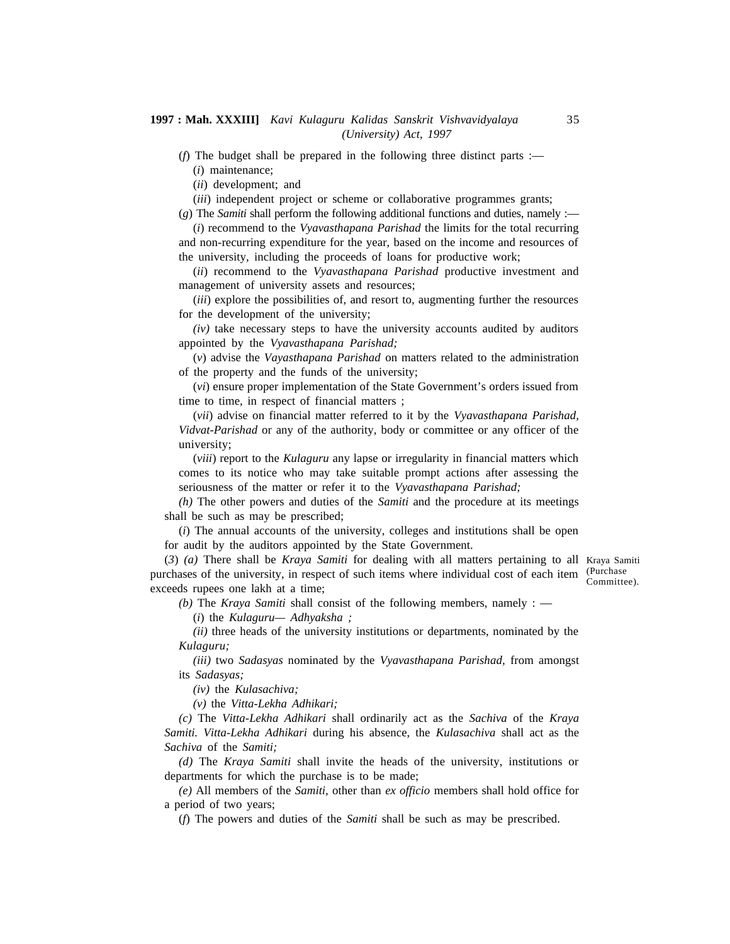(*f*) The budget shall be prepared in the following three distinct parts :— (*i*) maintenance;

(*ii*) development; and

(*iii*) independent project or scheme or collaborative programmes grants;

(*g*) The *Samiti* shall perform the following additional functions and duties, namely :— (*i*) recommend to the *Vyavasthapana Parishad* the limits for the total recurring

and non-recurring expenditure for the year, based on the income and resources of the university, including the proceeds of loans for productive work;

(*ii*) recommend to the *Vyavasthapana Parishad* productive investment and management of university assets and resources;

(*iii*) explore the possibilities of, and resort to, augmenting further the resources for the development of the university;

*(iv)* take necessary steps to have the university accounts audited by auditors appointed by the *Vyavasthapana Parishad;*

(*v*) advise the *Vayasthapana Parishad* on matters related to the administration of the property and the funds of the university;

(*vi*) ensure proper implementation of the State Government's orders issued from time to time, in respect of financial matters ;

(*vii*) advise on financial matter referred to it by the *Vyavasthapana Parishad, Vidvat-Parishad* or any of the authority, body or committee or any officer of the university;

(*viii*) report to the *Kulaguru* any lapse or irregularity in financial matters which comes to its notice who may take suitable prompt actions after assessing the seriousness of the matter or refer it to the *Vyavasthapana Parishad;*

*(h)* The other powers and duties of the *Samiti* and the procedure at its meetings shall be such as may be prescribed;

(*i*) The annual accounts of the university, colleges and institutions shall be open for audit by the auditors appointed by the State Government.

(*3*) *(a)* There shall be *Kraya Samiti* for dealing with all matters pertaining to all Kraya Samiti purchases of the university, in respect of such items where individual cost of each item (Purchase) exceeds rupees one lakh at a time;

Committee).

*(b)* The *Kraya Samiti* shall consist of the following members, namely : —

(*i*) the *Kulaguru— Adhyaksha ;*

*(ii)* three heads of the university institutions or departments, nominated by the *Kulaguru;*

*(iii)* two *Sadasyas* nominated by the *Vyavasthapana Parishad,* from amongst its *Sadasyas;*

*(iv)* the *Kulasachiva;*

*(v)* the *Vitta-Lekha Adhikari;*

*(c)* The *Vitta-Lekha Adhikari* shall ordinarily act as the *Sachiva* of the *Kraya Samiti. Vitta-Lekha Adhikari* during his absence, the *Kulasachiva* shall act as the *Sachiva* of the *Samiti;*

*(d)* The *Kraya Samiti* shall invite the heads of the university, institutions or departments for which the purchase is to be made;

*(e)* All members of the *Samiti,* other than *ex officio* members shall hold office for a period of two years;

(*f*) The powers and duties of the *Samiti* shall be such as may be prescribed.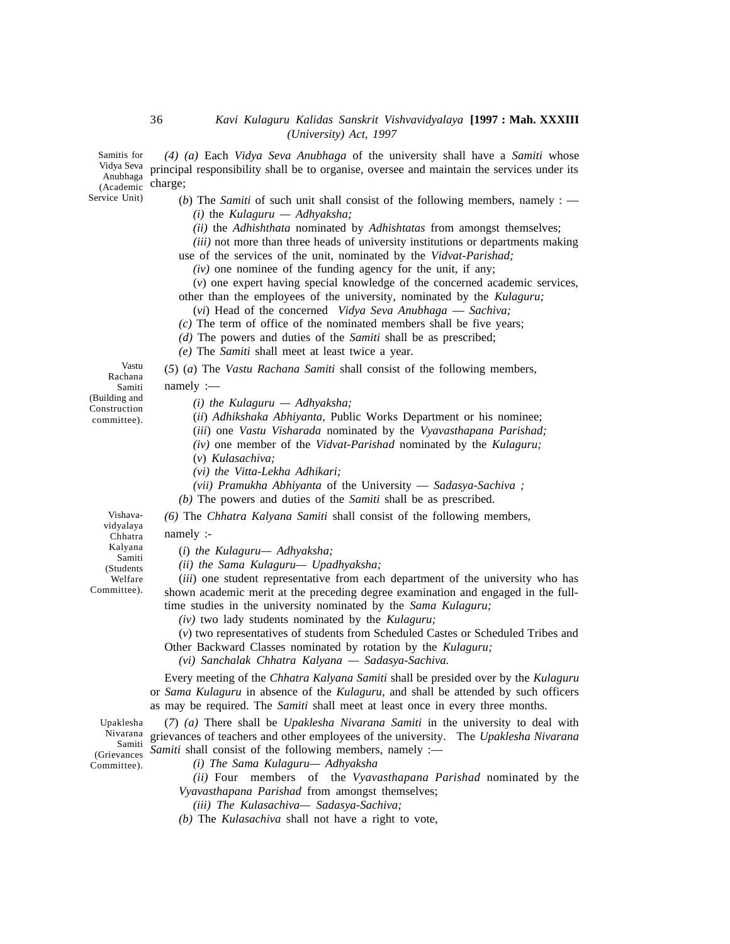*(4) (a)* Each *Vidya Seva Anubhaga* of the university shall have a *Samiti* whose principal responsibility shall be to organise, oversee and maintain the services under its Anubhaga Pinnoiper ros<br>Academic Charge; (Academic UIdi)

> (*b*) The *Samiti* of such unit shall consist of the following members, namely : — *(i)* the *Kulaguru — Adhyaksha;*

*(ii)* the *Adhishthata* nominated by *Adhishtatas* from amongst themselves;

*(iii)* not more than three heads of university institutions or departments making

use of the services of the unit, nominated by the *Vidvat-Parishad;*

*(iv)* one nominee of the funding agency for the unit, if any;

(*v*) one expert having special knowledge of the concerned academic services, other than the employees of the university, nominated by the *Kulaguru;*

(*vi*) Head of the concerned *Vidya Seva Anubhaga* — *Sachiva;*

*(c)* The term of office of the nominated members shall be five years;

*(d)* The powers and duties of the *Samiti* shall be as prescribed;

*(e)* The *Samiti* shall meet at least twice a year.

(*5*) (*a*) The *Vastu Rachana Samiti* shall consist of the following members, namely :—

*(i) the Kulaguru — Adhyaksha;*

(*ii*) *Adhikshaka Abhiyanta,* Public Works Department or his nominee;

(*iii*) one *Vastu Visharada* nominated by the *Vyavasthapana Parishad;*

- *(iv)* one member of the *Vidvat-Parishad* nominated by the *Kulaguru;*
- (*v*) *Kulasachiva;*
- *(vi) the Vitta-Lekha Adhikari;*

*(vii) Pramukha Abhiyanta* of the University — *Sadasya-Sachiva ;*

*(b)* The powers and duties of the *Samiti* shall be as prescribed.

*(6)* The *Chhatra Kalyana Samiti* shall consist of the following members,

namely :-

(*i*) *the Kulaguru— Adhyaksha;*

*(ii) the Sama Kulaguru— Upadhyaksha;*

(*iii*) one student representative from each department of the university who has shown academic merit at the preceding degree examination and engaged in the fulltime studies in the university nominated by the *Sama Kulaguru;*

*(iv)* two lady students nominated by the *Kulaguru;*

(*v*) two representatives of students from Scheduled Castes or Scheduled Tribes and Other Backward Classes nominated by rotation by the *Kulaguru;*

*(vi) Sanchalak Chhatra Kalyana — Sadasya-Sachiva.*

Every meeting of the *Chhatra Kalyana Samiti* shall be presided over by the *Kulaguru* or *Sama Kulaguru* in absence of the *Kulaguru,* and shall be attended by such officers as may be required. The *Samiti* shall meet at least once in every three months.

(*7*) *(a)* There shall be *Upaklesha Nivarana Samiti* in the university to deal with grievances of teachers and other employees of the university. The *Upaklesha Nivarana* Nivarana *Samiti* shall consist of the following members, namely :—

(Grievances Committee).

Upaklesha Samiti

*(i) The Sama Kulaguru— Adhyaksha*

*(ii)* Four members of the *Vyavasthapana Parishad* nominated by the *Vyavasthapana Parishad* from amongst themselves;

*(iii) The Kulasachiva— Sadasya-Sachiva;*

*(b)* The *Kulasachiva* shall not have a right to vote,

Vastu Rachana Samiti (Building and Construction committee).

Vishavavidyalaya Chhatra Kalyana Samiti (Students Welfare Committee).

Samitis for Vidya Seva

Service Unit)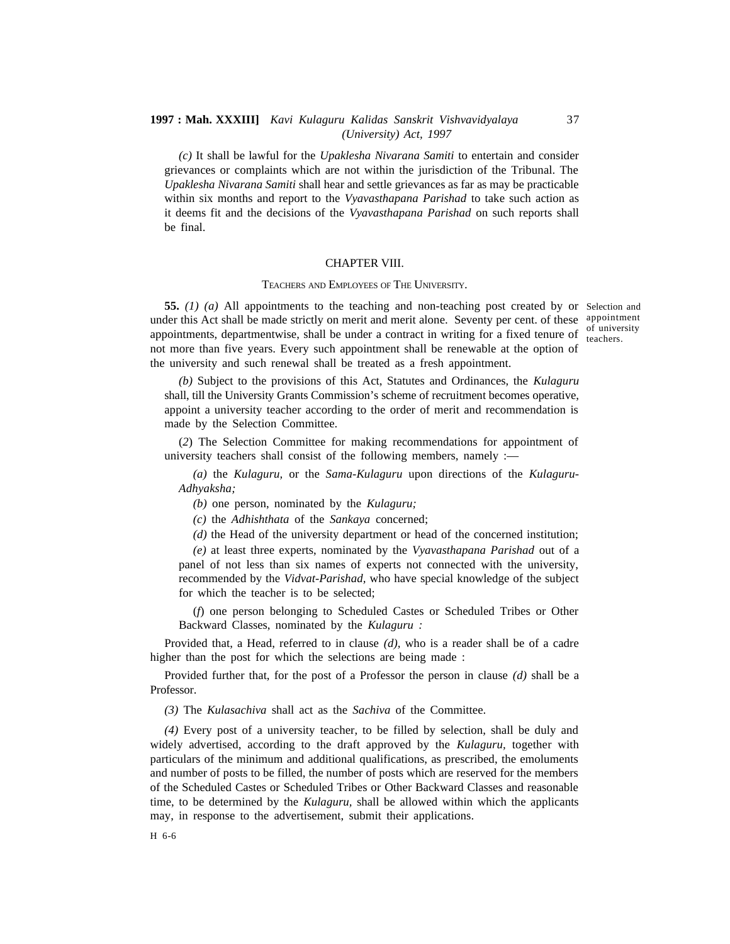*(c)* It shall be lawful for the *Upaklesha Nivarana Samiti* to entertain and consider grievances or complaints which are not within the jurisdiction of the Tribunal. The *Upaklesha Nivarana Samiti* shall hear and settle grievances as far as may be practicable within six months and report to the *Vyavasthapana Parishad* to take such action as it deems fit and the decisions of the *Vyavasthapana Parishad* on such reports shall be final.

#### CHAPTER VIII.

#### TEACHERS AND EMPLOYEES OF THE UNIVERSITY.

**55.** *(1) (a)* All appointments to the teaching and non-teaching post created by or Selection and under this Act shall be made strictly on merit and merit alone. Seventy per cent. of these appointment appointments, departmentwise, shall be under a contract in writing for a fixed tenure of  $\frac{1}{1}$  teachers not more than five years. Every such appointment shall be renewable at the option of the university and such renewal shall be treated as a fresh appointment.

teachers.

*(b)* Subject to the provisions of this Act, Statutes and Ordinances, the *Kulaguru* shall, till the University Grants Commission's scheme of recruitment becomes operative, appoint a university teacher according to the order of merit and recommendation is made by the Selection Committee.

(*2*) The Selection Committee for making recommendations for appointment of university teachers shall consist of the following members, namely :—

*(a)* the *Kulaguru,* or the *Sama-Kulaguru* upon directions of the *Kulaguru-Adhyaksha;*

*(b)* one person, nominated by the *Kulaguru;*

*(c)* the *Adhishthata* of the *Sankaya* concerned;

*(d)* the Head of the university department or head of the concerned institution;

*(e)* at least three experts, nominated by the *Vyavasthapana Parishad* outof a panel of not less than six names of experts not connected with the university, recommended by the *Vidvat-Parishad,* who have special knowledge of the subject for which the teacher is to be selected;

(*f*) one person belonging to Scheduled Castes or Scheduled Tribes or Other Backward Classes, nominated by the *Kulaguru :*

Provided that, a Head, referred to in clause *(d),* who is a reader shall be of a cadre higher than the post for which the selections are being made :

Provided further that, for the post of a Professor the person in clause *(d)* shall be a Professor.

*(3)* The *Kulasachiva* shall act as the *Sachiva* of the Committee.

*(4)* Every post of a university teacher, to be filled by selection, shall be duly and widely advertised, according to the draft approved by the *Kulaguru,* together with particulars of the minimum and additional qualifications, as prescribed, the emoluments and number of posts to be filled, the number of posts which are reserved for the members of the Scheduled Castes or Scheduled Tribes or Other Backward Classes and reasonable time, to be determined by the *Kulaguru,* shall be allowed within which the applicants may, in response to the advertisement, submit their applications.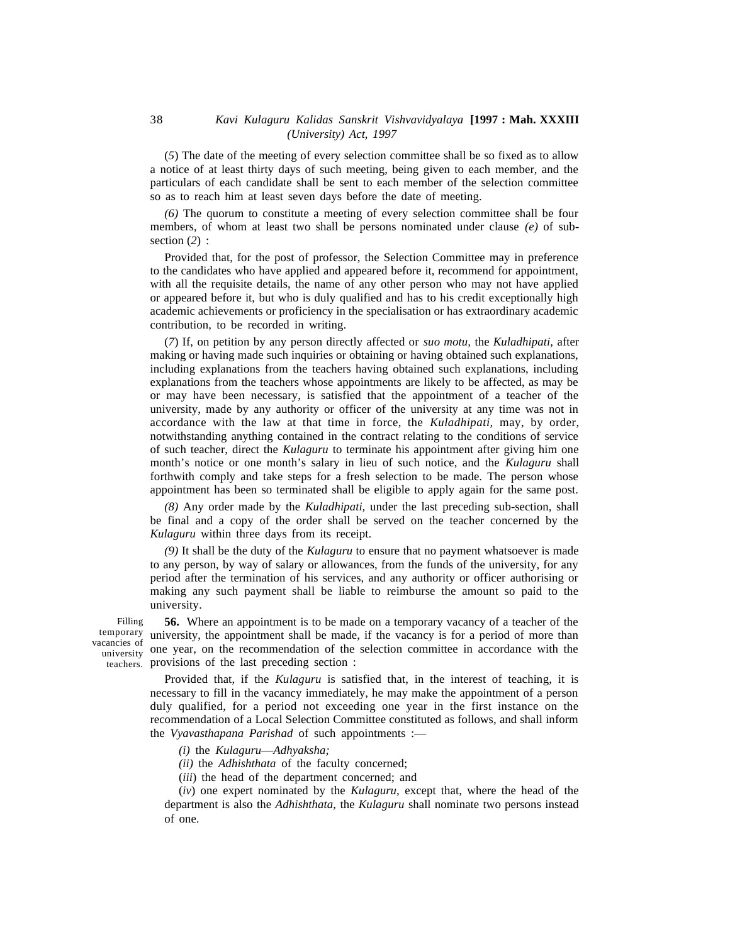(*5*) The date of the meeting of every selection committee shall be so fixed as to allow a notice of at least thirty days of such meeting, being given to each member, and the particulars of each candidate shall be sent to each member of the selection committee so as to reach him at least seven days before the date of meeting.

*(6)* The quorum to constitute a meeting of every selection committee shall be four members, of whom at least two shall be persons nominated under clause *(e)* of subsection (*2*) :

Provided that, for the post of professor, the Selection Committee may in preference to the candidates who have applied and appeared before it, recommend for appointment, with all the requisite details, the name of any other person who may not have applied or appeared before it, but who is duly qualified and has to his credit exceptionally high academic achievements or proficiency in the specialisation or has extraordinary academic contribution, to be recorded in writing.

(*7*) If, on petition by any person directly affected or *suo motu,* the *Kuladhipati,* after making or having made such inquiries or obtaining or having obtained such explanations, including explanations from the teachers having obtained such explanations, including explanations from the teachers whose appointments are likely to be affected, as may be or may have been necessary, is satisfied that the appointment of a teacher of the university, made by any authority or officer of the university at any time was not in accordance with the law at that time in force, the *Kuladhipati,* may, by order, notwithstanding anything contained in the contract relating to the conditions of service of such teacher, direct the *Kulaguru* to terminate his appointment after giving him one month's notice or one month's salary in lieu of such notice, and the *Kulaguru* shall forthwith comply and take steps for a fresh selection to be made. The person whose appointment has been so terminated shall be eligible to apply again for the same post.

*(8)* Any order made by the *Kuladhipati,* under the last preceding sub-section, shall be final and a copy of the order shall be served on the teacher concerned by the *Kulaguru* within three days from its receipt.

*(9)* It shall be the duty of the *Kulaguru* to ensure that no payment whatsoever is made to any person, by way of salary or allowances, from the funds of the university, for any period after the termination of his services, and any authority or officer authorising or making any such payment shall be liable to reimburse the amount so paid to the university.

Filling university UIC y

**56.** Where an appointment is to be made on a temporary vacancy of a teacher of the <sup>temporary</sup> university, the appointment shall be made, if the vacancy is for a period of more than vacancies of anti-vacing, the appendation of the selection committee in accordance with the teachers. provisions of the last preceding section :

> Provided that, if the *Kulaguru* is satisfied that, in the interest of teaching, it is necessary to fill in the vacancy immediately, he may make the appointment of a person duly qualified, for a period not exceeding one year in the first instance on the recommendation of a Local Selection Committee constituted as follows, and shall inform the *Vyavasthapana Parishad* of such appointments :—

- *(i)* the *Kulaguru*—*Adhyaksha;*
- *(ii)* the *Adhishthata* of the faculty concerned;
- (*iii*) the head of the department concerned; and

(*iv*) one expert nominated by the *Kulaguru,* except that, where the head of the department is also the *Adhishthata,* the *Kulaguru* shall nominate two persons instead of one.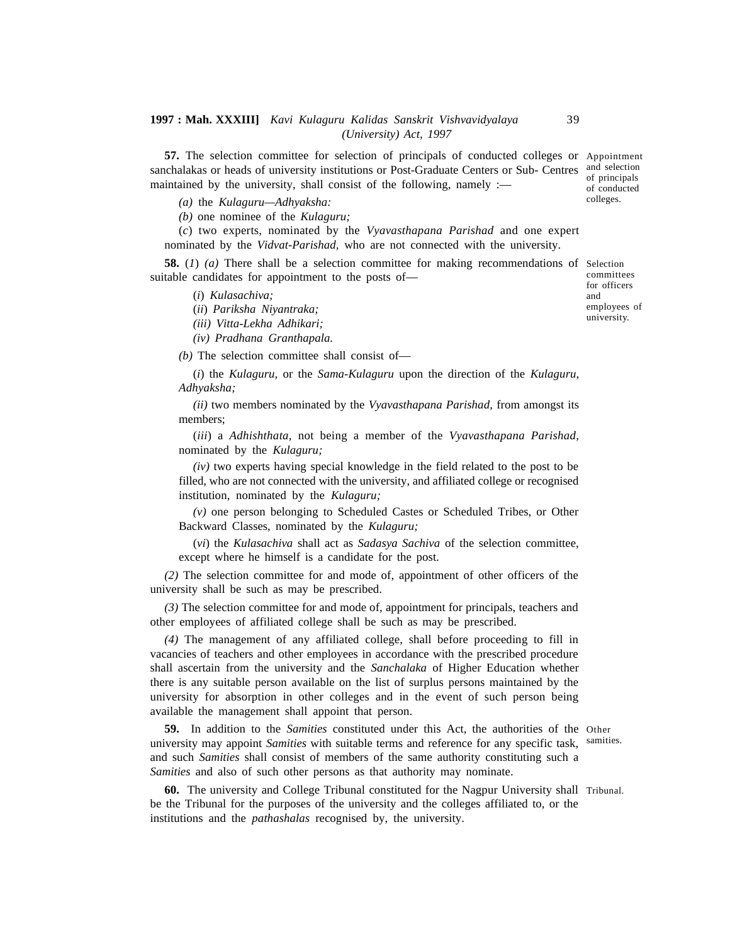**57.** The selection committee for selection of principals of conducted colleges or Appointment sanchalakas or heads of university institutions or Post-Graduate Centers or Sub- Centres and selection maintained by the university, shall consist of the following, namely  $:=$ of conducted

*(a)* the *Kulaguru—Adhyaksha:*

*(b)* one nominee of the *Kulaguru;*

(*c*) two experts, nominated by the *Vyavasthapana Parishad* and one expert nominated by the *Vidvat-Parishad,* who are not connected with the university.

**58.** (*1*) *(a)* There shall be a selection committee for making recommendations of Selection suitable candidates for appointment to the posts of for officers

(*i*) *Kulasachiva;*

- (*ii*) *Pariksha Niyantraka;*
- *(iii) Vitta-Lekha Adhikari;*
- *(iv) Pradhana Granthapala.*

*(b)* The selection committee shall consist of—

(*i*) the *Kulaguru,* or the *Sama-Kulaguru* upon the direction of the *Kulaguru, Adhyaksha;*

*(ii)* two members nominated by the *Vyavasthapana Parishad,* from amongst its members;

(*iii*) a *Adhishthata,* not being a member of the *Vyavasthapana Parishad,* nominated by the *Kulaguru;*

*(iv)* two experts having special knowledge in the field related to the post to be filled, who are not connected with the university, and affiliated college or recognised institution, nominated by the *Kulaguru;*

*(v)* one person belonging to Scheduled Castes or Scheduled Tribes, or Other Backward Classes, nominated by the *Kulaguru;*

(*vi*) the *Kulasachiva* shall act as *Sadasya Sachiva* of the selection committee, except where he himself is a candidate for the post.

*(2)* The selection committee for and mode of, appointment of other officers of the university shall be such as may be prescribed.

*(3)* The selection committee for and mode of, appointment for principals, teachers and other employees of affiliated college shall be such as may be prescribed.

*(4)* The management of any affiliated college, shall before proceeding to fill in vacancies of teachers and other employees in accordance with the prescribed procedure shall ascertain from the university and the *Sanchalaka* of Higher Education whether there is any suitable person available on the list of surplus persons maintained by the university for absorption in other colleges and in the event of such person being available the management shall appoint that person.

**59.** In addition to the *Samities* constituted under this Act, the authorities of the Other university may appoint *Samities* with suitable terms and reference for any specific task, samities. and such *Samities* shall consist of members of the same authority constituting such a *Samities* and also of such other persons as that authority may nominate.

60. The university and College Tribunal constituted for the Nagpur University shall Tribunal. be the Tribunal for the purposes of the university and the colleges affiliated to, or the institutions and the *pathashalas* recognised by, the university.

committees

of principals

colleges.

and employees of university.

39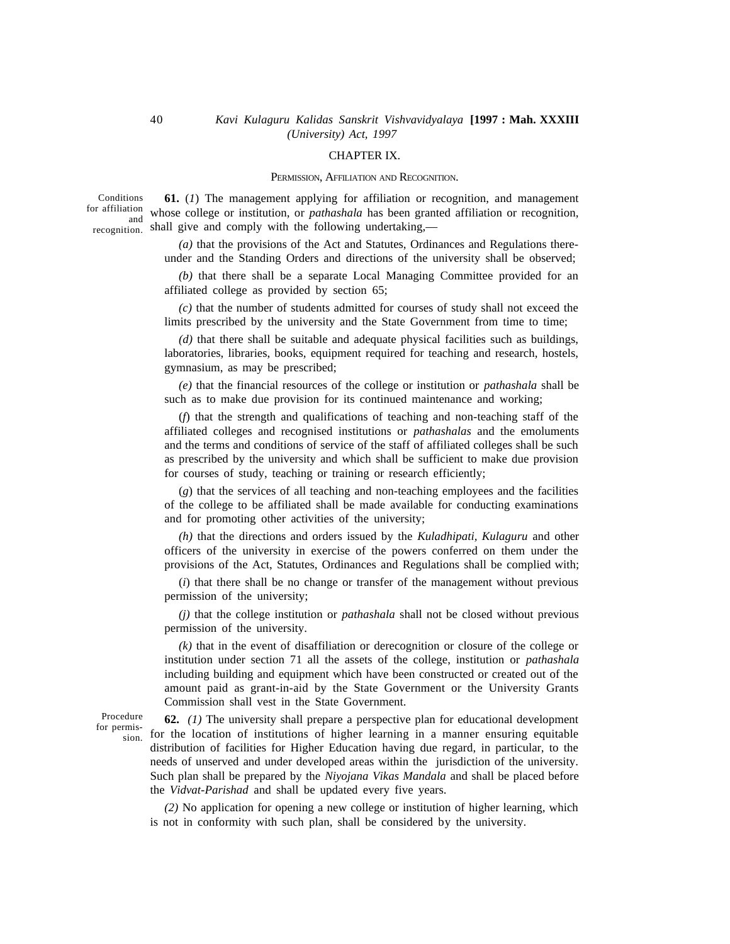#### CHAPTER IX.

#### PERMISSION, AFFILIATION AND RECOGNITION.

**61.** (*1*) The management applying for affiliation or recognition, and management whose college or institution, or *pathashala* has been granted affiliation or recognition, for affiliation and misse sensyle of montanein, or pallidental has been granted arritation of the following undertaking,— Conditions recognition. <sup>SI1</sup>

> *(a)* that the provisions of the Act and Statutes, Ordinances and Regulations thereunder and the Standing Orders and directions of the university shall be observed;

> *(b)* that there shall be a separate Local Managing Committee provided for an affiliated college as provided by section 65;

> *(c)* that the number of students admitted for courses of study shall not exceed the limits prescribed by the university and the State Government from time to time;

> *(d)* that there shall be suitable and adequate physical facilities such as buildings, laboratories, libraries, books, equipment required for teaching and research, hostels, gymnasium, as may be prescribed;

> *(e)* that the financial resources of the college or institution or *pathashala* shall be such as to make due provision for its continued maintenance and working;

> (*f*) that the strength and qualifications of teaching and non-teaching staff of the affiliated colleges and recognised institutions or *pathashalas* and the emoluments and the terms and conditions of service of the staff of affiliated colleges shall be such as prescribed by the university and which shall be sufficient to make due provision for courses of study, teaching or training or research efficiently;

> (*g*) that the services of all teaching and non-teaching employees and the facilities of the college to be affiliated shall be made available for conducting examinations and for promoting other activities of the university;

> *(h)* that the directions and orders issued by the *Kuladhipati, Kulaguru* and other officers of the university in exercise of the powers conferred on them under the provisions of the Act, Statutes, Ordinances and Regulations shall be complied with;

> (*i*) that there shall be no change or transfer of the management without previous permission of the university;

> *(j)* that the college institution or *pathashala* shall not be closed without previous permission of the university.

> *(k)* that in the event of disaffiliation or derecognition or closure of the college or institution under section 71 all the assets of the college, institution or *pathashala* including building and equipment which have been constructed or created out of the amount paid as grant-in-aid by the State Government or the University Grants Commission shall vest in the State Government.

Procedure for permission.

**62.** *(1)* The university shall prepare a perspective plan for educational development for the location of institutions of higher learning in a manner ensuring equitable distribution of facilities for Higher Education having due regard, in particular, to the needs of unserved and under developed areas within the jurisdiction of the university. Such plan shall be prepared by the *Niyojana Vikas Mandala* and shall be placed before the *Vidvat-Parishad* and shall be updated every five years.

*(2)* No application for opening a new college or institution of higher learning, which is not in conformity with such plan, shall be considered by the university.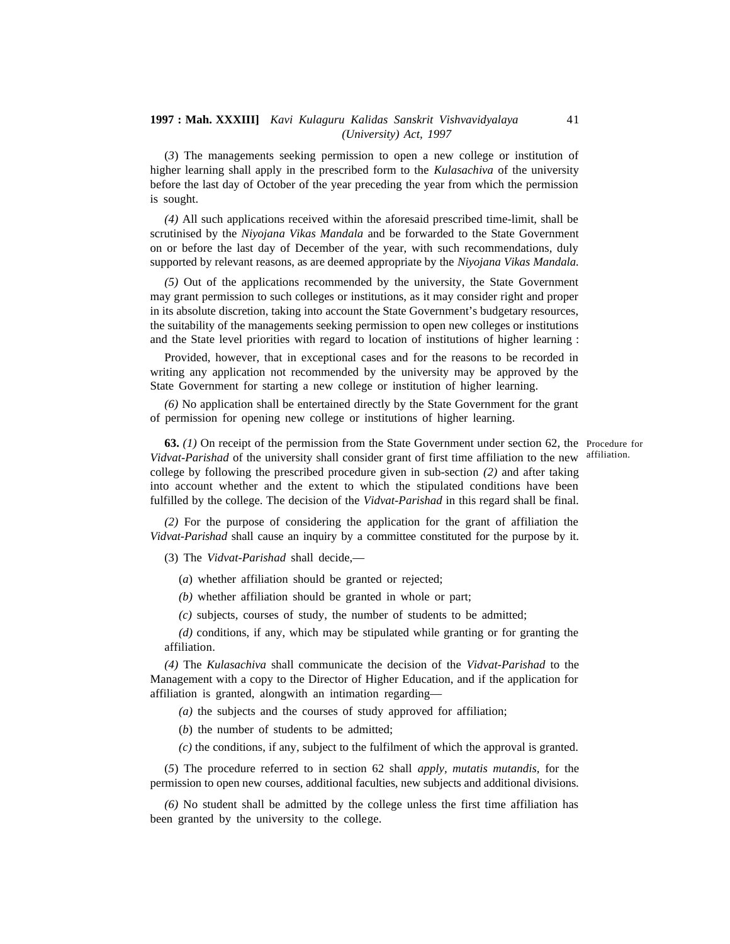(*3*) The managements seeking permission to open a new college or institution of higher learning shall apply in the prescribed form to the *Kulasachiva* of the university before the last day of October of the year preceding the year from which the permission is sought.

*(4)* All such applications received within the aforesaid prescribed time-limit, shall be scrutinised by the *Niyojana Vikas Mandala* and be forwarded to the State Government on or before the last day of December of the year, with such recommendations, duly supported by relevant reasons, as are deemed appropriate by the *Niyojana Vikas Mandala.*

*(5)* Out of the applications recommended by the university, the State Government may grant permission to such colleges or institutions, as it may consider right and proper in its absolute discretion, taking into account the State Government's budgetary resources, the suitability of the managements seeking permission to open new colleges or institutions and the State level priorities with regard to location of institutions of higher learning :

Provided, however, that in exceptional cases and for the reasons to be recorded in writing any application not recommended by the university may be approved by the State Government for starting a new college or institution of higher learning.

*(6)* No application shall be entertained directly by the State Government for the grant of permission for opening new college or institutions of higher learning.

**63.** *(1)* On receipt of the permission from the State Government under section 62, the Procedure for *Vidvat-Parishad* of the university shall consider grant of first time affiliation to the new affiliation. college by following the prescribed procedure given in sub-section *(2)* and after taking into account whether and the extent to which the stipulated conditions have been fulfilled by the college. The decision of the *Vidvat-Parishad* in this regard shall be final.

*(2)* For the purpose of considering the application for the grant of affiliation the *Vidvat-Parishad* shall cause an inquiry by a committee constituted for the purpose by it.

(3) The *Vidvat-Parishad* shall decide,—

(*a*) whether affiliation should be granted or rejected;

*(b)* whether affiliation should be granted in whole or part;

*(c)* subjects, courses of study, the number of students to be admitted;

*(d)* conditions, if any, which may be stipulated while granting or for granting the affiliation.

*(4)* The *Kulasachiva* shall communicate the decision of the *Vidvat-Parishad* to the Management with a copy to the Director of Higher Education, and if the application for affiliation is granted, alongwith an intimation regarding—

*(a)* the subjects and the courses of study approved for affiliation;

(*b*) the number of students to be admitted;

*(c)* the conditions, if any, subject to the fulfilment of which the approval is granted.

(*5*) The procedure referred to in section 62 shall *apply, mutatis mutandis,* for the permission to open new courses, additional faculties, new subjects and additional divisions.

*(6)* No student shall be admitted by the college unless the first time affiliation has been granted by the university to the college.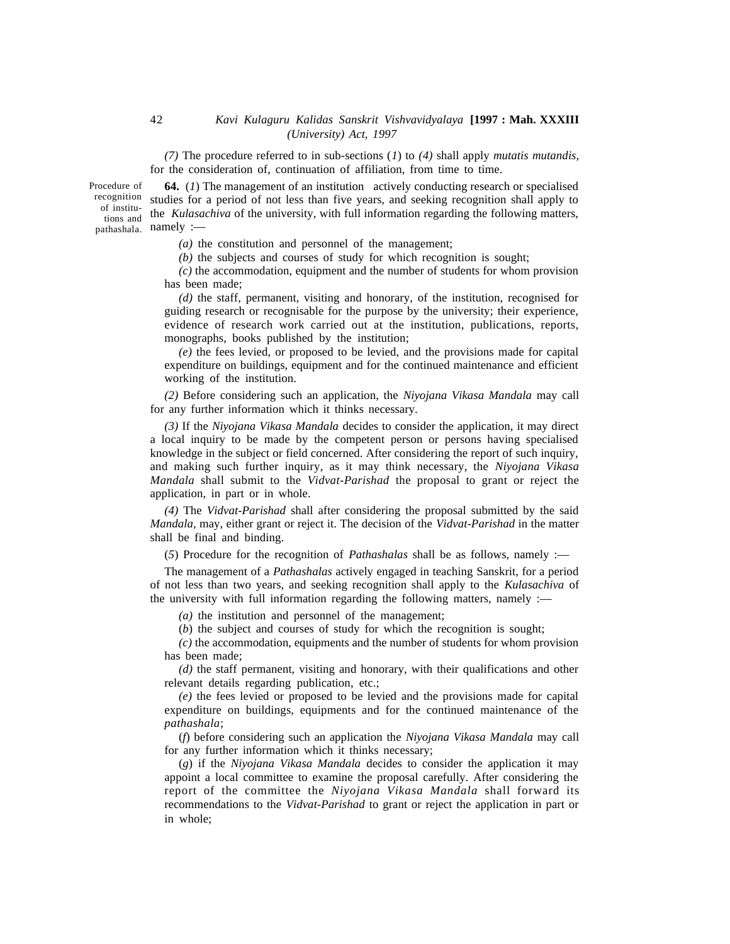*(7)* The procedure referred to in sub-sections (*1*) to *(4)* shall apply *mutatis mutandis,* for the consideration of, continuation of affiliation, from time to time.

**64.** (*1*) The management of an institution actively conducting research or specialised recognition studies for a period of not less than five years, and seeking recognition shall apply to the *Kulasachiva* of the university, with full information regarding the following matters, the namely :—<br>thashala. namely :— Procedure of of institupathashala. Na

*(a)* the constitution and personnel of the management;

*(b)* the subjects and courses of study for which recognition is sought;

*(c)* the accommodation, equipment and the number of students for whom provision has been made;

*(d)* the staff, permanent, visiting and honorary, of the institution, recognised for guiding research or recognisable for the purpose by the university; their experience, evidence of research work carried out at the institution, publications, reports, monographs, books published by the institution;

*(e)* the fees levied, or proposed to be levied, and the provisions made for capital expenditure on buildings, equipment and for the continued maintenance and efficient working of the institution.

*(2)* Before considering such an application, the *Niyojana Vikasa Mandala* may call for any further information which it thinks necessary.

*(3)* If the *Niyojana Vikasa Mandala* decides to consider the application, it may direct a local inquiry to be made by the competent person or persons having specialised knowledge in the subject or field concerned. After considering the report of such inquiry, and making such further inquiry, as it may think necessary, the *Niyojana Vikasa Mandala* shall submit to the *Vidvat-Parishad* the proposal to grant or reject the application, in part or in whole.

*(4)* The *Vidvat-Parishad* shall after considering the proposal submitted by the said *Mandala,* may, either grant or reject it. The decision of the *Vidvat-Parishad* in the matter shall be final and binding.

(*5*) Procedure for the recognition of *Pathashalas* shall be as follows, namely :—

The management of a *Pathashalas* actively engaged in teaching Sanskrit, for a period of not less than two years, and seeking recognition shall apply to the *Kulasachiva* of the university with full information regarding the following matters, namely :—

*(a)* the institution and personnel of the management;

(*b*) the subject and courses of study for which the recognition is sought;

*(c)* the accommodation, equipments and the number of students for whom provision has been made;

*(d)* the staff permanent, visiting and honorary, with their qualifications and other relevant details regarding publication, etc.;

*(e)* the fees levied or proposed to be levied and the provisions made for capital expenditure on buildings, equipments and for the continued maintenance of the *pathashala*;

(*f*) before considering such an application the *Niyojana Vikasa Mandala* may call for any further information which it thinks necessary;

(*g*) if the *Niyojana Vikasa Mandala* decides to consider the application it may appoint a local committee to examine the proposal carefully. After considering the report of the committee the *Niyojana Vikasa Mandala* shall forward its recommendations to the *Vidvat-Parishad* to grant or reject the application in part or in whole;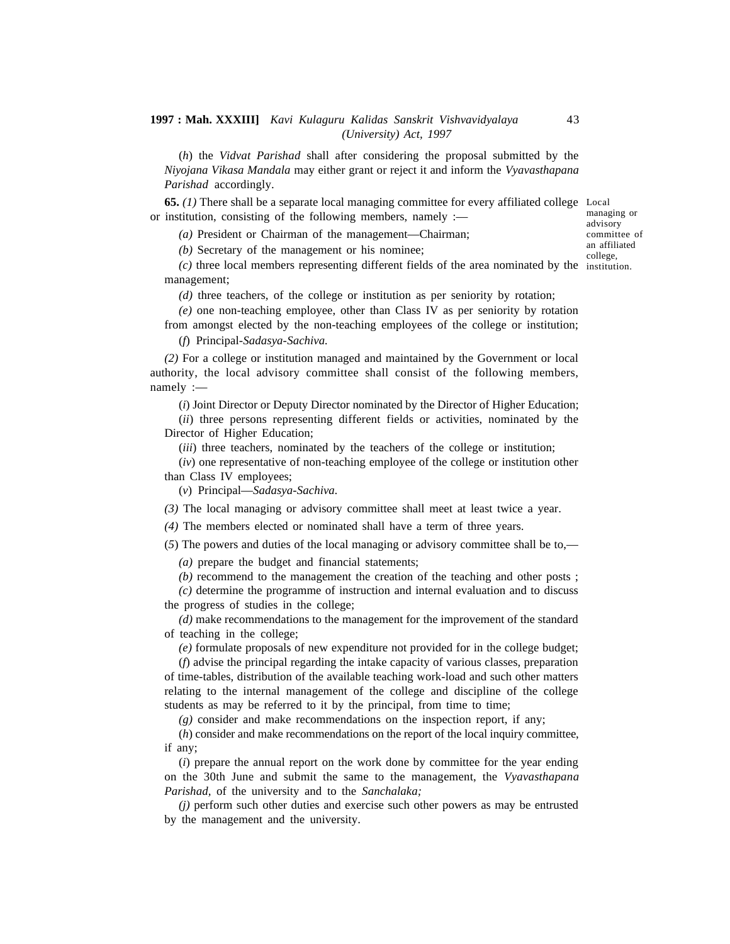(*h*) the *Vidvat Parishad* shall after considering the proposal submitted by the *Niyojana Vikasa Mandala* may either grant or reject it and inform the *Vyavasthapana Parishad* accordingly.

**65.** *(1)* There shall be a separate local managing committee for every affiliated college Local or institution, consisting of the following members, namely :—

*(a)* President or Chairman of the management—Chairman;

*(b)* Secretary of the management or his nominee;

*(c)* three local members representing different fields of the area nominated by the institution. management;

*(d)* three teachers, of the college or institution as per seniority by rotation;

*(e)* one non-teaching employee, other than Class IV as per seniority by rotation from amongst elected by the non-teaching employees of the college or institution;

(*f*) Principal-*Sadasya-Sachiva.*

*(2)* For a college or institution managed and maintained by the Government or local authority, the local advisory committee shall consist of the following members, namely :—

(*i*) Joint Director or Deputy Director nominated by the Director of Higher Education;

(*ii*) three persons representing different fields or activities, nominated by the Director of Higher Education;

(*iii*) three teachers, nominated by the teachers of the college or institution;

(*iv*) one representative of non-teaching employee of the college or institution other than Class IV employees;

(*v*) Principal—*Sadasya-Sachiva.*

*(3)* The local managing or advisory committee shall meet at least twice a year.

*(4)* The members elected or nominated shall have a term of three years.

(*5*) The powers and duties of the local managing or advisory committee shall be to,—

*(a)* prepare the budget and financial statements;

*(b)* recommend to the management the creation of the teaching and other posts ;

*(c)* determine the programme of instruction and internal evaluation and to discuss the progress of studies in the college;

*(d)* make recommendations to the management for the improvement of the standard of teaching in the college;

*(e)* formulate proposals of new expenditure not provided for in the college budget;

(*f*) advise the principal regarding the intake capacity of various classes, preparation of time-tables, distribution of the available teaching work-load and such other matters relating to the internal management of the college and discipline of the college students as may be referred to it by the principal, from time to time;

*(g)* consider and make recommendations on the inspection report, if any;

(*h*) consider and make recommendations on the report of the local inquiry committee, if any;

(*i*) prepare the annual report on the work done by committee for the year ending on the 30th June and submit the same to the management, the *Vyavasthapana Parishad,* of the university and to the *Sanchalaka;*

*(j)* perform such other duties and exercise such other powers as may be entrusted by the management and the university.

managing or advisory committee of an affiliated college,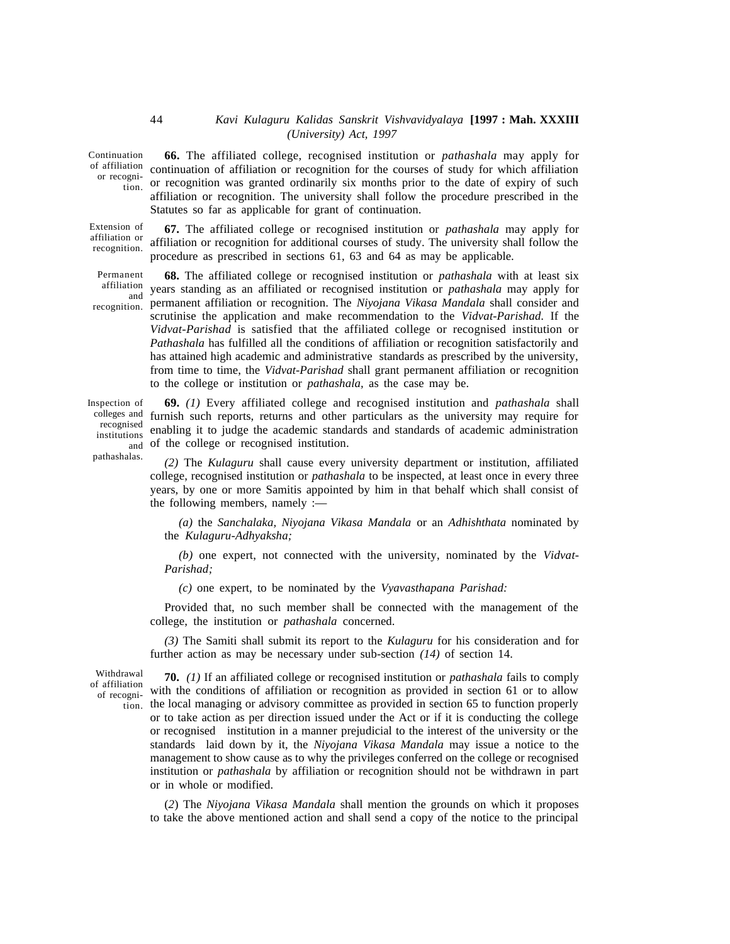Continuation or recogni44

Extension of affiliation or recognition.

Permanent affiliation recognition.

**66.** The affiliated college, recognised institution or *pathashala* may apply for of affiliation continuation of affiliation or recognition for the courses of study for which affiliation begin-<br>tion. Or recognition was granted ordinarily six months prior to the date of expiry of such affiliation or recognition. The university shall follow the procedure prescribed in the Statutes so far as applicable for grant of continuation.

**67.** The affiliated college or recognised institution or *pathashala* may apply for affiliation or recognition for additional courses of study. The university shall follow the procedure as prescribed in sections 61, 63 and 64 as may be applicable.

**68.** The affiliated college or recognised institution or *pathashala* with at least six years standing as an affiliated or recognised institution or *pathashala* may apply for and Jean's standing as an arrinated or recognised institution or pathdonial may apply for<br><sub>on</sub> permanent affiliation or recognition. The Niyojana Vikasa Mandala shall consider and scrutinise the application and make recommendation to the *Vidvat-Parishad.* If the *Vidvat-Parishad* is satisfied that the affiliated college or recognised institution or *Pathashala* has fulfilled all the conditions of affiliation or recognition satisfactorily and has attained high academic and administrative standards as prescribed by the university, from time to time, the *Vidvat-Parishad* shall grant permanent affiliation or recognition to the college or institution or *pathashala,* as the case may be.

Inspection of recognised institutions pathashalas.

**69.** *(1)* Every affiliated college and recognised institution and *pathashala* shall colleges and furnish such reports, returns and other particulars as the university may require for enabling it to judge the academic standards and standards of academic administration  $_{\text{and}}$  of the college or recognised institution.

> *(2)* The *Kulaguru* shall cause every university department or institution, affiliated college, recognised institution or *pathashala* to be inspected, at least once in every three years, by one or more Samitis appointed by him in that behalf which shall consist of the following members, namely :—

*(a)* the *Sanchalaka, Niyojana Vikasa Mandala* or an *Adhishthata* nominated by the *Kulaguru-Adhyaksha;*

*(b)* one expert, not connected with the university, nominated by the *Vidvat-Parishad;*

*(c)* one expert, to be nominated by the *Vyavasthapana Parishad:*

Provided that, no such member shall be connected with the management of the college, the institution or *pathashala* concerned.

*(3)* The Samiti shall submit its report to the *Kulaguru* for his consideration and for further action as may be necessary under sub-section *(14)* of section 14.

Withdrawal of affiliation of recogni-

**70.** *(1)* If an affiliated college or recognised institution or *pathashala* fails to comply with the conditions of affiliation or recognition as provided in section 61 or to allow  $_{\rm tion.}$  the local managing or advisory committee as provided in section 65 to function properly or to take action as per direction issued under the Act or if it is conducting the college or recognised institution in a manner prejudicial to the interest of the university or the standards laid down by it, the *Niyojana Vikasa Mandala* may issue a notice to the management to show cause as to why the privileges conferred on the college or recognised institution or *pathashala* by affiliation or recognition should not be withdrawn in part or in whole or modified.

(*2*) The *Niyojana Vikasa Mandala* shall mention the grounds on which it proposes to take the above mentioned action and shall send a copy of the notice to the principal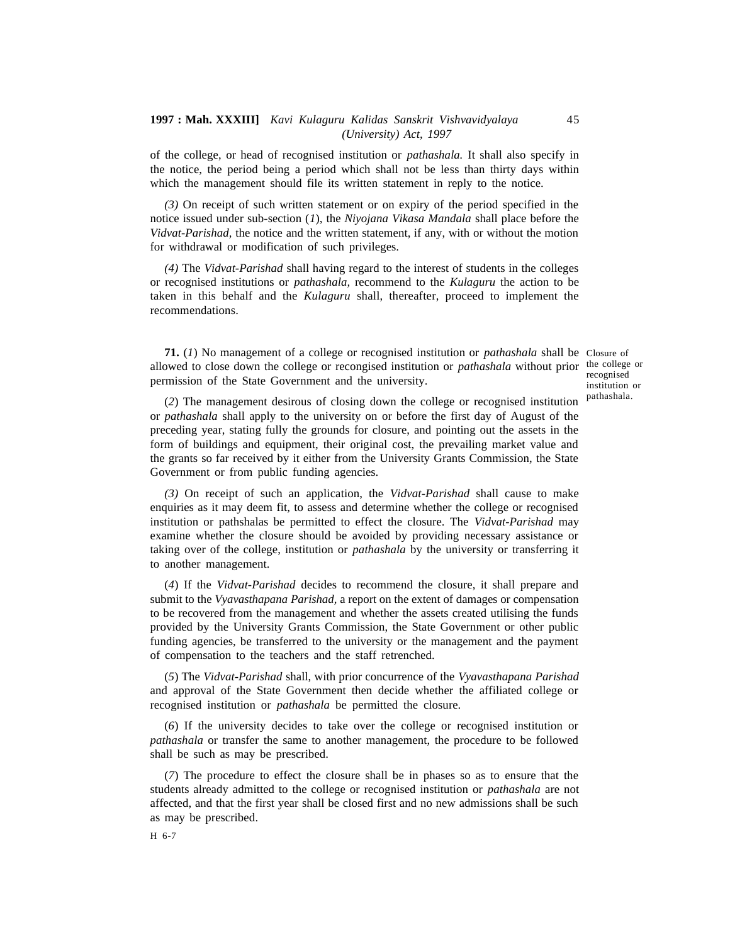of the college, or head of recognised institution or *pathashala.* It shall also specify in the notice, the period being a period which shall not be less than thirty days within which the management should file its written statement in reply to the notice.

*(3)* On receipt of such written statement or on expiry of the period specified in the notice issued under sub-section (*1*), the *Niyojana Vikasa Mandala* shall place before the *Vidvat-Parishad,* the notice and the written statement, if any, with or without the motion for withdrawal or modification of such privileges.

*(4)* The *Vidvat-Parishad* shall having regard to the interest of students in the colleges or recognised institutions or *pathashala,* recommend to the *Kulaguru* the action to be taken in this behalf and the *Kulaguru* shall, thereafter, proceed to implement the recommendations.

**71.** (*1*) No management of a college or recognised institution or *pathashala* shall be Closure of allowed to close down the college or recongised institution or *pathashala* without prior the college or permission of the State Government and the university.

recognised institution or

45

(*2*) The management desirous of closing down the college or recognised institution pathashala. or *pathashala* shall apply to the university on or before the first day of August of the preceding year, stating fully the grounds for closure, and pointing out the assets in the form of buildings and equipment, their original cost, the prevailing market value and the grants so far received by it either from the University Grants Commission, the State Government or from public funding agencies.

*(3)* On receipt of such an application, the *Vidvat-Parishad* shall cause to make enquiries as it may deem fit, to assess and determine whether the college or recognised institution or pathshalas be permitted to effect the closure. The *Vidvat-Parishad* may examine whether the closure should be avoided by providing necessary assistance or taking over of the college, institution or *pathashala* by the university or transferring it to another management.

(*4*) If the *Vidvat-Parishad* decides to recommend the closure, it shall prepare and submit to the *Vyavasthapana Parishad,* a report on the extent of damages or compensation to be recovered from the management and whether the assets created utilising the funds provided by the University Grants Commission, the State Government or other public funding agencies, be transferred to the university or the management and the payment of compensation to the teachers and the staff retrenched.

(*5*) The *Vidvat-Parishad* shall, with prior concurrence of the *Vyavasthapana Parishad* and approval of the State Government then decide whether the affiliated college or recognised institution or *pathashala* be permitted the closure.

(*6*) If the university decides to take over the college or recognised institution or *pathashala* or transfer the same to another management, the procedure to be followed shall be such as may be prescribed.

(*7*) The procedure to effect the closure shall be in phases so as to ensure that the students already admitted to the college or recognised institution or *pathashala* are not affected, and that the first year shall be closed first and no new admissions shall be such as may be prescribed.

H 6-7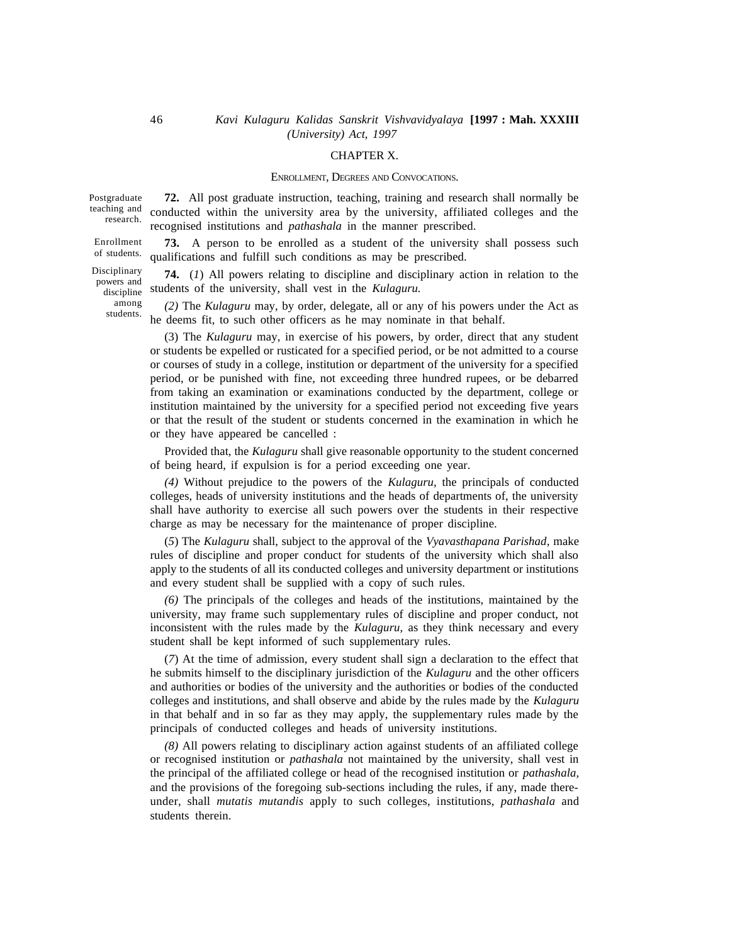#### CHAPTER X.

#### ENROLLMENT, DEGREES AND CONVOCATIONS.

Postgraduate teaching and research.

Disciplinary powers and

> among students.

**72.** All post graduate instruction, teaching, training and research shall normally be conducted within the university area by the university, affiliated colleges and the recognised institutions and *pathashala* in the manner prescribed.

**73.** A person to be enrolled as a student of the university shall possess such qualifications and fulfill such conditions as may be prescribed. Enrollment of students.

**74.** (*1*) All powers relating to discipline and disciplinary action in relation to the students of the university, shall vest in the *Kulaguru.* discipline

*(2)* The *Kulaguru* may, by order, delegate, all or any of his powers under the Act as he deems fit, to such other officers as he may nominate in that behalf.

(3) The *Kulaguru* may, in exercise of his powers, by order, direct that any student or students be expelled or rusticated for a specified period, or be not admitted to a course or courses of study in a college, institution or department of the university for a specified period, or be punished with fine, not exceeding three hundred rupees, or be debarred from taking an examination or examinations conducted by the department, college or institution maintained by the university for a specified period not exceeding five years or that the result of the student or students concerned in the examination in which he or they have appeared be cancelled :

Provided that, the *Kulaguru* shall give reasonable opportunity to the student concerned of being heard, if expulsion is for a period exceeding one year.

*(4)* Without prejudice to the powers of the *Kulaguru,* the principals of conducted colleges, heads of university institutions and the heads of departments of, the university shall have authority to exercise all such powers over the students in their respective charge as may be necessary for the maintenance of proper discipline.

(*5*) The *Kulaguru* shall, subject to the approval of the *Vyavasthapana Parishad,* make rules of discipline and proper conduct for students of the university which shall also apply to the students of all its conducted colleges and university department or institutions and every student shall be supplied with a copy of such rules.

*(6)* The principals of the colleges and heads of the institutions, maintained by the university, may frame such supplementary rules of discipline and proper conduct, not inconsistent with the rules made by the *Kulaguru,* as they think necessary and every student shall be kept informed of such supplementary rules.

(*7*) At the time of admission, every student shall sign a declaration to the effect that he submits himself to the disciplinary jurisdiction of the *Kulaguru* and the other officers and authorities or bodies of the university and the authorities or bodies of the conducted colleges and institutions, and shall observe and abide by the rules made by the *Kulaguru* in that behalf and in so far as they may apply, the supplementary rules made by the principals of conducted colleges and heads of university institutions.

*(8)* All powers relating to disciplinary action against students of an affiliated college or recognised institution or *pathashala* not maintained by the university, shall vest in the principal of the affiliated college or head of the recognised institution or *pathashala,* and the provisions of the foregoing sub-sections including the rules, if any, made thereunder, shall *mutatis mutandis* apply to such colleges, institutions, *pathashala* and students therein.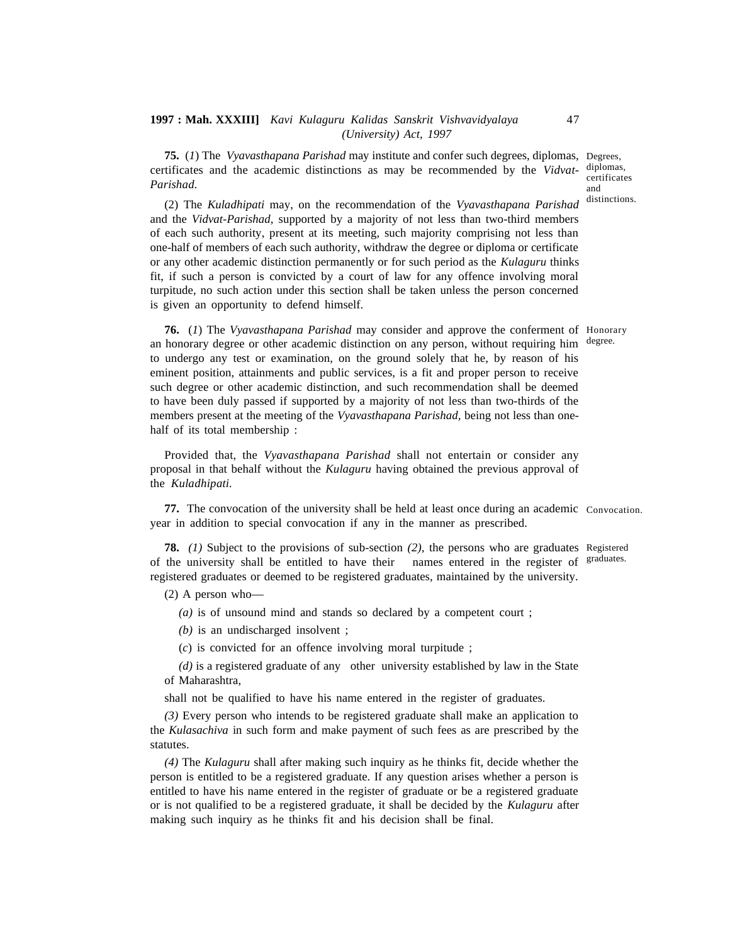**75.** (*1*) The *Vyavasthapana Parishad* may institute and confer such degrees, diplomas, Degrees, certificates and the academic distinctions as may be recommended by the *Vidvat-*diplomas, *Parishad.*

certificates and distinctions.

(2) The *Kuladhipati* may, on the recommendation of the *Vyavasthapana Parishad* and the *Vidvat-Parishad,* supported by a majority of not less than two-third members of each such authority, present at its meeting, such majority comprising not less than one-half of members of each such authority, withdraw the degree or diploma or certificate or any other academic distinction permanently or for such period as the *Kulaguru* thinks fit, if such a person is convicted by a court of law for any offence involving moral turpitude, no such action under this section shall be taken unless the person concerned is given an opportunity to defend himself.

**76.** (*1*) The *Vyavasthapana Parishad* may consider and approve the conferment of Honorary an honorary degree or other academic distinction on any person, without requiring him degree. to undergo any test or examination, on the ground solely that he, by reason of his eminent position, attainments and public services, is a fit and proper person to receive such degree or other academic distinction, and such recommendation shall be deemed to have been duly passed if supported by a majority of not less than two-thirds of the members present at the meeting of the *Vyavasthapana Parishad,* being not less than onehalf of its total membership :

Provided that, the *Vyavasthapana Parishad* shall not entertain or consider any proposal in that behalf without the *Kulaguru* having obtained the previous approval of the *Kuladhipati.*

**77.** The convocation of the university shall be held at least once during an academic Convocation. year in addition to special convocation if any in the manner as prescribed.

**78.** *(1)* Subject to the provisions of sub-section *(2),*the persons who are graduates Registered of the university shall be entitled to have their names entered in the register of <sup>graduates.</sup> registered graduates or deemed to be registered graduates, maintained by the university.

(2) A person who—

*(a)* is of unsound mind and stands so declared by a competent court ;

*(b)* is an undischarged insolvent ;

(*c*) is convicted for an offence involving moral turpitude ;

*(d)* is a registered graduate of any other university established by law in the State of Maharashtra,

shall not be qualified to have his name entered in the register of graduates.

*(3)* Every person who intends to be registered graduate shall make an application to the *Kulasachiva* in such form and make payment of such fees as are prescribed by the statutes.

*(4)* The *Kulaguru* shall after making such inquiry as he thinks fit, decide whether the person is entitled to be a registered graduate. If any question arises whether a person is entitled to have his name entered in the register of graduate or be a registered graduate or is not qualified to be a registered graduate, it shall be decided by the *Kulaguru* after making such inquiry as he thinks fit and his decision shall be final.

47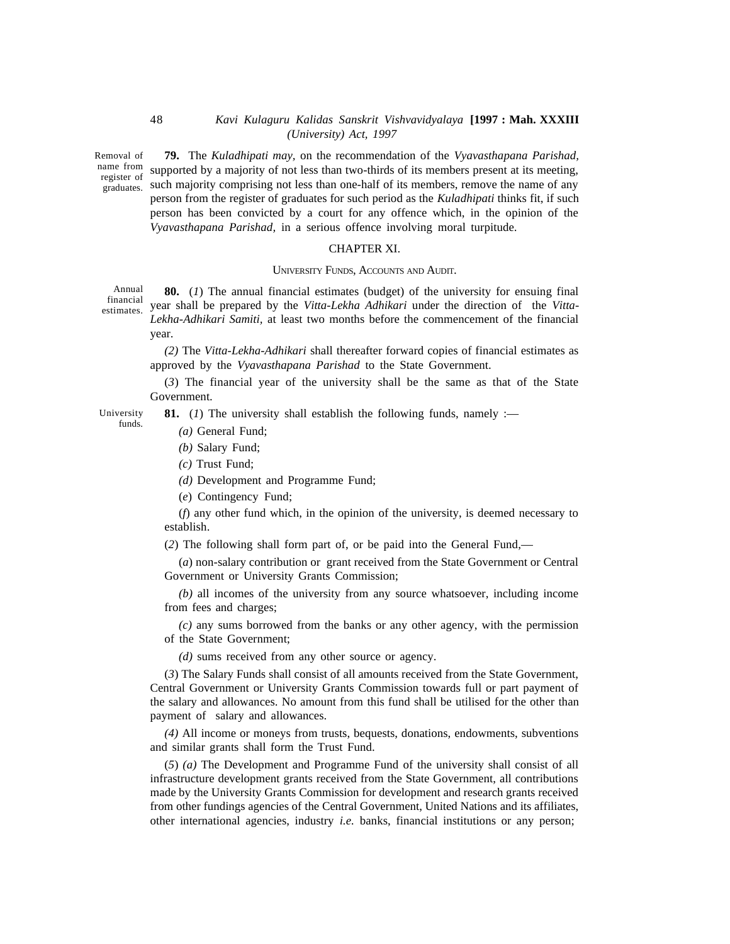Removal of graduates. Su

**79.** The *Kuladhipati may,* on the recommendation of the *Vyavasthapana Parishad,* name from supported by a majority of not less than two-thirds of its members present at its meeting, register of supported by a majority of not less than the times of its members, remove the name of any reduces person from the register of graduates for such period as the *Kuladhipati* thinks fit, if such person has been convicted by a court for any offence which, in the opinion of the *Vyavasthapana Parishad,* in a serious offence involving moral turpitude.

#### CHAPTER XI.

#### UNIVERSITY FUNDS, ACCOUNTS AND AUDIT.

**80.** (*1*) The annual financial estimates (budget) of the university for ensuing final year shall be prepared by the *Vitta-Lekha Adhikari* under the direction of the *Vitta-Lekha-Adhikari Samiti,* at least two months before the commencement of the financial year. Annual financial estimates.

**81.** (*1*) The university shall establish the following funds, namely :—

*(2)* The *Vitta-Lekha-Adhikari* shall thereafter forward copies of financial estimates as approved by the *Vyavasthapana Parishad* to the State Government.

(*3*) The financial year of the university shall be the same as that of the State Government.

University funds.

*(a)* General Fund;

*(b)* Salary Fund;

*(c)* Trust Fund;

*(d)* Development and Programme Fund;

(*e*) Contingency Fund;

(*f*) any other fund which, in the opinion of the university, is deemed necessary to establish.

(*2*) The following shall form part of, or be paid into the General Fund,—

(*a*) non-salary contribution or grant received from the State Government or Central Government or University Grants Commission;

*(b)* all incomes of the university from any source whatsoever, including income from fees and charges;

*(c)* any sums borrowed from the banks or any other agency, with the permission of the State Government;

*(d)* sums received from any other source or agency.

(*3*) The Salary Funds shall consist of all amounts received from the State Government, Central Government or University Grants Commission towards full or part payment of the salary and allowances. No amount from this fund shall be utilised for the other than payment of salary and allowances.

*(4)* All income or moneys from trusts, bequests, donations, endowments, subventions and similar grants shall form the Trust Fund.

(*5*) *(a)* The Development and Programme Fund of the university shall consist of all infrastructure development grants received from the State Government, all contributions made by the University Grants Commission for development and research grants received from other fundings agencies of the Central Government, United Nations and its affiliates, other international agencies, industry *i.e.* banks, financial institutions or any person;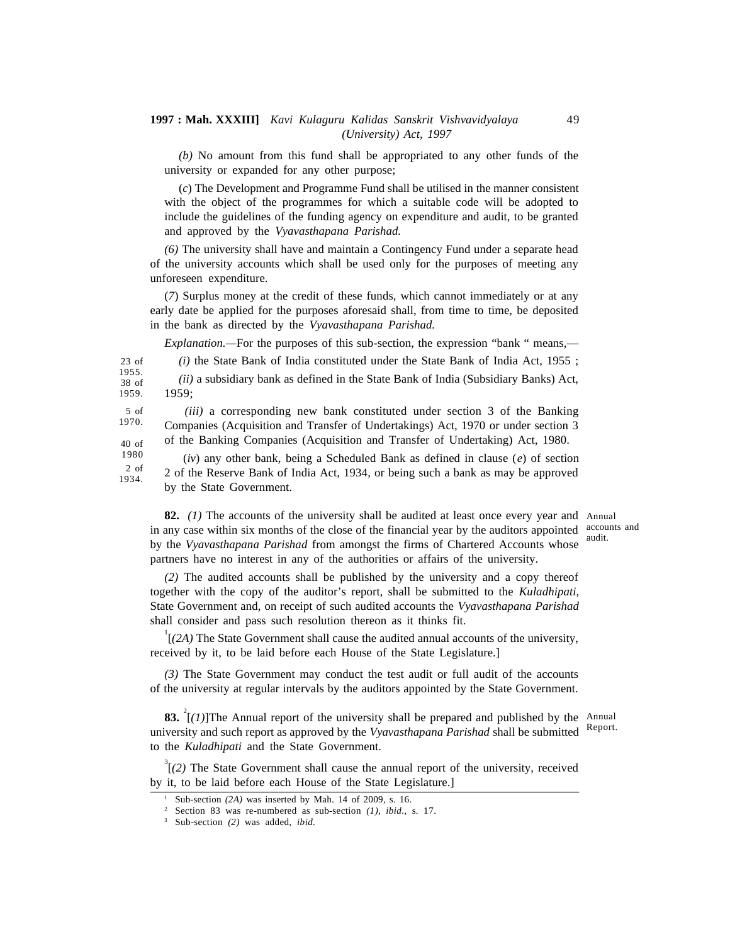*(b)* No amount from this fund shall be appropriated to any other funds of the university or expanded for any other purpose;

(*c*) The Development and Programme Fund shall be utilised in the manner consistent with the object of the programmes for which a suitable code will be adopted to include the guidelines of the funding agency on expenditure and audit, to be granted and approved by the *Vyavasthapana Parishad.*

*(6)* The university shall have and maintain a Contingency Fund under a separate head of the university accounts which shall be used only for the purposes of meeting any unforeseen expenditure.

(*7*) Surplus money at the credit of these funds, which cannot immediately or at any early date be applied for the purposes aforesaid shall, from time to time, be deposited in the bank as directed by the *Vyavasthapana Parishad.*

*Explanation.—*For the purposes of this sub-section, the expression "bank " means,—

*(i)* the State Bank of India constituted under the State Bank of India Act, 1955 ;

*(ii)* a subsidiary bank as defined in the State Bank of India (Subsidiary Banks) Act, 1959; 1955. 38 of 1959.

*(iii)* a corresponding new bank constituted under section 3 of the Banking Companies (Acquisition and Transfer of Undertakings) Act, 1970 or under section 3 of the Banking Companies (Acquisition and Transfer of Undertaking) Act, 1980. 5 of 1970. 40 of

 (*iv*) any other bank, being a Scheduled Bank as defined in clause (*e*) of section 2 of the Reserve Bank of India Act, 1934, or being such a bank as may be approved by the State Government. 1980 2 of 1934.

**82.** *(1)* The accounts of the university shall be audited at least once every year and Annual in any case within six months of the close of the financial year by the auditors appointed by the *Vyavasthapana Parishad* from amongst the firms of Chartered Accounts whose partners have no interest in any of the authorities or affairs of the university.

*(2)* The audited accounts shall be published by the university and a copy thereof together with the copy of the auditor's report, shall be submitted to the *Kuladhipati,* State Government and, on receipt of such audited accounts the *Vyavasthapana Parishad* shall consider and pass such resolution thereon as it thinks fit.

<sup>1</sup>[*(2A)* The State Government shall cause the audited annual accounts of the university, received by it, to be laid before each House of the State Legislature.]

*(3)* The State Government may conduct the test audit or full audit of the accounts of the university at regular intervals by the auditors appointed by the State Government.

83. <sup>2</sup>[(1)]The Annual report of the university shall be prepared and published by the Annual university and such report as approved by the *Vyavasthapana Parishad* shall be submitted Report. to the *Kuladhipati* and the State Government.

<sup>3</sup>[*(2)* The State Government shall cause the annual report of the university, received by it, to be laid before each House of the State Legislature.]

23 of

accounts and audit.

Sub-section *(2A)* was inserted by Mah. 14 of 2009, s. 16.

<sup>2</sup> Section 83 was re-numbered as sub-section *(1)*, *ibid.,* s. 17.

<sup>3</sup> Sub-section *(2)* was added, *ibid.*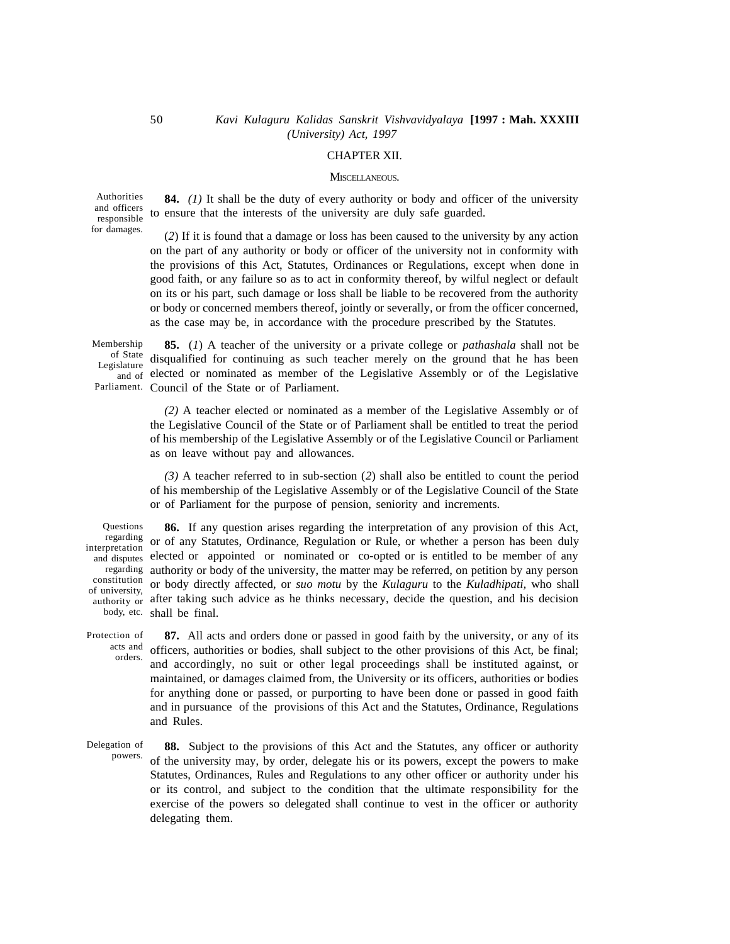### CHAPTER XII.

### MISCELLANEOUS.

Authorities and officers responsible for damages.

**84.** *(1)* It shall be the duty of every authority or body and officer of the university to ensure that the interests of the university are duly safe guarded.

(*2*) If it is found that a damage or loss has been caused to the university by any action on the part of any authority or body or officer of the university not in conformity with the provisions of this Act, Statutes, Ordinances or Regulations, except when done in good faith, or any failure so as to act in conformity thereof, by wilful neglect or default on its or his part, such damage or loss shall be liable to be recovered from the authority or body or concerned members thereof, jointly or severally, or from the officer concerned, as the case may be, in accordance with the procedure prescribed by the Statutes.

**85.** (*1*) A teacher of the university or a private college or *pathashala* shall not be of State disqualified for continuing as such teacher merely on the ground that he has been and of elected or nominated as member of the Legislative Assembly or of the Legislative Parliament. Council of the State or of Parliament. Membership Legislature

> *(2)* A teacher elected or nominated as a member of the Legislative Assembly or of the Legislative Council of the State or of Parliament shall be entitled to treat the period of his membership of the Legislative Assembly or of the Legislative Council or Parliament as on leave without pay and allowances.

> *(3)* A teacher referred to in sub-section (*2*) shall also be entitled to count the period of his membership of the Legislative Assembly or of the Legislative Council of the State or of Parliament for the purpose of pension, seniority and increments.

**Ouestions** interpretation of university,  $\frac{1}{2}$ 

**86.** If any question arises regarding the interpretation of any provision of this Act, regarding or of any Statutes, Ordinance, Regulation or Rule, or whether a person has been duly and disputes elected or appointed or nominated or co-opted or is entitled to be member of any regarding authority or body of the university, the matter may be referred, on petition by any person constitution or body directly affected, or suo motu by the Kulaguru to the Kuladhipati, who shall authority or after taking such advice as he thinks necessary, decide the question, and his decision body, etc. shall be final.

**87.** All acts and orders done or passed in good faith by the university, or any of its acts and officers, authorities or bodies, shall subject to the other provisions of this Act, be final; and accordingly, no suit or other legal proceedings shall be instituted against, or maintained, or damages claimed from, the University or its officers, authorities or bodies for anything done or passed, or purporting to have been done or passed in good faith and in pursuance of the provisions of this Act and the Statutes, Ordinance, Regulations and Rules. Protection of orders.

**88.** Subject to the provisions of this Act and the Statutes, any officer or authority of the university may, by order, delegate his or its powers, except the powers to make Statutes, Ordinances, Rules and Regulations to any other officer or authority under his or its control, and subject to the condition that the ultimate responsibility for the exercise of the powers so delegated shall continue to vest in the officer or authority delegating them. Delegation of powers.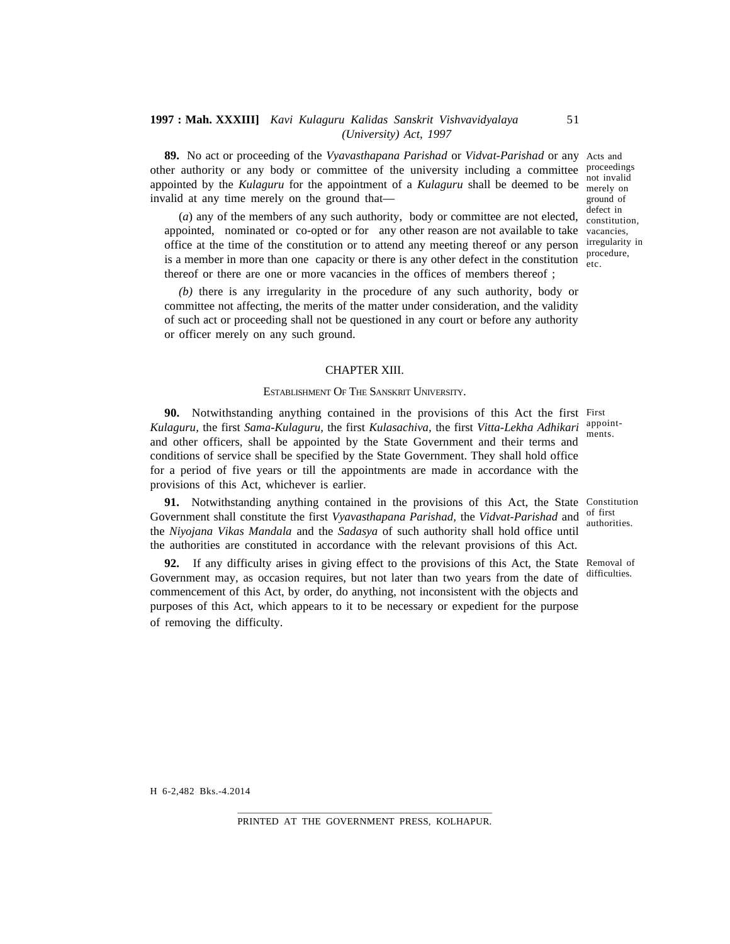**89.** No act or proceeding of the *Vyavasthapana Parishad* or *Vidvat-Parishad* or any Acts and other authority or any body or committee of the university including a committee *proceedings* appointed by the Kulaguru for the appointment of a Kulaguru shall be deemed to be  $\frac{1}{2}$  metally on invalid at any time merely on the ground that—

(a) any of the members of any such authority, body or committee are not elected,  $\frac{\text{defect in}}{\text{constraint}}$ appointed, nominated or co-opted or for any other reason are not available to take vacancies, office at the time of the constitution or to attend any meeting thereof or any person irregularity in is a member in more than one capacity or there is any other defect in the constitution  $\frac{1}{\text{etc.}}$ thereof or there are one or more vacancies in the offices of members thereof ;

*(b)* there is any irregularity in the procedure of any such authority, body or committee not affecting, the merits of the matter under consideration, and the validity of such act or proceeding shall not be questioned in any court or before any authority or officer merely on any such ground.

#### CHAPTER XIII.

#### ESTABLISHMENT OF THE SANSKRIT UNIVERSITY.

**90.** Notwithstanding anything contained in the provisions of this Act the first First *Kulaguru,* the first *Sama-Kulaguru,* the first *Kulasachiva,* the first *Vitta-Lekha Adhikari* appointand other officers, shall be appointed by the State Government and their terms and conditions of service shall be specified by the State Government. They shall hold office for a period of five years or till the appointments are made in accordance with the provisions of this Act, whichever is earlier. ments.

**91.** Notwithstanding anything contained in the provisions of this Act, the State Constitution Government shall constitute the first Vyavasthapana Parishad, the Vidvat-Parishad and of first the *Niyojana Vikas Mandala* and the *Sadasya* of such authority shall hold office until the authorities are constituted in accordance with the relevant provisions of this Act.

**92.** If any difficulty arises in giving effect to the provisions of this Act, the State Removal of Government may, as occasion requires, but not later than two years from the date of difficulties. commencement of this Act, by order, do anything, not inconsistent with the objects and purposes of this Act, which appears to it to be necessary or expedient for the purpose of removing the difficulty.

authorities.

merely on ground of constitution, procedure,

H 6-2,482 Bks.-4.2014

PRINTED AT THE GOVERNMENT PRESS, KOLHAPUR.

51